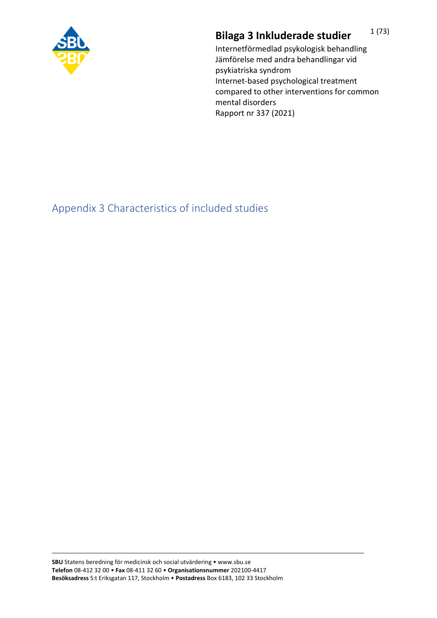

## **Bilaga 3 Inkluderade studier** 1(73)

Internetförmedlad psykologisk behandling Jämförelse med andra behandlingar vid psykiatriska syndrom Internet-based psychological treatment compared to other interventions for common mental disorders Rapport nr 337 (2021)

Appendix 3 Characteristics of included studies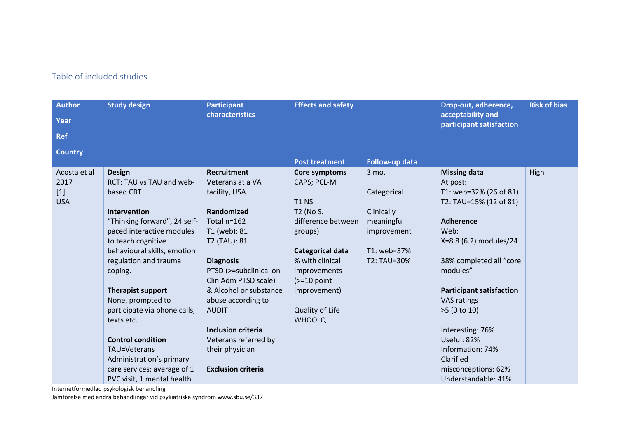## Table of included studies

| <b>Author</b>  | <b>Study design</b>          | <b>Participant</b>        | <b>Effects and safety</b> |                | Drop-out, adherence,                          | <b>Risk of bias</b> |
|----------------|------------------------------|---------------------------|---------------------------|----------------|-----------------------------------------------|---------------------|
| <b>Year</b>    |                              | characteristics           |                           |                | acceptability and<br>participant satisfaction |                     |
| <b>Ref</b>     |                              |                           |                           |                |                                               |                     |
| <b>Country</b> |                              |                           |                           |                |                                               |                     |
|                |                              |                           | <b>Post treatment</b>     | Follow-up data |                                               |                     |
| Acosta et al   | <b>Design</b>                | <b>Recruitment</b>        | Core symptoms             | 3 mo.          | <b>Missing data</b>                           | High                |
| 2017           | RCT: TAU vs TAU and web-     | Veterans at a VA          | CAPS; PCL-M               |                | At post:                                      |                     |
| $[1]$          | based CBT                    | facility, USA             |                           | Categorical    | T1: web=32% (26 of 81)                        |                     |
| <b>USA</b>     |                              |                           | <b>T1 NS</b>              |                | T2: TAU=15% (12 of 81)                        |                     |
|                | Intervention                 | Randomized                | T2 (No S.                 | Clinically     |                                               |                     |
|                | "Thinking forward", 24 self- | Total n=162               | difference between        | meaningful     | <b>Adherence</b>                              |                     |
|                | paced interactive modules    | T1 (web): 81              | groups)                   | improvement    | Web:                                          |                     |
|                | to teach cognitive           | T2 (TAU): 81              |                           |                | X=8.8 (6.2) modules/24                        |                     |
|                | behavioural skills, emotion  |                           | Categorical data          | T1: web=37%    |                                               |                     |
|                | regulation and trauma        | <b>Diagnosis</b>          | % with clinical           | T2: TAU=30%    | 38% completed all "core                       |                     |
|                | coping.                      | PTSD (>=subclinical on    | improvements              |                | modules"                                      |                     |
|                |                              | Clin Adm PTSD scale)      | $\left(>=10$ point        |                |                                               |                     |
|                | <b>Therapist support</b>     | & Alcohol or substance    | improvement)              |                | <b>Participant satisfaction</b>               |                     |
|                | None, prompted to            | abuse according to        |                           |                | VAS ratings                                   |                     |
|                | participate via phone calls, | <b>AUDIT</b>              | Quality of Life           |                | $>5$ (0 to 10)                                |                     |
|                | texts etc.                   |                           | <b>WHOOLQ</b>             |                |                                               |                     |
|                |                              | <b>Inclusion criteria</b> |                           |                | Interesting: 76%                              |                     |
|                | <b>Control condition</b>     | Veterans referred by      |                           |                | Useful: 82%                                   |                     |
|                | TAU=Veterans                 | their physician           |                           |                | Information: 74%                              |                     |
|                | Administration's primary     |                           |                           |                | Clarified                                     |                     |
|                | care services; average of 1  | <b>Exclusion criteria</b> |                           |                | misconceptions: 62%                           |                     |
|                | PVC visit, 1 mental health   |                           |                           |                | Understandable: 41%                           |                     |

Internetförmedlad psykologisk behandling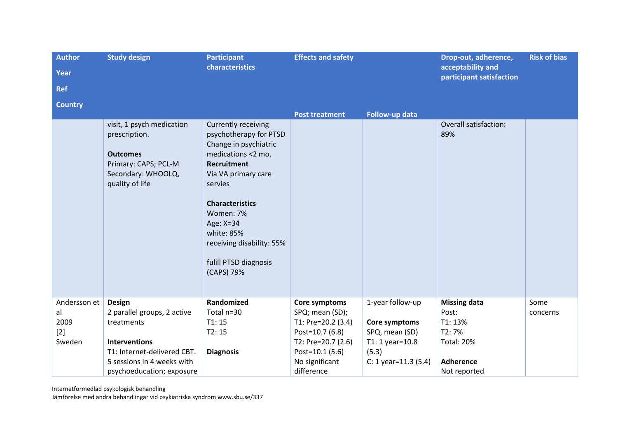| <b>Author</b>                                 | <b>Study design</b>                                                                                                            | <b>Participant</b><br>characteristics                                                                                                                                                                                                                                                      | <b>Effects and safety</b>                                                                       |                                                                        | Drop-out, adherence,<br>acceptability and                             | <b>Risk of bias</b> |
|-----------------------------------------------|--------------------------------------------------------------------------------------------------------------------------------|--------------------------------------------------------------------------------------------------------------------------------------------------------------------------------------------------------------------------------------------------------------------------------------------|-------------------------------------------------------------------------------------------------|------------------------------------------------------------------------|-----------------------------------------------------------------------|---------------------|
| <b>Year</b>                                   |                                                                                                                                |                                                                                                                                                                                                                                                                                            |                                                                                                 |                                                                        | participant satisfaction                                              |                     |
| <b>Ref</b>                                    |                                                                                                                                |                                                                                                                                                                                                                                                                                            |                                                                                                 |                                                                        |                                                                       |                     |
| <b>Country</b>                                |                                                                                                                                |                                                                                                                                                                                                                                                                                            |                                                                                                 |                                                                        |                                                                       |                     |
|                                               |                                                                                                                                |                                                                                                                                                                                                                                                                                            | <b>Post treatment</b>                                                                           | Follow-up data                                                         |                                                                       |                     |
|                                               | visit, 1 psych medication<br>prescription.<br><b>Outcomes</b><br>Primary: CAPS; PCL-M<br>Secondary: WHOOLQ,<br>quality of life | Currently receiving<br>psychotherapy for PTSD<br>Change in psychiatric<br>medications <2 mo.<br><b>Recruitment</b><br>Via VA primary care<br>servies<br><b>Characteristics</b><br>Women: 7%<br>Age: X=34<br>white: 85%<br>receiving disability: 55%<br>fulill PTSD diagnosis<br>(CAPS) 79% |                                                                                                 |                                                                        | <b>Overall satisfaction:</b><br>89%                                   |                     |
| Andersson et<br>al<br>2009<br>$[2]$<br>Sweden | <b>Design</b><br>2 parallel groups, 2 active<br>treatments<br><b>Interventions</b>                                             | Randomized<br>Total n=30<br>T1:15<br>T2:15                                                                                                                                                                                                                                                 | Core symptoms<br>SPQ; mean (SD);<br>T1: Pre=20.2 (3.4)<br>Post=10.7 (6.8)<br>T2: Pre=20.7 (2.6) | 1-year follow-up<br>Core symptoms<br>SPQ, mean (SD)<br>T1: 1 year=10.8 | <b>Missing data</b><br>Post:<br>T1: 13%<br>T2:7%<br><b>Total: 20%</b> | Some<br>concerns    |
|                                               | T1: Internet-delivered CBT.<br>5 sessions in 4 weeks with<br>psychoeducation; exposure                                         | <b>Diagnosis</b>                                                                                                                                                                                                                                                                           | Post=10.1 (5.6)<br>No significant<br>difference                                                 | (5.3)<br>$C: 1$ year=11.3 (5.4)                                        | <b>Adherence</b><br>Not reported                                      |                     |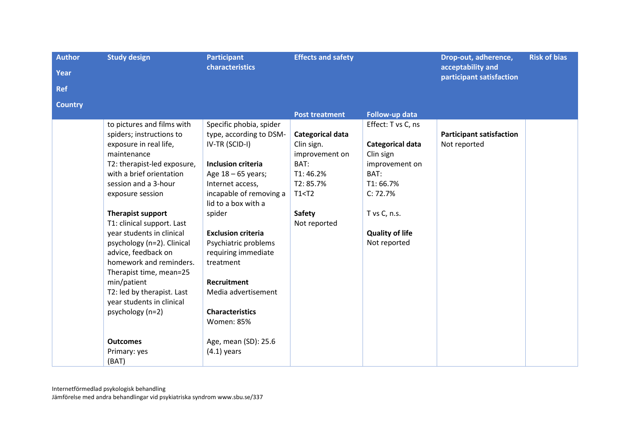| <b>Author</b><br><b>Study design</b><br><b>Effects and safety</b><br><b>Participant</b>    | <b>Risk of bias</b><br>Drop-out, adherence, |
|--------------------------------------------------------------------------------------------|---------------------------------------------|
| characteristics<br>acceptability and<br><b>Year</b>                                        | participant satisfaction                    |
| <b>Ref</b>                                                                                 |                                             |
| <b>Country</b>                                                                             |                                             |
| Follow-up data<br><b>Post treatment</b>                                                    |                                             |
| Specific phobia, spider<br>Effect: T vs C, ns<br>to pictures and films with                |                                             |
| spiders; instructions to<br>type, according to DSM-<br>Categorical data                    | <b>Participant satisfaction</b>             |
| exposure in real life,<br>IV-TR (SCID-I)<br>Categorical data<br>Not reported<br>Clin sign. |                                             |
| maintenance<br>improvement on<br>Clin sign                                                 |                                             |
| <b>Inclusion criteria</b><br>BAT:<br>T2: therapist-led exposure,<br>improvement on         |                                             |
| BAT:<br>with a brief orientation<br>Age 18 - 65 years;<br>T1:46.2%                         |                                             |
| T2:85.7%<br>T1:66.7%<br>session and a 3-hour<br>Internet access,                           |                                             |
| incapable of removing a<br>T1 < T2<br>C: 72.7%<br>exposure session                         |                                             |
| lid to a box with a                                                                        |                                             |
| Therapist support<br>spider<br><b>Safety</b><br>T vs C, n.s.                               |                                             |
| T1: clinical support. Last<br>Not reported                                                 |                                             |
| year students in clinical<br><b>Quality of life</b><br><b>Exclusion criteria</b>           |                                             |
| psychology (n=2). Clinical<br>Psychiatric problems<br>Not reported                         |                                             |
| advice, feedback on<br>requiring immediate                                                 |                                             |
| homework and reminders.<br>treatment                                                       |                                             |
| Therapist time, mean=25                                                                    |                                             |
| min/patient<br><b>Recruitment</b>                                                          |                                             |
| T2: led by therapist. Last<br>Media advertisement                                          |                                             |
| year students in clinical                                                                  |                                             |
| psychology (n=2)<br><b>Characteristics</b>                                                 |                                             |
| <b>Women: 85%</b>                                                                          |                                             |
| <b>Outcomes</b><br>Age, mean (SD): 25.6                                                    |                                             |
| $(4.1)$ years<br>Primary: yes                                                              |                                             |
| (BAT)                                                                                      |                                             |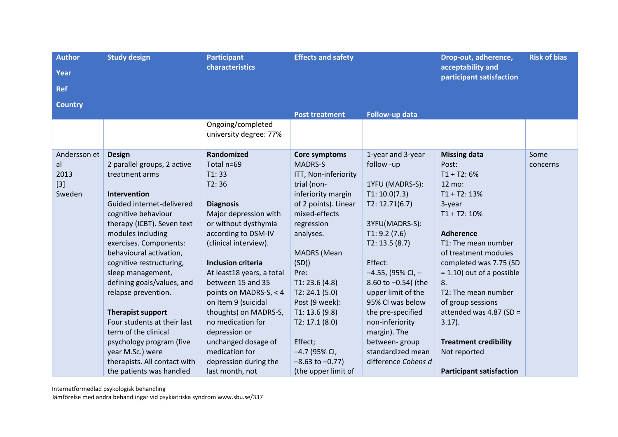| <b>Author</b><br>Year<br><b>Ref</b>           | <b>Study design</b>                                                                                                                                                                                                                                                                                                                                                                                                                                                                                                                             | <b>Participant</b><br>characteristics                                                                                                                                                                                                                                                                                                                                                                                                               | <b>Effects and safety</b>                                                                                                                                                                                                                                                                                                                                                |                                                                                                                                                                                                                                                                                                                                                                     | Drop-out, adherence,<br>acceptability and<br>participant satisfaction                                                                                                                                                                                                                                                                                                                                           | <b>Risk of bias</b> |
|-----------------------------------------------|-------------------------------------------------------------------------------------------------------------------------------------------------------------------------------------------------------------------------------------------------------------------------------------------------------------------------------------------------------------------------------------------------------------------------------------------------------------------------------------------------------------------------------------------------|-----------------------------------------------------------------------------------------------------------------------------------------------------------------------------------------------------------------------------------------------------------------------------------------------------------------------------------------------------------------------------------------------------------------------------------------------------|--------------------------------------------------------------------------------------------------------------------------------------------------------------------------------------------------------------------------------------------------------------------------------------------------------------------------------------------------------------------------|---------------------------------------------------------------------------------------------------------------------------------------------------------------------------------------------------------------------------------------------------------------------------------------------------------------------------------------------------------------------|-----------------------------------------------------------------------------------------------------------------------------------------------------------------------------------------------------------------------------------------------------------------------------------------------------------------------------------------------------------------------------------------------------------------|---------------------|
| <b>Country</b>                                |                                                                                                                                                                                                                                                                                                                                                                                                                                                                                                                                                 |                                                                                                                                                                                                                                                                                                                                                                                                                                                     | <b>Post treatment</b>                                                                                                                                                                                                                                                                                                                                                    | Follow-up data                                                                                                                                                                                                                                                                                                                                                      |                                                                                                                                                                                                                                                                                                                                                                                                                 |                     |
|                                               |                                                                                                                                                                                                                                                                                                                                                                                                                                                                                                                                                 | Ongoing/completed<br>university degree: 77%                                                                                                                                                                                                                                                                                                                                                                                                         |                                                                                                                                                                                                                                                                                                                                                                          |                                                                                                                                                                                                                                                                                                                                                                     |                                                                                                                                                                                                                                                                                                                                                                                                                 |                     |
| Andersson et<br>al<br>2013<br>$[3]$<br>Sweden | <b>Design</b><br>2 parallel groups, 2 active<br>treatment arms<br>Intervention<br>Guided internet-delivered<br>cognitive behaviour<br>therapy (ICBT). Seven text<br>modules including<br>exercises. Components:<br>behavioural activation,<br>cognitive restructuring,<br>sleep management,<br>defining goals/values, and<br>relapse prevention.<br><b>Therapist support</b><br>Four students at their last<br>term of the clinical<br>psychology program (five<br>year M.Sc.) were<br>therapists. All contact with<br>the patients was handled | Randomized<br>Total n=69<br>T1:33<br>T2:36<br><b>Diagnosis</b><br>Major depression with<br>or without dysthymia<br>according to DSM-IV<br>(clinical interview).<br><b>Inclusion criteria</b><br>At least18 years, a total<br>between 15 and 35<br>points on MADRS-S, < 4<br>on Item 9 (suicidal<br>thoughts) on MADRS-S,<br>no medication for<br>depression or<br>unchanged dosage of<br>medication for<br>depression during the<br>last month, not | Core symptoms<br><b>MADRS-S</b><br>ITT, Non-inferiority<br>trial (non-<br>inferiority margin<br>of 2 points). Linear<br>mixed-effects<br>regression<br>analyses.<br><b>MADRS</b> (Mean<br>(SD)<br>Pre:<br>T1: 23.6(4.8)<br>T2: 24.1(5.0)<br>Post (9 week):<br>T1: 13.6(9.8)<br>T2: 17.1 (8.0)<br>Effect;<br>-4.7 (95% CI,<br>$-8.63$ to $-0.77$ )<br>(the upper limit of | 1-year and 3-year<br>follow -up<br>1YFU (MADRS-S):<br>T1: 10.0(7.3)<br>T2: 12.71(6.7)<br>3YFU(MADRS-S):<br>T1: 9.2(7.6)<br>T2: 13.5(8.7)<br>Effect:<br>$-4.55$ , (95% CI, $-$<br>8.60 to -0.54) (the<br>upper limit of the<br>95% CI was below<br>the pre-specified<br>non-inferiority<br>margin). The<br>between-group<br>standardized mean<br>difference Cohens d | <b>Missing data</b><br>Post:<br>$T1 + T2: 6%$<br>12 mo:<br>$T1 + T2: 13%$<br>3-year<br>$T1 + T2: 10%$<br><b>Adherence</b><br>T1: The mean number<br>of treatment modules<br>completed was 7.75 (SD<br>$= 1.10$ ) out of a possible<br>8.<br>T2: The mean number<br>of group sessions<br>attended was 4.87 (SD =<br>$3.17$ ).<br><b>Treatment credibility</b><br>Not reported<br><b>Participant satisfaction</b> | Some<br>concerns    |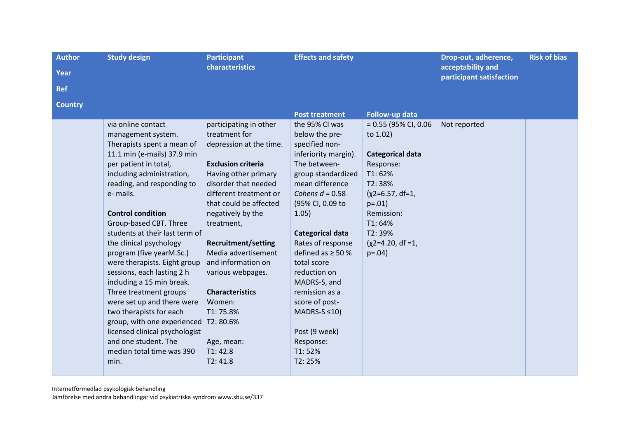| <b>Author</b>  | <b>Study design</b>                                      | <b>Participant</b>                                | <b>Effects and safety</b>             |                         | Drop-out, adherence,                          | <b>Risk of bias</b> |
|----------------|----------------------------------------------------------|---------------------------------------------------|---------------------------------------|-------------------------|-----------------------------------------------|---------------------|
| Year           |                                                          | characteristics                                   |                                       |                         | acceptability and<br>participant satisfaction |                     |
| <b>Ref</b>     |                                                          |                                                   |                                       |                         |                                               |                     |
| <b>Country</b> |                                                          |                                                   |                                       |                         |                                               |                     |
|                |                                                          |                                                   | <b>Post treatment</b>                 | Follow-up data          |                                               |                     |
|                | via online contact                                       | participating in other<br>treatment for           | the 95% CI was                        | $= 0.55$ (95% CI, 0.06  | Not reported                                  |                     |
|                | management system.<br>Therapists spent a mean of         | depression at the time.                           | below the pre-<br>specified non-      | to 1.02)                |                                               |                     |
|                | 11.1 min (e-mails) 37.9 min                              |                                                   | inferiority margin).                  | <b>Categorical data</b> |                                               |                     |
|                | per patient in total,                                    | <b>Exclusion criteria</b>                         | The between-                          | Response:               |                                               |                     |
|                | including administration,                                | Having other primary                              | group standardized                    | T1:62%                  |                                               |                     |
|                | reading, and responding to                               | disorder that needed                              | mean difference                       | T2:38%                  |                                               |                     |
|                | e- mails.                                                | different treatment or                            | Cohens $d = 0.58$                     | $(x2=6.57, df=1,$       |                                               |                     |
|                |                                                          | that could be affected                            | (95% CI, 0.09 to                      | $p=.01)$                |                                               |                     |
|                | <b>Control condition</b>                                 | negatively by the                                 | 1.05)                                 | Remission:              |                                               |                     |
|                | Group-based CBT. Three                                   | treatment,                                        |                                       | T1:64%                  |                                               |                     |
|                | students at their last term of                           |                                                   | <b>Categorical data</b>               | T2:39%                  |                                               |                     |
|                | the clinical psychology                                  | <b>Recruitment/setting</b><br>Media advertisement | Rates of response                     | $(x2=4.20, df=1,$       |                                               |                     |
|                | program (five yearM.Sc.)<br>were therapists. Eight group | and information on                                | defined as $\geq$ 50 %<br>total score | $p=.04)$                |                                               |                     |
|                | sessions, each lasting 2 h                               | various webpages.                                 | reduction on                          |                         |                                               |                     |
|                | including a 15 min break.                                |                                                   | MADRS-S, and                          |                         |                                               |                     |
|                | Three treatment groups                                   | <b>Characteristics</b>                            | remission as a                        |                         |                                               |                     |
|                | were set up and there were                               | Women:                                            | score of post-                        |                         |                                               |                     |
|                | two therapists for each                                  | T1:75.8%                                          | MADRS-S $\leq 10$ )                   |                         |                                               |                     |
|                | group, with one experienced                              | T2:80.6%                                          |                                       |                         |                                               |                     |
|                | licensed clinical psychologist                           |                                                   | Post (9 week)                         |                         |                                               |                     |
|                | and one student. The                                     | Age, mean:                                        | Response:                             |                         |                                               |                     |
|                | median total time was 390                                | T1:42.8                                           | T1:52%                                |                         |                                               |                     |
|                | min.                                                     | T2:41.8                                           | T2:25%                                |                         |                                               |                     |
|                |                                                          |                                                   |                                       |                         |                                               |                     |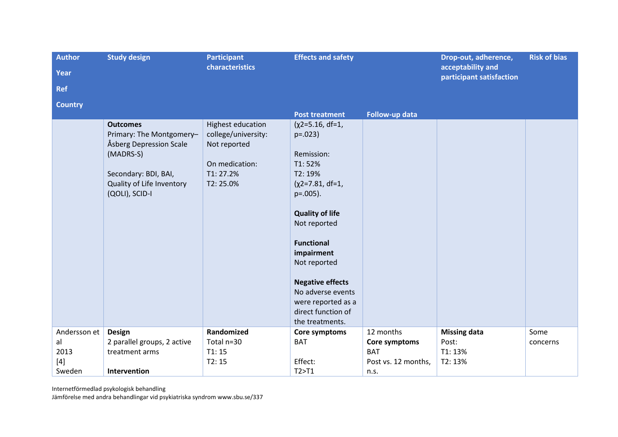| <b>Author</b>  | <b>Study design</b>                                 | <b>Participant</b>                  | <b>Effects and safety</b> |                     |                                               | <b>Risk of bias</b> |
|----------------|-----------------------------------------------------|-------------------------------------|---------------------------|---------------------|-----------------------------------------------|---------------------|
| Year           |                                                     | characteristics                     |                           |                     | acceptability and<br>participant satisfaction |                     |
| <b>Ref</b>     |                                                     |                                     |                           |                     |                                               |                     |
| <b>Country</b> |                                                     |                                     |                           |                     |                                               |                     |
|                |                                                     |                                     | <b>Post treatment</b>     | Follow-up data      |                                               |                     |
|                | <b>Outcomes</b>                                     | <b>Highest education</b>            | $(x2=5.16, df=1,$         |                     |                                               |                     |
|                | Primary: The Montgomery-<br>Åsberg Depression Scale | college/university:<br>Not reported | $p=.023$                  |                     |                                               |                     |
|                | (MADRS-S)                                           |                                     | Remission:                |                     |                                               |                     |
|                |                                                     | On medication:                      | T1:52%                    |                     |                                               |                     |
|                | Secondary: BDI, BAI,                                | T1:27.2%                            | T2: 19%                   |                     |                                               |                     |
|                | Quality of Life Inventory                           | T2:25.0%                            | $(x2=7.81, df=1,$         |                     |                                               |                     |
|                | (QOLI), SCID-I                                      |                                     | $p=.005$ ).               |                     |                                               |                     |
|                |                                                     |                                     | <b>Quality of life</b>    |                     |                                               |                     |
|                |                                                     |                                     | Not reported              |                     |                                               |                     |
|                |                                                     |                                     |                           |                     |                                               |                     |
|                |                                                     |                                     | <b>Functional</b>         |                     |                                               |                     |
|                |                                                     |                                     | impairment                |                     |                                               |                     |
|                |                                                     |                                     | Not reported              |                     |                                               |                     |
|                |                                                     |                                     | <b>Negative effects</b>   |                     |                                               |                     |
|                |                                                     |                                     | No adverse events         |                     |                                               |                     |
|                |                                                     |                                     | were reported as a        |                     |                                               |                     |
|                |                                                     |                                     | direct function of        |                     |                                               |                     |
|                |                                                     |                                     | the treatments.           |                     |                                               |                     |
| Andersson et   | <b>Design</b>                                       | Randomized                          | Core symptoms             | 12 months           | <b>Missing data</b>                           | Some                |
| al             | 2 parallel groups, 2 active                         | Total n=30                          | <b>BAT</b>                | Core symptoms       | Post:                                         | concerns            |
| 2013           | treatment arms                                      | T1:15                               |                           | <b>BAT</b>          | T1: 13%                                       |                     |
| $[4]$          |                                                     | T2:15                               | Effect:                   | Post vs. 12 months, | T2: 13%                                       |                     |
| Sweden         | Intervention                                        |                                     | T2 > T1                   | n.s.                |                                               |                     |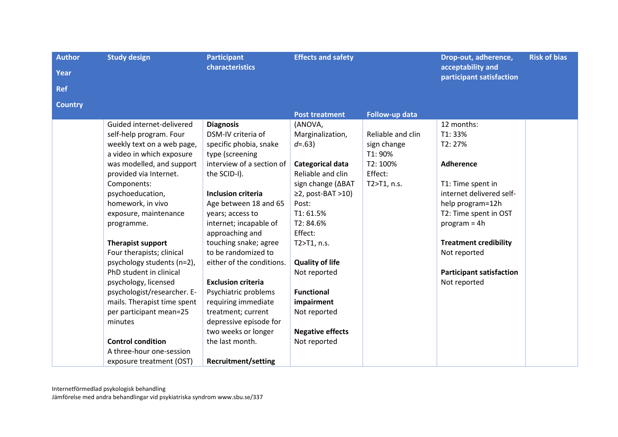| <b>Author</b>  | <b>Study design</b><br><b>Participant</b> |                            | <b>Effects and safety</b>  |                   | Drop-out, adherence,                          | <b>Risk of bias</b> |
|----------------|-------------------------------------------|----------------------------|----------------------------|-------------------|-----------------------------------------------|---------------------|
| Year           |                                           | <b>characteristics</b>     |                            |                   | acceptability and<br>participant satisfaction |                     |
| <b>Ref</b>     |                                           |                            |                            |                   |                                               |                     |
| <b>Country</b> |                                           |                            |                            |                   |                                               |                     |
|                |                                           |                            | <b>Post treatment</b>      | Follow-up data    |                                               |                     |
|                | Guided internet-delivered                 | <b>Diagnosis</b>           | (ANOVA,                    |                   | 12 months:                                    |                     |
|                | self-help program. Four                   | DSM-IV criteria of         | Marginalization,           | Reliable and clin | T1:33%                                        |                     |
|                | weekly text on a web page,                | specific phobia, snake     | $d = .63$                  | sign change       | T2: 27%                                       |                     |
|                | a video in which exposure                 | type (screening            |                            | T1: 90%           |                                               |                     |
|                | was modelled, and support                 | interview of a section of  | Categorical data           | T2: 100%          | <b>Adherence</b>                              |                     |
|                | provided via Internet.                    | the SCID-I).               | Reliable and clin          | Effect:           |                                               |                     |
|                | Components:                               |                            | sign change (∆BAT          | T2>T1, n.s.       | T1: Time spent in                             |                     |
|                | psychoeducation,                          | <b>Inclusion criteria</b>  | $\geq$ 2, post-BAT $>$ 10) |                   | internet delivered self-                      |                     |
|                | homework, in vivo                         | Age between 18 and 65      | Post:                      |                   | help program=12h                              |                     |
|                | exposure, maintenance                     | years; access to           | T1:61.5%                   |                   | T2: Time spent in OST                         |                     |
|                | programme.                                | internet; incapable of     | T2: 84.6%                  |                   | $program = 4h$                                |                     |
|                |                                           | approaching and            | Effect:                    |                   |                                               |                     |
|                | <b>Therapist support</b>                  | touching snake; agree      | T2>T1, n.s.                |                   | <b>Treatment credibility</b>                  |                     |
|                | Four therapists; clinical                 | to be randomized to        |                            |                   | Not reported                                  |                     |
|                | psychology students (n=2),                | either of the conditions.  | <b>Quality of life</b>     |                   |                                               |                     |
|                | PhD student in clinical                   |                            | Not reported               |                   | <b>Participant satisfaction</b>               |                     |
|                | psychology, licensed                      | <b>Exclusion criteria</b>  |                            |                   | Not reported                                  |                     |
|                | psychologist/researcher. E-               | Psychiatric problems       | <b>Functional</b>          |                   |                                               |                     |
|                | mails. Therapist time spent               | requiring immediate        | impairment                 |                   |                                               |                     |
|                | per participant mean=25                   | treatment; current         | Not reported               |                   |                                               |                     |
|                | minutes                                   | depressive episode for     |                            |                   |                                               |                     |
|                |                                           | two weeks or longer        | <b>Negative effects</b>    |                   |                                               |                     |
|                | <b>Control condition</b>                  | the last month.            | Not reported               |                   |                                               |                     |
|                | A three-hour one-session                  |                            |                            |                   |                                               |                     |
|                | exposure treatment (OST)                  | <b>Recruitment/setting</b> |                            |                   |                                               |                     |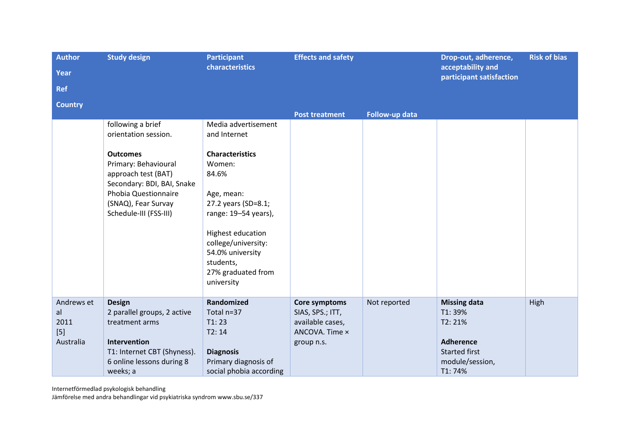| <b>Author</b><br>Year<br><b>Ref</b>            | <b>Study design</b>                                                                                                                                                                                                | <b>Participant</b><br>characteristics                                                                                                                                                                                                                          | <b>Effects and safety</b>                                                             |                | Drop-out, adherence,<br>acceptability and<br>participant satisfaction                                             | <b>Risk of bias</b> |
|------------------------------------------------|--------------------------------------------------------------------------------------------------------------------------------------------------------------------------------------------------------------------|----------------------------------------------------------------------------------------------------------------------------------------------------------------------------------------------------------------------------------------------------------------|---------------------------------------------------------------------------------------|----------------|-------------------------------------------------------------------------------------------------------------------|---------------------|
| <b>Country</b>                                 |                                                                                                                                                                                                                    |                                                                                                                                                                                                                                                                | <b>Post treatment</b>                                                                 | Follow-up data |                                                                                                                   |                     |
|                                                | following a brief<br>orientation session.<br><b>Outcomes</b><br>Primary: Behavioural<br>approach test (BAT)<br>Secondary: BDI, BAI, Snake<br>Phobia Questionnaire<br>(SNAQ), Fear Survay<br>Schedule-III (FSS-III) | Media advertisement<br>and Internet<br><b>Characteristics</b><br>Women:<br>84.6%<br>Age, mean:<br>27.2 years (SD=8.1;<br>range: 19-54 years),<br>Highest education<br>college/university:<br>54.0% university<br>students,<br>27% graduated from<br>university |                                                                                       |                |                                                                                                                   |                     |
| Andrews et<br>al<br>2011<br>$[5]$<br>Australia | <b>Design</b><br>2 parallel groups, 2 active<br>treatment arms<br>Intervention<br>T1: Internet CBT (Shyness).<br>6 online lessons during 8<br>weeks; a                                                             | Randomized<br>Total n=37<br>T1:23<br>T2:14<br><b>Diagnosis</b><br>Primary diagnosis of<br>social phobia according                                                                                                                                              | Core symptoms<br>SIAS, SPS.; ITT,<br>available cases,<br>ANCOVA. Time x<br>group n.s. | Not reported   | <b>Missing data</b><br>T1:39%<br>T2: 21%<br><b>Adherence</b><br><b>Started first</b><br>module/session,<br>T1:74% | High                |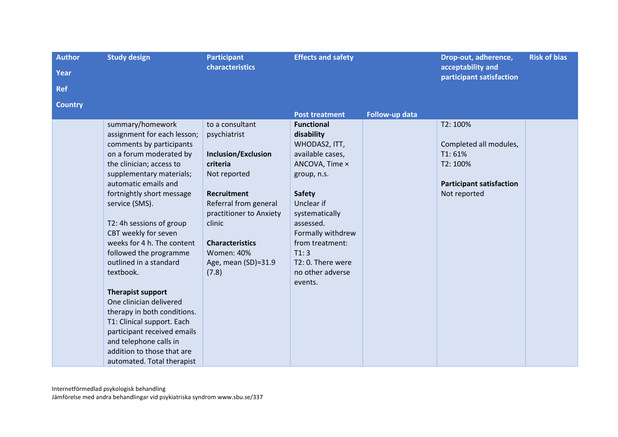| <b>Author</b>  | <b>Study design</b>                              | <b>Participant</b>         | <b>Effects and safety</b> |                | Drop-out, adherence,                            | <b>Risk of bias</b> |
|----------------|--------------------------------------------------|----------------------------|---------------------------|----------------|-------------------------------------------------|---------------------|
| Year           |                                                  | characteristics            |                           |                | acceptability and<br>participant satisfaction   |                     |
| <b>Ref</b>     |                                                  |                            |                           |                |                                                 |                     |
| <b>Country</b> |                                                  |                            |                           |                |                                                 |                     |
|                |                                                  |                            | <b>Post treatment</b>     | Follow-up data |                                                 |                     |
|                | summary/homework                                 | to a consultant            | <b>Functional</b>         |                | T2: 100%                                        |                     |
|                | assignment for each lesson;                      | psychiatrist               | disability                |                |                                                 |                     |
|                | comments by participants                         |                            | WHODAS2, ITT,             |                | Completed all modules,                          |                     |
|                | on a forum moderated by                          | <b>Inclusion/Exclusion</b> | available cases,          |                | T1:61%                                          |                     |
|                | the clinician; access to                         | criteria                   | ANCOVA, Time x            |                | T2: 100%                                        |                     |
|                | supplementary materials;<br>automatic emails and | Not reported               | group, n.s.               |                |                                                 |                     |
|                | fortnightly short message                        | <b>Recruitment</b>         | <b>Safety</b>             |                | <b>Participant satisfaction</b><br>Not reported |                     |
|                | service (SMS).                                   | Referral from general      | Unclear if                |                |                                                 |                     |
|                |                                                  | practitioner to Anxiety    | systematically            |                |                                                 |                     |
|                | T2: 4h sessions of group                         | clinic                     | assessed.                 |                |                                                 |                     |
|                | CBT weekly for seven                             |                            | Formally withdrew         |                |                                                 |                     |
|                | weeks for 4 h. The content                       | <b>Characteristics</b>     | from treatment:           |                |                                                 |                     |
|                | followed the programme                           | <b>Women: 40%</b>          | T1:3                      |                |                                                 |                     |
|                | outlined in a standard                           | Age, mean (SD)=31.9        | T2: 0. There were         |                |                                                 |                     |
|                | textbook.                                        | (7.8)                      | no other adverse          |                |                                                 |                     |
|                |                                                  |                            | events.                   |                |                                                 |                     |
|                | <b>Therapist support</b>                         |                            |                           |                |                                                 |                     |
|                | One clinician delivered                          |                            |                           |                |                                                 |                     |
|                | therapy in both conditions.                      |                            |                           |                |                                                 |                     |
|                | T1: Clinical support. Each                       |                            |                           |                |                                                 |                     |
|                | participant received emails                      |                            |                           |                |                                                 |                     |
|                | and telephone calls in                           |                            |                           |                |                                                 |                     |
|                | addition to those that are                       |                            |                           |                |                                                 |                     |
|                | automated. Total therapist                       |                            |                           |                |                                                 |                     |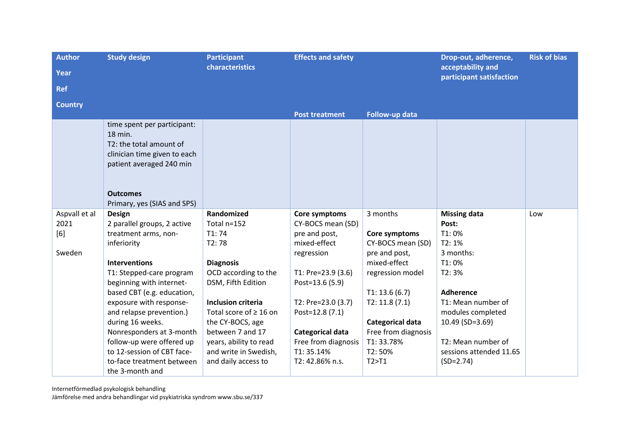| <b>Author</b>  | <b>Study design</b>          | <b>Participant</b>          |                       | <b>Effects and safety</b> |                                               | <b>Risk of bias</b> |
|----------------|------------------------------|-----------------------------|-----------------------|---------------------------|-----------------------------------------------|---------------------|
| Year           |                              | characteristics             |                       |                           | acceptability and<br>participant satisfaction |                     |
| <b>Ref</b>     |                              |                             |                       |                           |                                               |                     |
| <b>Country</b> |                              |                             |                       |                           |                                               |                     |
|                |                              |                             | <b>Post treatment</b> | Follow-up data            |                                               |                     |
|                | time spent per participant:  |                             |                       |                           |                                               |                     |
|                | 18 min.                      |                             |                       |                           |                                               |                     |
|                | T2: the total amount of      |                             |                       |                           |                                               |                     |
|                | clinician time given to each |                             |                       |                           |                                               |                     |
|                | patient averaged 240 min     |                             |                       |                           |                                               |                     |
|                |                              |                             |                       |                           |                                               |                     |
|                |                              |                             |                       |                           |                                               |                     |
|                | <b>Outcomes</b>              |                             |                       |                           |                                               |                     |
|                | Primary, yes (SIAS and SPS)  |                             |                       |                           |                                               |                     |
| Aspvall et al  | <b>Design</b>                | Randomized                  | Core symptoms         | 3 months                  | <b>Missing data</b>                           | Low                 |
| 2021           | 2 parallel groups, 2 active  | Total n=152                 | CY-BOCS mean (SD)     |                           | Post:                                         |                     |
| [6]            | treatment arms, non-         | T1:74                       | pre and post,         | Core symptoms             | T1:0%                                         |                     |
|                | inferiority                  | T2:78                       | mixed-effect          | CY-BOCS mean (SD)         | T2:1%                                         |                     |
| Sweden         |                              |                             | regression            | pre and post,             | 3 months:                                     |                     |
|                | <b>Interventions</b>         | <b>Diagnosis</b>            |                       | mixed-effect              | T1:0%                                         |                     |
|                | T1: Stepped-care program     | OCD according to the        | T1: Pre=23.9 (3.6)    | regression model          | T2:3%                                         |                     |
|                | beginning with internet-     | DSM, Fifth Edition          | Post=13.6 (5.9)       |                           |                                               |                     |
|                | based CBT (e.g. education,   |                             |                       | T1: 13.6(6.7)             | <b>Adherence</b>                              |                     |
|                | exposure with response-      | <b>Inclusion criteria</b>   | T2: Pre=23.0 (3.7)    | T2: 11.8(7.1)             | T1: Mean number of                            |                     |
|                | and relapse prevention.)     | Total score of $\geq 16$ on | Post=12.8 (7.1)       |                           | modules completed                             |                     |
|                | during 16 weeks.             | the CY-BOCS, age            |                       | Categorical data          | 10.49 (SD=3.69)                               |                     |
|                | Nonresponders at 3-month     | between 7 and 17            | Categorical data      | Free from diagnosis       |                                               |                     |
|                | follow-up were offered up    | years, ability to read      | Free from diagnosis   | T1:33.78%                 | T2: Mean number of                            |                     |
|                | to 12-session of CBT face-   | and write in Swedish,       | T1:35.14%             | T2:50%                    | sessions attended 11.65                       |                     |
|                | to-face treatment between    | and daily access to         | T2: 42.86% n.s.       | T2 > T1                   | $(SD=2.74)$                                   |                     |
|                | the 3-month and              |                             |                       |                           |                                               |                     |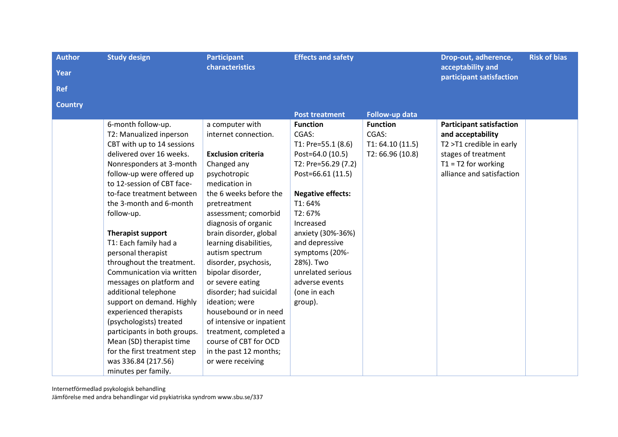| <b>Author</b><br>Year        | <b>Study design</b>                                                                                                                                                                                                                                                                                                                                                                                                                                                                                                                                                                                                                                                                | <b>Participant</b><br>characteristics                                                                                                                                                                                                                                                                                                                                                                                                                                                                                                                      | <b>Effects and safety</b>                                                                                                                                                                                                                                                                                           |                                                                 | Drop-out, adherence,<br>acceptability and<br>participant satisfaction                                                                                         | <b>Risk of bias</b> |
|------------------------------|------------------------------------------------------------------------------------------------------------------------------------------------------------------------------------------------------------------------------------------------------------------------------------------------------------------------------------------------------------------------------------------------------------------------------------------------------------------------------------------------------------------------------------------------------------------------------------------------------------------------------------------------------------------------------------|------------------------------------------------------------------------------------------------------------------------------------------------------------------------------------------------------------------------------------------------------------------------------------------------------------------------------------------------------------------------------------------------------------------------------------------------------------------------------------------------------------------------------------------------------------|---------------------------------------------------------------------------------------------------------------------------------------------------------------------------------------------------------------------------------------------------------------------------------------------------------------------|-----------------------------------------------------------------|---------------------------------------------------------------------------------------------------------------------------------------------------------------|---------------------|
| <b>Ref</b><br><b>Country</b> |                                                                                                                                                                                                                                                                                                                                                                                                                                                                                                                                                                                                                                                                                    |                                                                                                                                                                                                                                                                                                                                                                                                                                                                                                                                                            | <b>Post treatment</b>                                                                                                                                                                                                                                                                                               | Follow-up data                                                  |                                                                                                                                                               |                     |
|                              | 6-month follow-up.<br>T2: Manualized inperson<br>CBT with up to 14 sessions<br>delivered over 16 weeks.<br>Nonresponders at 3-month<br>follow-up were offered up<br>to 12-session of CBT face-<br>to-face treatment between<br>the 3-month and 6-month<br>follow-up.<br>Therapist support<br>T1: Each family had a<br>personal therapist<br>throughout the treatment.<br>Communication via written<br>messages on platform and<br>additional telephone<br>support on demand. Highly<br>experienced therapists<br>(psychologists) treated<br>participants in both groups.<br>Mean (SD) therapist time<br>for the first treatment step<br>was 336.84 (217.56)<br>minutes per family. | a computer with<br>internet connection.<br><b>Exclusion criteria</b><br>Changed any<br>psychotropic<br>medication in<br>the 6 weeks before the<br>pretreatment<br>assessment; comorbid<br>diagnosis of organic<br>brain disorder, global<br>learning disabilities,<br>autism spectrum<br>disorder, psychosis,<br>bipolar disorder,<br>or severe eating<br>disorder; had suicidal<br>ideation; were<br>housebound or in need<br>of intensive or inpatient<br>treatment, completed a<br>course of CBT for OCD<br>in the past 12 months;<br>or were receiving | <b>Function</b><br>CGAS:<br>T1: Pre=55.1 (8.6)<br>Post=64.0 (10.5)<br>T2: Pre=56.29 (7.2)<br>Post=66.61 (11.5)<br><b>Negative effects:</b><br>T1:64%<br>T2:67%<br>Increased<br>anxiety (30%-36%)<br>and depressive<br>symptoms (20%-<br>28%). Two<br>unrelated serious<br>adverse events<br>(one in each<br>group). | <b>Function</b><br>CGAS:<br>T1: 64.10(11.5)<br>T2: 66.96 (10.8) | <b>Participant satisfaction</b><br>and acceptability<br>T2 >T1 credible in early<br>stages of treatment<br>$T1 = T2$ for working<br>alliance and satisfaction |                     |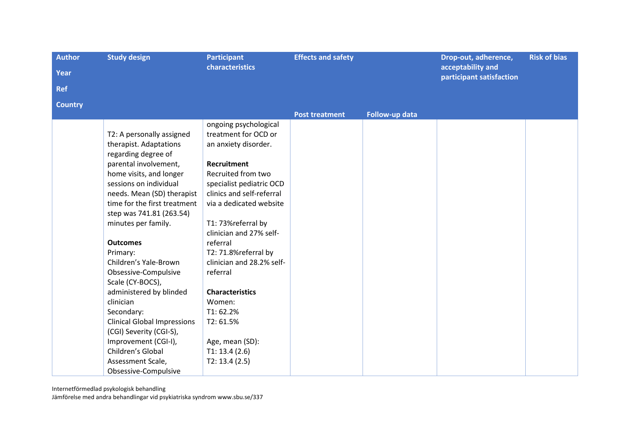| <b>Author</b>  | <b>Study design</b>                | <b>Participant</b>        | <b>Effects and safety</b> |                | Drop-out, adherence,                          | <b>Risk of bias</b> |
|----------------|------------------------------------|---------------------------|---------------------------|----------------|-----------------------------------------------|---------------------|
| Year           |                                    | characteristics           |                           |                | acceptability and<br>participant satisfaction |                     |
| <b>Ref</b>     |                                    |                           |                           |                |                                               |                     |
| <b>Country</b> |                                    |                           |                           |                |                                               |                     |
|                |                                    |                           | <b>Post treatment</b>     | Follow-up data |                                               |                     |
|                |                                    | ongoing psychological     |                           |                |                                               |                     |
|                | T2: A personally assigned          | treatment for OCD or      |                           |                |                                               |                     |
|                | therapist. Adaptations             | an anxiety disorder.      |                           |                |                                               |                     |
|                | regarding degree of                |                           |                           |                |                                               |                     |
|                | parental involvement,              | <b>Recruitment</b>        |                           |                |                                               |                     |
|                | home visits, and longer            | Recruited from two        |                           |                |                                               |                     |
|                | sessions on individual             | specialist pediatric OCD  |                           |                |                                               |                     |
|                | needs. Mean (SD) therapist         | clinics and self-referral |                           |                |                                               |                     |
|                | time for the first treatment       | via a dedicated website   |                           |                |                                               |                     |
|                | step was 741.81 (263.54)           |                           |                           |                |                                               |                     |
|                | minutes per family.                | T1: 73%referral by        |                           |                |                                               |                     |
|                |                                    | clinician and 27% self-   |                           |                |                                               |                     |
|                | <b>Outcomes</b>                    | referral                  |                           |                |                                               |                     |
|                | Primary:                           | T2: 71.8%referral by      |                           |                |                                               |                     |
|                | Children's Yale-Brown              | clinician and 28.2% self- |                           |                |                                               |                     |
|                | Obsessive-Compulsive               | referral                  |                           |                |                                               |                     |
|                | Scale (CY-BOCS),                   |                           |                           |                |                                               |                     |
|                | administered by blinded            | <b>Characteristics</b>    |                           |                |                                               |                     |
|                | clinician                          | Women:                    |                           |                |                                               |                     |
|                | Secondary:                         | T1:62.2%                  |                           |                |                                               |                     |
|                | <b>Clinical Global Impressions</b> | T2:61.5%                  |                           |                |                                               |                     |
|                | (CGI) Severity (CGI-S),            |                           |                           |                |                                               |                     |
|                | Improvement (CGI-I),               | Age, mean (SD):           |                           |                |                                               |                     |
|                | Children's Global                  | T1: 13.4 (2.6)            |                           |                |                                               |                     |
|                | Assessment Scale,                  | T2: 13.4 (2.5)            |                           |                |                                               |                     |
|                | Obsessive-Compulsive               |                           |                           |                |                                               |                     |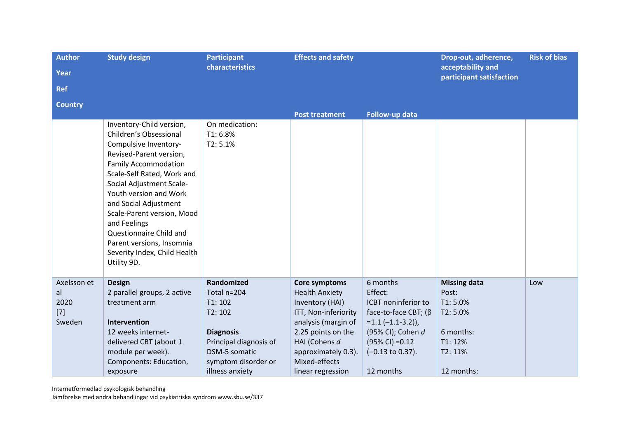| <b>Author</b>  | <b>Study design</b>                                       | <b>Participant</b>     | <b>Effects and safety</b> |                             | Drop-out, adherence,<br>acceptability and | <b>Risk of bias</b> |
|----------------|-----------------------------------------------------------|------------------------|---------------------------|-----------------------------|-------------------------------------------|---------------------|
| <b>Year</b>    |                                                           | characteristics        |                           |                             |                                           |                     |
| <b>Ref</b>     |                                                           |                        |                           |                             | participant satisfaction                  |                     |
| <b>Country</b> |                                                           |                        |                           |                             |                                           |                     |
|                |                                                           |                        | <b>Post treatment</b>     | Follow-up data              |                                           |                     |
|                | Inventory-Child version,                                  | On medication:         |                           |                             |                                           |                     |
|                | Children's Obsessional                                    | T1:6.8%                |                           |                             |                                           |                     |
|                | Compulsive Inventory-                                     | T2:5.1%                |                           |                             |                                           |                     |
|                | Revised-Parent version,                                   |                        |                           |                             |                                           |                     |
|                | <b>Family Accommodation</b>                               |                        |                           |                             |                                           |                     |
|                | Scale-Self Rated, Work and                                |                        |                           |                             |                                           |                     |
|                | Social Adjustment Scale-                                  |                        |                           |                             |                                           |                     |
|                | Youth version and Work                                    |                        |                           |                             |                                           |                     |
|                | and Social Adjustment                                     |                        |                           |                             |                                           |                     |
|                | Scale-Parent version, Mood                                |                        |                           |                             |                                           |                     |
|                | and Feelings                                              |                        |                           |                             |                                           |                     |
|                | Questionnaire Child and                                   |                        |                           |                             |                                           |                     |
|                | Parent versions, Insomnia<br>Severity Index, Child Health |                        |                           |                             |                                           |                     |
|                |                                                           |                        |                           |                             |                                           |                     |
|                | Utility 9D.                                               |                        |                           |                             |                                           |                     |
| Axelsson et    | <b>Design</b>                                             | Randomized             | Core symptoms             | 6 months                    | <b>Missing data</b>                       | Low                 |
| al             | 2 parallel groups, 2 active                               | Total n=204            | <b>Health Anxiety</b>     | Effect:                     | Post:                                     |                     |
| 2020           | treatment arm                                             | T1:102                 | Inventory (HAI)           | ICBT noninferior to         | T1:5.0%                                   |                     |
| $[7]$          |                                                           | T2:102                 | ITT, Non-inferiority      | face-to-face CBT; (β        | T2:5.0%                                   |                     |
| Sweden         | Intervention                                              |                        | analysis (margin of       | $=1.1$ $(-1.1-3.2)$ ,       |                                           |                     |
|                | 12 weeks internet-                                        | <b>Diagnosis</b>       | 2.25 points on the        | (95% CI); Cohen d           | 6 months:                                 |                     |
|                | delivered CBT (about 1                                    | Principal diagnosis of | HAI (Cohens d             | $(95\%$ CI) = 0.12          | T1: 12%                                   |                     |
|                | module per week).                                         | DSM-5 somatic          | approximately 0.3).       | $(-0.13 \text{ to } 0.37).$ | T2: 11%                                   |                     |
|                | Components: Education,                                    | symptom disorder or    | Mixed-effects             |                             |                                           |                     |
|                | exposure                                                  | illness anxiety        | linear regression         | 12 months                   | 12 months:                                |                     |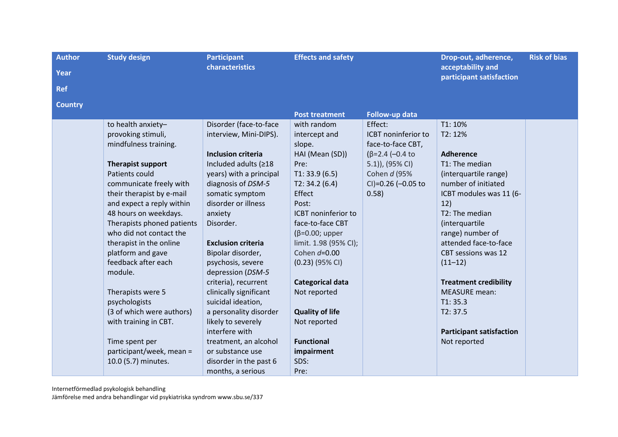| <b>Author</b><br>Year<br><b>Ref</b> | <b>Study design</b>                                                                                                                                                                                                                                                                                                                                                                                                                                                                                                                       | <b>Participant</b><br>characteristics                                                                                                                                                                                                                                                                                                                                                                                                                                                                                                                      | <b>Effects and safety</b>                                                                                                                                                                                                                                                                                                                                                                         |                                                                                                                                                | Drop-out, adherence,<br>acceptability and<br>participant satisfaction                                                                                                                                                                                                                                                                                                                              | <b>Risk of bias</b> |
|-------------------------------------|-------------------------------------------------------------------------------------------------------------------------------------------------------------------------------------------------------------------------------------------------------------------------------------------------------------------------------------------------------------------------------------------------------------------------------------------------------------------------------------------------------------------------------------------|------------------------------------------------------------------------------------------------------------------------------------------------------------------------------------------------------------------------------------------------------------------------------------------------------------------------------------------------------------------------------------------------------------------------------------------------------------------------------------------------------------------------------------------------------------|---------------------------------------------------------------------------------------------------------------------------------------------------------------------------------------------------------------------------------------------------------------------------------------------------------------------------------------------------------------------------------------------------|------------------------------------------------------------------------------------------------------------------------------------------------|----------------------------------------------------------------------------------------------------------------------------------------------------------------------------------------------------------------------------------------------------------------------------------------------------------------------------------------------------------------------------------------------------|---------------------|
| <b>Country</b>                      |                                                                                                                                                                                                                                                                                                                                                                                                                                                                                                                                           |                                                                                                                                                                                                                                                                                                                                                                                                                                                                                                                                                            | <b>Post treatment</b>                                                                                                                                                                                                                                                                                                                                                                             | Follow-up data                                                                                                                                 |                                                                                                                                                                                                                                                                                                                                                                                                    |                     |
|                                     | to health anxiety-<br>provoking stimuli,<br>mindfulness training.<br><b>Therapist support</b><br>Patients could<br>communicate freely with<br>their therapist by e-mail<br>and expect a reply within<br>48 hours on weekdays.<br>Therapists phoned patients<br>who did not contact the<br>therapist in the online<br>platform and gave<br>feedback after each<br>module.<br>Therapists were 5<br>psychologists<br>(3 of which were authors)<br>with training in CBT.<br>Time spent per<br>participant/week, mean =<br>10.0 (5.7) minutes. | Disorder (face-to-face<br>interview, Mini-DIPS).<br><b>Inclusion criteria</b><br>Included adults (≥18<br>years) with a principal<br>diagnosis of DSM-5<br>somatic symptom<br>disorder or illness<br>anxiety<br>Disorder.<br><b>Exclusion criteria</b><br>Bipolar disorder,<br>psychosis, severe<br>depression (DSM-5<br>criteria), recurrent<br>clinically significant<br>suicidal ideation,<br>a personality disorder<br>likely to severely<br>interfere with<br>treatment, an alcohol<br>or substance use<br>disorder in the past 6<br>months, a serious | with random<br>intercept and<br>slope.<br>HAI (Mean (SD))<br>Pre:<br>T1: 33.9(6.5)<br>T2: 34.2(6.4)<br>Effect<br>Post:<br>ICBT noninferior to<br>face-to-face CBT<br>$(\beta=0.00;$ upper<br>limit. 1.98 (95% CI);<br>Cohen $d=0.00$<br>$(0.23)$ (95% CI)<br><b>Categorical data</b><br>Not reported<br><b>Quality of life</b><br>Not reported<br><b>Functional</b><br>impairment<br>SDS:<br>Pre: | Effect:<br>ICBT noninferior to<br>face-to-face CBT,<br>$(\beta = 2.4 (-0.4)$<br>5.1)), (95% CI)<br>Cohen d (95%<br>CI)=0.26 (-0.05 to<br>0.58) | T1: 10%<br>T2: 12%<br><b>Adherence</b><br>T1: The median<br>(interquartile range)<br>number of initiated<br>ICBT modules was 11 (6-<br>12)<br>T2: The median<br>(interquartile<br>range) number of<br>attended face-to-face<br>CBT sessions was 12<br>$(11-12)$<br><b>Treatment credibility</b><br><b>MEASURE</b> mean:<br>T1: 35.3<br>T2: 37.5<br><b>Participant satisfaction</b><br>Not reported |                     |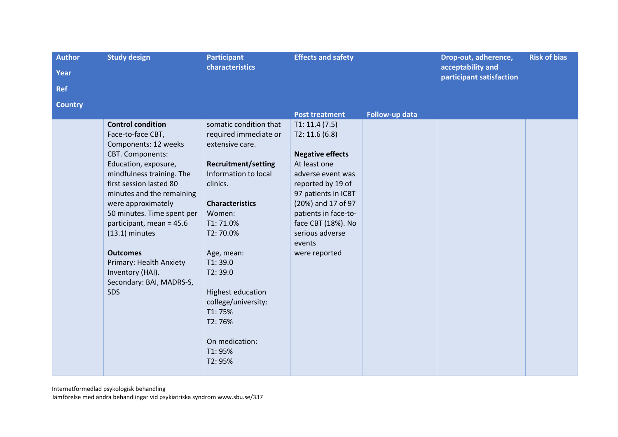| <b>Author</b>  | <b>Study design</b><br><b>Participant</b>                                                                                                                                                                                                                                                                                                                      |                                                                                                                                                                                                                                                   | <b>Effects and safety</b>                                                                                                                                                                                                  |                | Drop-out, adherence,                          | <b>Risk of bias</b> |
|----------------|----------------------------------------------------------------------------------------------------------------------------------------------------------------------------------------------------------------------------------------------------------------------------------------------------------------------------------------------------------------|---------------------------------------------------------------------------------------------------------------------------------------------------------------------------------------------------------------------------------------------------|----------------------------------------------------------------------------------------------------------------------------------------------------------------------------------------------------------------------------|----------------|-----------------------------------------------|---------------------|
| <b>Year</b>    |                                                                                                                                                                                                                                                                                                                                                                | characteristics                                                                                                                                                                                                                                   |                                                                                                                                                                                                                            |                | acceptability and<br>participant satisfaction |                     |
| <b>Ref</b>     |                                                                                                                                                                                                                                                                                                                                                                |                                                                                                                                                                                                                                                   |                                                                                                                                                                                                                            |                |                                               |                     |
| <b>Country</b> |                                                                                                                                                                                                                                                                                                                                                                |                                                                                                                                                                                                                                                   |                                                                                                                                                                                                                            |                |                                               |                     |
|                | <b>Control condition</b><br>Face-to-face CBT,                                                                                                                                                                                                                                                                                                                  | somatic condition that<br>required immediate or                                                                                                                                                                                                   | <b>Post treatment</b><br>T1: 11.4(7.5)<br>T2: 11.6(6.8)                                                                                                                                                                    | Follow-up data |                                               |                     |
|                | Components: 12 weeks<br>CBT. Components:<br>Education, exposure,<br>mindfulness training. The<br>first session lasted 80<br>minutes and the remaining<br>were approximately<br>50 minutes. Time spent per<br>participant, mean = 45.6<br>$(13.1)$ minutes<br><b>Outcomes</b><br>Primary: Health Anxiety<br>Inventory (HAI).<br>Secondary: BAI, MADRS-S,<br>SDS | extensive care.<br><b>Recruitment/setting</b><br>Information to local<br>clinics.<br><b>Characteristics</b><br>Women:<br>T1:71.0%<br>T2:70.0%<br>Age, mean:<br>T1:39.0<br>T2:39.0<br>Highest education<br>college/university:<br>T1:75%<br>T2:76% | <b>Negative effects</b><br>At least one<br>adverse event was<br>reported by 19 of<br>97 patients in ICBT<br>(20%) and 17 of 97<br>patients in face-to-<br>face CBT (18%). No<br>serious adverse<br>events<br>were reported |                |                                               |                     |
|                |                                                                                                                                                                                                                                                                                                                                                                | On medication:<br>T1:95%<br>T2:95%                                                                                                                                                                                                                |                                                                                                                                                                                                                            |                |                                               |                     |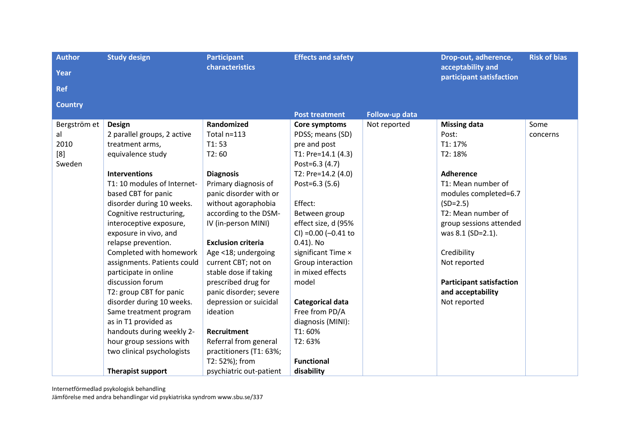| <b>Author</b>  | <b>Study design</b>         | <b>Participant</b>        | <b>Effects and safety</b> |                | Drop-out, adherence,                          | <b>Risk of bias</b> |
|----------------|-----------------------------|---------------------------|---------------------------|----------------|-----------------------------------------------|---------------------|
| <b>Year</b>    |                             | characteristics           |                           |                | acceptability and<br>participant satisfaction |                     |
| <b>Ref</b>     |                             |                           |                           |                |                                               |                     |
| <b>Country</b> |                             |                           |                           |                |                                               |                     |
|                |                             |                           | <b>Post treatment</b>     | Follow-up data |                                               |                     |
| Bergström et   | <b>Design</b>               | Randomized                | Core symptoms             | Not reported   | <b>Missing data</b>                           | Some                |
| al             | 2 parallel groups, 2 active | Total n=113               | PDSS; means (SD)          |                | Post:                                         | concerns            |
| 2010           | treatment arms,             | T1:53                     | pre and post              |                | T1: 17%                                       |                     |
| [8]            | equivalence study           | T2:60                     | T1: Pre=14.1 (4.3)        |                | T2: 18%                                       |                     |
| Sweden         |                             |                           | Post=6.3 (4.7)            |                |                                               |                     |
|                | <b>Interventions</b>        | <b>Diagnosis</b>          | T2: Pre=14.2 (4.0)        |                | <b>Adherence</b>                              |                     |
|                | T1: 10 modules of Internet- | Primary diagnosis of      | Post=6.3 (5.6)            |                | T1: Mean number of                            |                     |
|                | based CBT for panic         | panic disorder with or    |                           |                | modules completed=6.7                         |                     |
|                | disorder during 10 weeks.   | without agoraphobia       | Effect:                   |                | $(SD=2.5)$                                    |                     |
|                | Cognitive restructuring,    | according to the DSM-     | Between group             |                | T2: Mean number of                            |                     |
|                | interoceptive exposure,     | IV (in-person MINI)       | effect size, d (95%       |                | group sessions attended                       |                     |
|                | exposure in vivo, and       |                           | CI) = 0.00 (-0.41 to      |                | was 8.1 (SD=2.1).                             |                     |
|                | relapse prevention.         | <b>Exclusion criteria</b> | $0.41$ ). No              |                |                                               |                     |
|                | Completed with homework     | Age <18; undergoing       | significant Time x        |                | Credibility                                   |                     |
|                | assignments. Patients could | current CBT; not on       | Group interaction         |                | Not reported                                  |                     |
|                | participate in online       | stable dose if taking     | in mixed effects          |                |                                               |                     |
|                | discussion forum            | prescribed drug for       | model                     |                | <b>Participant satisfaction</b>               |                     |
|                | T2: group CBT for panic     | panic disorder; severe    |                           |                | and acceptability                             |                     |
|                | disorder during 10 weeks.   | depression or suicidal    | Categorical data          |                | Not reported                                  |                     |
|                | Same treatment program      | ideation                  | Free from PD/A            |                |                                               |                     |
|                | as in T1 provided as        |                           | diagnosis (MINI):         |                |                                               |                     |
|                | handouts during weekly 2-   | <b>Recruitment</b>        | T1:60%                    |                |                                               |                     |
|                | hour group sessions with    | Referral from general     | T2:63%                    |                |                                               |                     |
|                | two clinical psychologists  | practitioners (T1: 63%;   |                           |                |                                               |                     |
|                |                             | T2: 52%); from            | <b>Functional</b>         |                |                                               |                     |
|                | <b>Therapist support</b>    | psychiatric out-patient   | disability                |                |                                               |                     |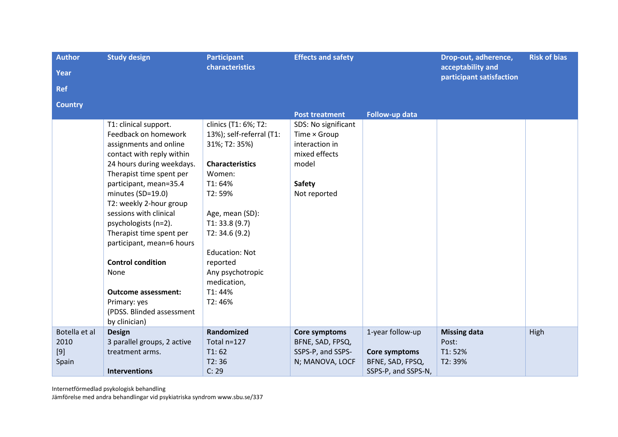| <b>Author</b>  | <b>Study design</b>         | <b>Participant</b><br>characteristics | <b>Effects and safety</b> |                     | Drop-out, adherence,<br>acceptability and | <b>Risk of bias</b> |
|----------------|-----------------------------|---------------------------------------|---------------------------|---------------------|-------------------------------------------|---------------------|
| Year           |                             |                                       |                           |                     | participant satisfaction                  |                     |
| <b>Ref</b>     |                             |                                       |                           |                     |                                           |                     |
| <b>Country</b> |                             |                                       |                           |                     |                                           |                     |
|                |                             |                                       | <b>Post treatment</b>     | Follow-up data      |                                           |                     |
|                | T1: clinical support.       | clinics (T1: 6%; T2:                  | SDS: No significant       |                     |                                           |                     |
|                | Feedback on homework        | 13%); self-referral (T1:              | Time × Group              |                     |                                           |                     |
|                | assignments and online      | 31%; T2: 35%)                         | interaction in            |                     |                                           |                     |
|                | contact with reply within   |                                       | mixed effects             |                     |                                           |                     |
|                | 24 hours during weekdays.   | <b>Characteristics</b>                | model                     |                     |                                           |                     |
|                | Therapist time spent per    | Women:                                |                           |                     |                                           |                     |
|                | participant, mean=35.4      | T1:64%                                | <b>Safety</b>             |                     |                                           |                     |
|                | minutes (SD=19.0)           | T2:59%                                | Not reported              |                     |                                           |                     |
|                | T2: weekly 2-hour group     |                                       |                           |                     |                                           |                     |
|                | sessions with clinical      | Age, mean (SD):                       |                           |                     |                                           |                     |
|                | psychologists (n=2).        | T1: 33.8(9.7)                         |                           |                     |                                           |                     |
|                | Therapist time spent per    | T2: 34.6 (9.2)                        |                           |                     |                                           |                     |
|                | participant, mean=6 hours   |                                       |                           |                     |                                           |                     |
|                |                             | <b>Education: Not</b>                 |                           |                     |                                           |                     |
|                | <b>Control condition</b>    | reported                              |                           |                     |                                           |                     |
|                | None                        | Any psychotropic                      |                           |                     |                                           |                     |
|                |                             | medication,                           |                           |                     |                                           |                     |
|                | <b>Outcome assessment:</b>  | T1:44%                                |                           |                     |                                           |                     |
|                | Primary: yes                | T2:46%                                |                           |                     |                                           |                     |
|                | (PDSS. Blinded assessment   |                                       |                           |                     |                                           |                     |
|                | by clinician)               |                                       |                           |                     |                                           |                     |
| Botella et al  | <b>Design</b>               | Randomized                            | Core symptoms             | 1-year follow-up    | <b>Missing data</b>                       | High                |
| 2010           | 3 parallel groups, 2 active | Total n=127                           | BFNE, SAD, FPSQ,          |                     | Post:                                     |                     |
| $[9]$          | treatment arms.             | T1:62                                 | SSPS-P, and SSPS-         | Core symptoms       | T1:52%                                    |                     |
| Spain          |                             | T2:36                                 | N; MANOVA, LOCF           | BFNE, SAD, FPSQ,    | T2:39%                                    |                     |
|                | <b>Interventions</b>        | C: 29                                 |                           | SSPS-P, and SSPS-N, |                                           |                     |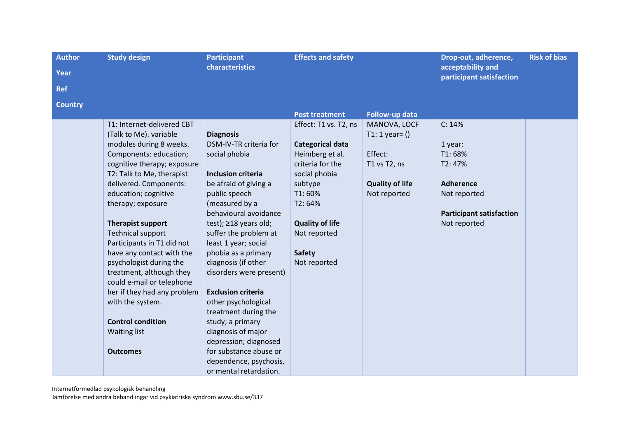| <b>Author</b>  | <b>Study design</b>         | <b>Participant</b>          | <b>Effects and safety</b> |                        | Drop-out, adherence,                          | <b>Risk of bias</b> |
|----------------|-----------------------------|-----------------------------|---------------------------|------------------------|-----------------------------------------------|---------------------|
| Year           |                             | characteristics             |                           |                        | acceptability and<br>participant satisfaction |                     |
| <b>Ref</b>     |                             |                             |                           |                        |                                               |                     |
| <b>Country</b> |                             |                             |                           |                        |                                               |                     |
|                |                             |                             | <b>Post treatment</b>     | Follow-up data         |                                               |                     |
|                | T1: Internet-delivered CBT  |                             | Effect: T1 vs. T2, ns     | MANOVA, LOCF           | C: 14%                                        |                     |
|                | (Talk to Me). variable      | <b>Diagnosis</b>            |                           | T1: 1 year= $()$       |                                               |                     |
|                | modules during 8 weeks.     | DSM-IV-TR criteria for      | Categorical data          |                        | 1 year:                                       |                     |
|                | Components: education;      | social phobia               | Heimberg et al.           | Effect:                | T1:68%                                        |                     |
|                | cognitive therapy; exposure |                             | criteria for the          | T1 vs T2, ns           | T2: 47%                                       |                     |
|                | T2: Talk to Me, therapist   | <b>Inclusion criteria</b>   | social phobia             |                        |                                               |                     |
|                | delivered. Components:      | be afraid of giving a       | subtype                   | <b>Quality of life</b> | <b>Adherence</b>                              |                     |
|                | education; cognitive        | public speech               | T1:60%                    | Not reported           | Not reported                                  |                     |
|                | therapy; exposure           | (measured by a              | T2:64%                    |                        |                                               |                     |
|                |                             | behavioural avoidance       |                           |                        | <b>Participant satisfaction</b>               |                     |
|                | <b>Therapist support</b>    | test); $\geq$ 18 years old; | <b>Quality of life</b>    |                        | Not reported                                  |                     |
|                | <b>Technical support</b>    | suffer the problem at       | Not reported              |                        |                                               |                     |
|                | Participants in T1 did not  | least 1 year; social        |                           |                        |                                               |                     |
|                | have any contact with the   | phobia as a primary         | <b>Safety</b>             |                        |                                               |                     |
|                | psychologist during the     | diagnosis (if other         | Not reported              |                        |                                               |                     |
|                | treatment, although they    | disorders were present)     |                           |                        |                                               |                     |
|                | could e-mail or telephone   |                             |                           |                        |                                               |                     |
|                | her if they had any problem | <b>Exclusion criteria</b>   |                           |                        |                                               |                     |
|                | with the system.            | other psychological         |                           |                        |                                               |                     |
|                |                             | treatment during the        |                           |                        |                                               |                     |
|                | <b>Control condition</b>    | study; a primary            |                           |                        |                                               |                     |
|                | <b>Waiting list</b>         | diagnosis of major          |                           |                        |                                               |                     |
|                |                             | depression; diagnosed       |                           |                        |                                               |                     |
|                | <b>Outcomes</b>             | for substance abuse or      |                           |                        |                                               |                     |
|                |                             | dependence, psychosis,      |                           |                        |                                               |                     |
|                |                             | or mental retardation.      |                           |                        |                                               |                     |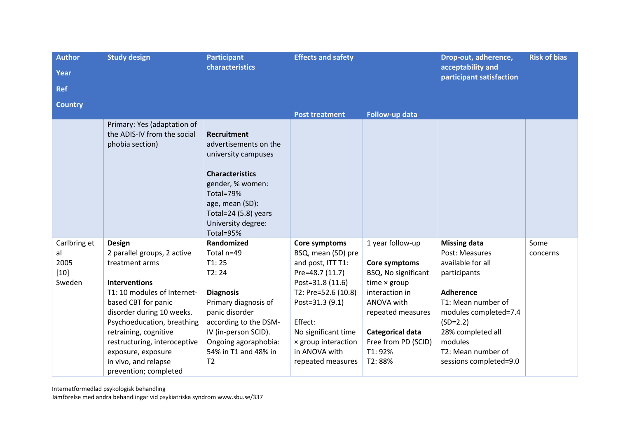| <b>Author</b>  | <b>Study design</b>                                                           | <b>Participant</b>                                                                                                                                                                                            | <b>Effects and safety</b> |                              | Drop-out, adherence,                          | <b>Risk of bias</b> |
|----------------|-------------------------------------------------------------------------------|---------------------------------------------------------------------------------------------------------------------------------------------------------------------------------------------------------------|---------------------------|------------------------------|-----------------------------------------------|---------------------|
| Year           |                                                                               | characteristics                                                                                                                                                                                               |                           |                              | acceptability and<br>participant satisfaction |                     |
| <b>Ref</b>     |                                                                               |                                                                                                                                                                                                               |                           |                              |                                               |                     |
| <b>Country</b> |                                                                               |                                                                                                                                                                                                               |                           |                              |                                               |                     |
|                |                                                                               |                                                                                                                                                                                                               | <b>Post treatment</b>     | Follow-up data               |                                               |                     |
|                | Primary: Yes (adaptation of<br>the ADIS-IV from the social<br>phobia section) | <b>Recruitment</b><br>advertisements on the<br>university campuses<br><b>Characteristics</b><br>gender, % women:<br>Total=79%<br>age, mean (SD):<br>Total=24 $(5.8)$ years<br>University degree:<br>Total=95% |                           |                              |                                               |                     |
| Carlbring et   | <b>Design</b>                                                                 | Randomized                                                                                                                                                                                                    | Core symptoms             | 1 year follow-up             | <b>Missing data</b>                           | Some                |
| al             | 2 parallel groups, 2 active                                                   | Total n=49                                                                                                                                                                                                    | BSQ, mean (SD) pre        |                              | Post: Measures                                | concerns            |
| 2005           | treatment arms                                                                | T1:25                                                                                                                                                                                                         | and post, ITT T1:         | Core symptoms                | available for all                             |                     |
| $[10]$         |                                                                               | T2:24                                                                                                                                                                                                         | Pre=48.7 (11.7)           | BSQ, No significant          | participants                                  |                     |
| Sweden         | <b>Interventions</b>                                                          |                                                                                                                                                                                                               | Post=31.8 (11.6)          | time $\times$ group          |                                               |                     |
|                | T1: 10 modules of Internet-                                                   | <b>Diagnosis</b>                                                                                                                                                                                              | T2: Pre=52.6 (10.8)       | interaction in<br>ANOVA with | <b>Adherence</b><br>T1: Mean number of        |                     |
|                | based CBT for panic<br>disorder during 10 weeks.                              | Primary diagnosis of<br>panic disorder                                                                                                                                                                        | Post=31.3 (9.1)           | repeated measures            | modules completed=7.4                         |                     |
|                | Psychoeducation, breathing                                                    | according to the DSM-                                                                                                                                                                                         | Effect:                   |                              | $(SD=2.2)$                                    |                     |
|                | retraining, cognitive                                                         | IV (in-person SCID).                                                                                                                                                                                          | No significant time       | Categorical data             | 28% completed all                             |                     |
|                | restructuring, interoceptive                                                  | Ongoing agoraphobia:                                                                                                                                                                                          | x group interaction       | Free from PD (SCID)          | modules                                       |                     |
|                | exposure, exposure                                                            | 54% in T1 and 48% in                                                                                                                                                                                          | in ANOVA with             | T1: 92%                      | T2: Mean number of                            |                     |
|                | in vivo, and relapse                                                          | T <sub>2</sub>                                                                                                                                                                                                | repeated measures         | T2:88%                       | sessions completed=9.0                        |                     |
|                | prevention; completed                                                         |                                                                                                                                                                                                               |                           |                              |                                               |                     |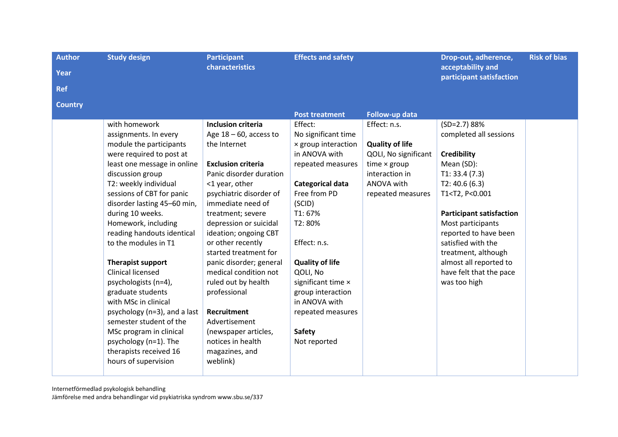| <b>Author</b><br>Year | <b>Study design</b>                                | <b>Participant</b><br><b>characteristics</b> | <b>Effects and safety</b>        |                                | Drop-out, adherence,<br>acceptability and<br>participant satisfaction | <b>Risk of bias</b> |
|-----------------------|----------------------------------------------------|----------------------------------------------|----------------------------------|--------------------------------|-----------------------------------------------------------------------|---------------------|
| <b>Ref</b>            |                                                    |                                              |                                  |                                |                                                                       |                     |
| <b>Country</b>        |                                                    |                                              |                                  |                                |                                                                       |                     |
|                       | with homework                                      | <b>Inclusion criteria</b>                    | <b>Post treatment</b><br>Effect: | Follow-up data<br>Effect: n.s. | $(SD=2.7) 88%$                                                        |                     |
|                       | assignments. In every                              | Age $18 - 60$ , access to                    | No significant time              |                                | completed all sessions                                                |                     |
|                       | module the participants                            | the Internet                                 | x group interaction              | <b>Quality of life</b>         |                                                                       |                     |
|                       | were required to post at                           |                                              | in ANOVA with                    | QOLI, No significant           | <b>Credibility</b>                                                    |                     |
|                       | least one message in online                        | <b>Exclusion criteria</b>                    | repeated measures                | time $\times$ group            | Mean (SD):                                                            |                     |
|                       | discussion group                                   | Panic disorder duration                      |                                  | interaction in                 | T1: 33.4(7.3)                                                         |                     |
|                       | T2: weekly individual                              | <1 year, other                               | Categorical data                 | ANOVA with                     | T2: 40.6(6.3)                                                         |                     |
|                       | sessions of CBT for panic                          | psychiatric disorder of                      | Free from PD                     | repeated measures              | T1 <t2, p<0.001<="" td=""><td></td></t2,>                             |                     |
|                       | disorder lasting 45-60 min,                        | immediate need of                            | (SCID)                           |                                |                                                                       |                     |
|                       | during 10 weeks.                                   | treatment; severe                            | T1:67%                           |                                | <b>Participant satisfaction</b>                                       |                     |
|                       | Homework, including                                | depression or suicidal                       | T2:80%                           |                                | Most participants                                                     |                     |
|                       | reading handouts identical<br>to the modules in T1 | ideation; ongoing CBT<br>or other recently   | Effect: n.s.                     |                                | reported to have been<br>satisfied with the                           |                     |
|                       |                                                    | started treatment for                        |                                  |                                | treatment, although                                                   |                     |
|                       | Therapist support                                  | panic disorder; general                      | <b>Quality of life</b>           |                                | almost all reported to                                                |                     |
|                       | <b>Clinical licensed</b>                           | medical condition not                        | QOLI, No                         |                                | have felt that the pace                                               |                     |
|                       | psychologists (n=4),                               | ruled out by health                          | significant time x               |                                | was too high                                                          |                     |
|                       | graduate students                                  | professional                                 | group interaction                |                                |                                                                       |                     |
|                       | with MSc in clinical                               |                                              | in ANOVA with                    |                                |                                                                       |                     |
|                       | psychology (n=3), and a last                       | Recruitment                                  | repeated measures                |                                |                                                                       |                     |
|                       | semester student of the                            | Advertisement                                |                                  |                                |                                                                       |                     |
|                       | MSc program in clinical                            | (newspaper articles,                         | <b>Safety</b>                    |                                |                                                                       |                     |
|                       | psychology (n=1). The                              | notices in health                            | Not reported                     |                                |                                                                       |                     |
|                       | therapists received 16                             | magazines, and                               |                                  |                                |                                                                       |                     |
|                       | hours of supervision                               | weblink)                                     |                                  |                                |                                                                       |                     |
|                       |                                                    |                                              |                                  |                                |                                                                       |                     |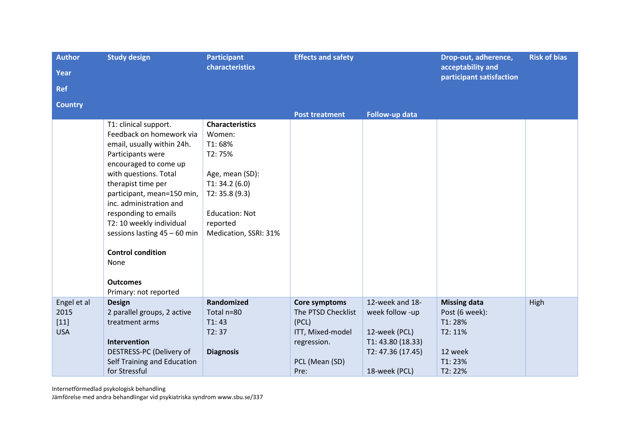| <b>Author</b>  | <b>Study design</b>            | <b>Participant</b>     | <b>Effects and safety</b> |                   | Drop-out, adherence,<br>acceptability and | <b>Risk of bias</b> |
|----------------|--------------------------------|------------------------|---------------------------|-------------------|-------------------------------------------|---------------------|
| <b>Year</b>    |                                | characteristics        |                           |                   |                                           |                     |
| <b>Ref</b>     |                                |                        |                           |                   | participant satisfaction                  |                     |
| <b>Country</b> |                                |                        |                           |                   |                                           |                     |
|                |                                |                        | <b>Post treatment</b>     | Follow-up data    |                                           |                     |
|                | T1: clinical support.          | <b>Characteristics</b> |                           |                   |                                           |                     |
|                | Feedback on homework via       | Women:                 |                           |                   |                                           |                     |
|                | email, usually within 24h.     | T1:68%                 |                           |                   |                                           |                     |
|                | Participants were              | T2:75%                 |                           |                   |                                           |                     |
|                | encouraged to come up          |                        |                           |                   |                                           |                     |
|                | with questions. Total          | Age, mean (SD):        |                           |                   |                                           |                     |
|                | therapist time per             | T1: 34.2(6.0)          |                           |                   |                                           |                     |
|                | participant, mean=150 min,     | T2: 35.8(9.3)          |                           |                   |                                           |                     |
|                | inc. administration and        |                        |                           |                   |                                           |                     |
|                | responding to emails           | <b>Education: Not</b>  |                           |                   |                                           |                     |
|                | T2: 10 weekly individual       | reported               |                           |                   |                                           |                     |
|                | sessions lasting $45 - 60$ min | Medication, SSRI: 31%  |                           |                   |                                           |                     |
|                | <b>Control condition</b>       |                        |                           |                   |                                           |                     |
|                | None                           |                        |                           |                   |                                           |                     |
|                | <b>Outcomes</b>                |                        |                           |                   |                                           |                     |
|                | Primary: not reported          |                        |                           |                   |                                           |                     |
| Engel et al    | <b>Design</b>                  | Randomized             | Core symptoms             | 12-week and 18-   | <b>Missing data</b>                       | High                |
| 2015           | 2 parallel groups, 2 active    | Total n=80             | The PTSD Checklist        | week follow -up   | Post (6 week):                            |                     |
| $[11]$         | treatment arms                 | T1:43                  | (PCL)                     |                   | T1:28%                                    |                     |
| <b>USA</b>     |                                | T2:37                  | ITT, Mixed-model          | 12-week (PCL)     | T2: 11%                                   |                     |
|                | Intervention                   |                        | regression.               | T1: 43.80 (18.33) |                                           |                     |
|                | DESTRESS-PC (Delivery of       | <b>Diagnosis</b>       |                           | T2: 47.36 (17.45) | 12 week                                   |                     |
|                | Self Training and Education    |                        | PCL (Mean (SD)            |                   | T1:23%                                    |                     |
|                | for Stressful                  |                        | Pre:                      | 18-week (PCL)     | T2:22%                                    |                     |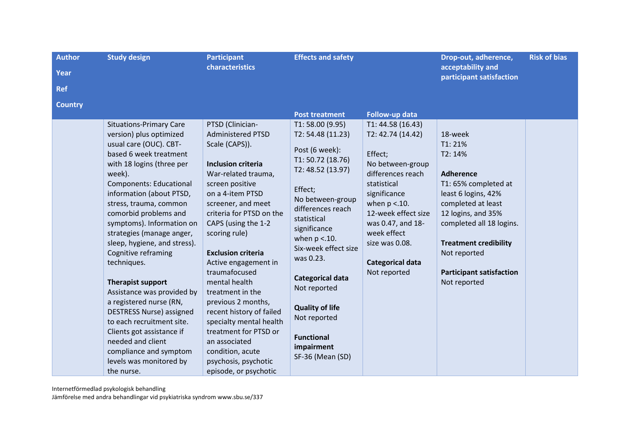| <b>Author</b>  | <b>Study design</b>                                                                                                                                                                                                                                                                                                                                                                                                                                                                                                                                                                                                                                               | <b>Participant</b>                                                                                                                                                                                                                                                                                                                                                                                                                                                                                                                | <b>Effects and safety</b>                                                                                                                                                                                                                                                                                                                                                                |                                                                                                                                                                                                                                                                      | Drop-out, adherence,                                                                                                                                                                                                                                                       | <b>Risk of bias</b> |
|----------------|-------------------------------------------------------------------------------------------------------------------------------------------------------------------------------------------------------------------------------------------------------------------------------------------------------------------------------------------------------------------------------------------------------------------------------------------------------------------------------------------------------------------------------------------------------------------------------------------------------------------------------------------------------------------|-----------------------------------------------------------------------------------------------------------------------------------------------------------------------------------------------------------------------------------------------------------------------------------------------------------------------------------------------------------------------------------------------------------------------------------------------------------------------------------------------------------------------------------|------------------------------------------------------------------------------------------------------------------------------------------------------------------------------------------------------------------------------------------------------------------------------------------------------------------------------------------------------------------------------------------|----------------------------------------------------------------------------------------------------------------------------------------------------------------------------------------------------------------------------------------------------------------------|----------------------------------------------------------------------------------------------------------------------------------------------------------------------------------------------------------------------------------------------------------------------------|---------------------|
| Year           |                                                                                                                                                                                                                                                                                                                                                                                                                                                                                                                                                                                                                                                                   | characteristics                                                                                                                                                                                                                                                                                                                                                                                                                                                                                                                   |                                                                                                                                                                                                                                                                                                                                                                                          |                                                                                                                                                                                                                                                                      | acceptability and<br>participant satisfaction                                                                                                                                                                                                                              |                     |
| <b>Ref</b>     |                                                                                                                                                                                                                                                                                                                                                                                                                                                                                                                                                                                                                                                                   |                                                                                                                                                                                                                                                                                                                                                                                                                                                                                                                                   |                                                                                                                                                                                                                                                                                                                                                                                          |                                                                                                                                                                                                                                                                      |                                                                                                                                                                                                                                                                            |                     |
| <b>Country</b> |                                                                                                                                                                                                                                                                                                                                                                                                                                                                                                                                                                                                                                                                   |                                                                                                                                                                                                                                                                                                                                                                                                                                                                                                                                   |                                                                                                                                                                                                                                                                                                                                                                                          |                                                                                                                                                                                                                                                                      |                                                                                                                                                                                                                                                                            |                     |
|                |                                                                                                                                                                                                                                                                                                                                                                                                                                                                                                                                                                                                                                                                   |                                                                                                                                                                                                                                                                                                                                                                                                                                                                                                                                   | <b>Post treatment</b>                                                                                                                                                                                                                                                                                                                                                                    | Follow-up data                                                                                                                                                                                                                                                       |                                                                                                                                                                                                                                                                            |                     |
|                | <b>Situations-Primary Care</b><br>version) plus optimized<br>usual care (OUC). CBT-<br>based 6 week treatment<br>with 18 logins (three per<br>week).<br><b>Components: Educational</b><br>information (about PTSD,<br>stress, trauma, common<br>comorbid problems and<br>symptoms). Information on<br>strategies (manage anger,<br>sleep, hygiene, and stress).<br>Cognitive reframing<br>techniques.<br><b>Therapist support</b><br>Assistance was provided by<br>a registered nurse (RN,<br><b>DESTRESS Nurse) assigned</b><br>to each recruitment site.<br>Clients got assistance if<br>needed and client<br>compliance and symptom<br>levels was monitored by | PTSD (Clinician-<br><b>Administered PTSD</b><br>Scale (CAPS)).<br><b>Inclusion criteria</b><br>War-related trauma,<br>screen positive<br>on a 4-item PTSD<br>screener, and meet<br>criteria for PTSD on the<br>CAPS (using the 1-2<br>scoring rule)<br><b>Exclusion criteria</b><br>Active engagement in<br>traumafocused<br>mental health<br>treatment in the<br>previous 2 months,<br>recent history of failed<br>specialty mental health<br>treatment for PTSD or<br>an associated<br>condition, acute<br>psychosis, psychotic | T1: 58.00 (9.95)<br>T2: 54.48 (11.23)<br>Post (6 week):<br>T1: 50.72 (18.76)<br>T2: 48.52 (13.97)<br>Effect;<br>No between-group<br>differences reach<br>statistical<br>significance<br>when $p < 10$ .<br>Six-week effect size<br>was 0.23.<br><b>Categorical data</b><br>Not reported<br><b>Quality of life</b><br>Not reported<br><b>Functional</b><br>impairment<br>SF-36 (Mean (SD) | T1: 44.58 (16.43)<br>T2: 42.74 (14.42)<br>Effect;<br>No between-group<br>differences reach<br>statistical<br>significance<br>when $p < 10$ .<br>12-week effect size<br>was 0.47, and 18-<br>week effect<br>size was 0.08.<br><b>Categorical data</b><br>Not reported | 18-week<br>T1:21%<br>T2: 14%<br><b>Adherence</b><br>T1: 65% completed at<br>least 6 logins, 42%<br>completed at least<br>12 logins, and 35%<br>completed all 18 logins.<br><b>Treatment credibility</b><br>Not reported<br><b>Participant satisfaction</b><br>Not reported |                     |
|                | the nurse.                                                                                                                                                                                                                                                                                                                                                                                                                                                                                                                                                                                                                                                        | episode, or psychotic                                                                                                                                                                                                                                                                                                                                                                                                                                                                                                             |                                                                                                                                                                                                                                                                                                                                                                                          |                                                                                                                                                                                                                                                                      |                                                                                                                                                                                                                                                                            |                     |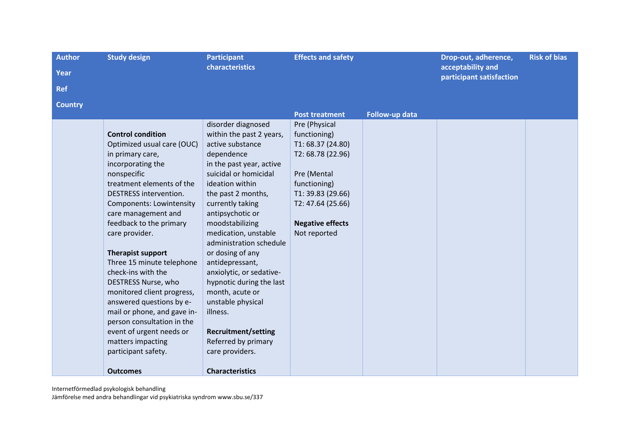| <b>Author</b>  | <b>Study design</b>             | <b>Participant</b>         | <b>Effects and safety</b> |                | Drop-out, adherence,                          | <b>Risk of bias</b> |
|----------------|---------------------------------|----------------------------|---------------------------|----------------|-----------------------------------------------|---------------------|
| <b>Year</b>    |                                 | characteristics            |                           |                | acceptability and<br>participant satisfaction |                     |
| <b>Ref</b>     |                                 |                            |                           |                |                                               |                     |
| <b>Country</b> |                                 |                            |                           |                |                                               |                     |
|                |                                 |                            | <b>Post treatment</b>     | Follow-up data |                                               |                     |
|                |                                 | disorder diagnosed         | Pre (Physical             |                |                                               |                     |
|                | <b>Control condition</b>        | within the past 2 years,   | functioning)              |                |                                               |                     |
|                | Optimized usual care (OUC)      | active substance           | T1: 68.37 (24.80)         |                |                                               |                     |
|                | in primary care,                | dependence                 | T2: 68.78 (22.96)         |                |                                               |                     |
|                | incorporating the               | in the past year, active   |                           |                |                                               |                     |
|                | nonspecific                     | suicidal or homicidal      | Pre (Mental               |                |                                               |                     |
|                | treatment elements of the       | ideation within            | functioning)              |                |                                               |                     |
|                | <b>DESTRESS</b> intervention.   | the past 2 months,         | T1: 39.83 (29.66)         |                |                                               |                     |
|                | <b>Components: Lowintensity</b> | currently taking           | T2: 47.64 (25.66)         |                |                                               |                     |
|                | care management and             | antipsychotic or           |                           |                |                                               |                     |
|                | feedback to the primary         | moodstabilizing            | <b>Negative effects</b>   |                |                                               |                     |
|                | care provider.                  | medication, unstable       | Not reported              |                |                                               |                     |
|                |                                 | administration schedule    |                           |                |                                               |                     |
|                | <b>Therapist support</b>        | or dosing of any           |                           |                |                                               |                     |
|                | Three 15 minute telephone       | antidepressant,            |                           |                |                                               |                     |
|                | check-ins with the              | anxiolytic, or sedative-   |                           |                |                                               |                     |
|                | DESTRESS Nurse, who             | hypnotic during the last   |                           |                |                                               |                     |
|                | monitored client progress,      | month, acute or            |                           |                |                                               |                     |
|                | answered questions by e-        | unstable physical          |                           |                |                                               |                     |
|                | mail or phone, and gave in-     | illness.                   |                           |                |                                               |                     |
|                | person consultation in the      |                            |                           |                |                                               |                     |
|                | event of urgent needs or        | <b>Recruitment/setting</b> |                           |                |                                               |                     |
|                | matters impacting               | Referred by primary        |                           |                |                                               |                     |
|                | participant safety.             | care providers.            |                           |                |                                               |                     |
|                | <b>Outcomes</b>                 | <b>Characteristics</b>     |                           |                |                                               |                     |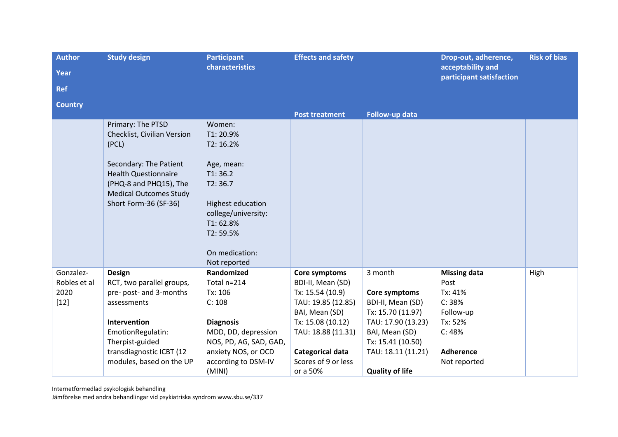| <b>Author</b><br>Year                       | <b>Study design</b>                                                                                                                                                                                    | <b>Participant</b><br><b>characteristics</b>                                                                                                                                | <b>Effects and safety</b>                                                                                                                                                                        |                                                                                                                                                                                 | Drop-out, adherence,<br>acceptability and<br>participant satisfaction                                                  | <b>Risk of bias</b> |
|---------------------------------------------|--------------------------------------------------------------------------------------------------------------------------------------------------------------------------------------------------------|-----------------------------------------------------------------------------------------------------------------------------------------------------------------------------|--------------------------------------------------------------------------------------------------------------------------------------------------------------------------------------------------|---------------------------------------------------------------------------------------------------------------------------------------------------------------------------------|------------------------------------------------------------------------------------------------------------------------|---------------------|
| <b>Ref</b>                                  |                                                                                                                                                                                                        |                                                                                                                                                                             |                                                                                                                                                                                                  |                                                                                                                                                                                 |                                                                                                                        |                     |
| <b>Country</b>                              |                                                                                                                                                                                                        |                                                                                                                                                                             |                                                                                                                                                                                                  |                                                                                                                                                                                 |                                                                                                                        |                     |
|                                             | Primary: The PTSD<br>Checklist, Civilian Version<br>(PCL)<br>Secondary: The Patient<br><b>Health Questionnaire</b><br>(PHQ-8 and PHQ15), The<br><b>Medical Outcomes Study</b><br>Short Form-36 (SF-36) | Women:<br>T1:20.9%<br>T2: 16.2%<br>Age, mean:<br>T1:36.2<br>T2:36.7<br>Highest education<br>college/university:<br>T1:62.8%<br>T2:59.5%<br>On medication:<br>Not reported   | <b>Post treatment</b>                                                                                                                                                                            | Follow-up data                                                                                                                                                                  |                                                                                                                        |                     |
| Gonzalez-<br>Robles et al<br>2020<br>$[12]$ | <b>Design</b><br>RCT, two parallel groups,<br>pre- post- and 3-months<br>assessments<br>Intervention<br>EmotionRegulatin:<br>Therpist-guided<br>transdiagnostic ICBT (12<br>modules, based on the UP   | Randomized<br>Total n=214<br>Tx: 106<br>C: 108<br><b>Diagnosis</b><br>MDD, DD, depression<br>NOS, PD, AG, SAD, GAD,<br>anxiety NOS, or OCD<br>according to DSM-IV<br>(MINI) | Core symptoms<br>BDI-II, Mean (SD)<br>Tx: 15.54 (10.9)<br>TAU: 19.85 (12.85)<br>BAI, Mean (SD)<br>Tx: 15.08 (10.12)<br>TAU: 18.88 (11.31)<br>Categorical data<br>Scores of 9 or less<br>or a 50% | 3 month<br>Core symptoms<br>BDI-II, Mean (SD)<br>Tx: 15.70 (11.97)<br>TAU: 17.90 (13.23)<br>BAI, Mean (SD)<br>Tx: 15.41 (10.50)<br>TAU: 18.11 (11.21)<br><b>Quality of life</b> | <b>Missing data</b><br>Post<br>Tx: 41%<br>C: 38%<br>Follow-up<br>Tx: 52%<br>C: 48%<br><b>Adherence</b><br>Not reported | High                |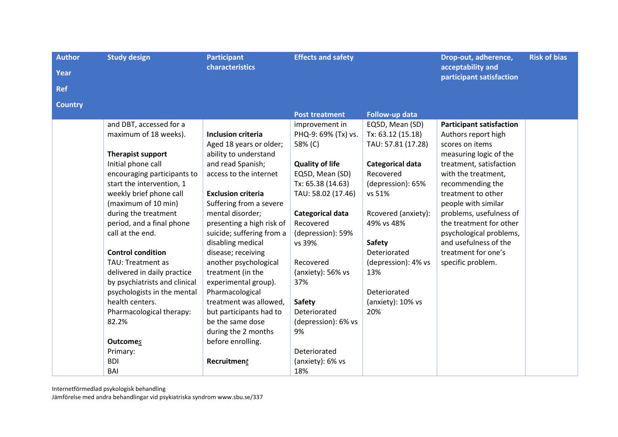| <b>Author</b>  | <b>Study design</b>           | <b>Participant</b>        | <b>Effects and safety</b> |                     | Drop-out, adherence,                          | <b>Risk of bias</b> |
|----------------|-------------------------------|---------------------------|---------------------------|---------------------|-----------------------------------------------|---------------------|
| Year           |                               | <b>characteristics</b>    |                           |                     | acceptability and<br>participant satisfaction |                     |
| <b>Ref</b>     |                               |                           |                           |                     |                                               |                     |
| <b>Country</b> |                               |                           |                           |                     |                                               |                     |
|                |                               |                           | <b>Post treatment</b>     | Follow-up data      |                                               |                     |
|                | and DBT, accessed for a       |                           | improvement in            | EQ5D, Mean (SD)     | <b>Participant satisfaction</b>               |                     |
|                | maximum of 18 weeks).         | <b>Inclusion criteria</b> | PHQ-9: 69% (Tx) vs.       | Tx: 63.12 (15.18)   | Authors report high                           |                     |
|                |                               | Aged 18 years or older;   | 58% (C)                   | TAU: 57.81 (17.28)  | scores on items                               |                     |
|                | <b>Therapist support</b>      | ability to understand     |                           |                     | measuring logic of the                        |                     |
|                | Initial phone call            | and read Spanish;         | <b>Quality of life</b>    | Categorical data    | treatment, satisfaction                       |                     |
|                | encouraging participants to   | access to the internet    | EQ5D, Mean (SD)           | Recovered           | with the treatment,                           |                     |
|                | start the intervention, 1     |                           | Tx: 65.38 (14.63)         | (depression): 65%   | recommending the                              |                     |
|                | weekly brief phone call       | <b>Exclusion criteria</b> | TAU: 58.02 (17.46)        | vs 51%              | treatment to other                            |                     |
|                | (maximum of 10 min)           | Suffering from a severe   |                           |                     | people with similar                           |                     |
|                | during the treatment          | mental disorder;          | <b>Categorical data</b>   | Rcovered (anxiety): | problems, usefulness of                       |                     |
|                | period, and a final phone     | presenting a high risk of | Recovered                 | 49% vs 48%          | the treatment for other                       |                     |
|                | call at the end.              | suicide; suffering from a | (depression): 59%         |                     | psychological problems,                       |                     |
|                |                               | disabling medical         | vs 39%                    | Safety              | and usefulness of the                         |                     |
|                | <b>Control condition</b>      | disease; receiving        |                           | Deteriorated        | treatment for one's                           |                     |
|                | TAU: Treatment as             | another psychological     | Recovered                 | (depression): 4% vs | specific problem.                             |                     |
|                | delivered in daily practice   | treatment (in the         | (anxiety): 56% vs         | 13%                 |                                               |                     |
|                | by psychiatrists and clinical | experimental group).      | 37%                       |                     |                                               |                     |
|                | psychologists in the mental   | Pharmacological           |                           | Deteriorated        |                                               |                     |
|                | health centers.               | treatment was allowed,    | Safety                    | (anxiety): 10% vs   |                                               |                     |
|                | Pharmacological therapy:      | but participants had to   | Deteriorated              | 20%                 |                                               |                     |
|                | 82.2%                         | be the same dose          | (depression): 6% vs       |                     |                                               |                     |
|                |                               | during the 2 months       | 9%                        |                     |                                               |                     |
|                | <b>Outcomes</b>               | before enrolling.         | Deteriorated              |                     |                                               |                     |
|                | Primary:                      |                           |                           |                     |                                               |                     |
|                | <b>BDI</b>                    | Recruitment               | (anxiety): 6% vs          |                     |                                               |                     |
|                | BAI                           |                           | 18%                       |                     |                                               |                     |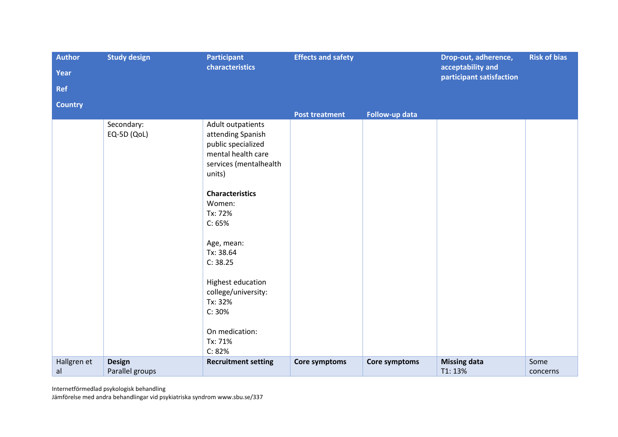| <b>Author</b>  | <b>Study design</b> | <b>Participant</b>                       | <b>Effects and safety</b> |                | Drop-out, adherence,<br>acceptability and | <b>Risk of bias</b> |
|----------------|---------------------|------------------------------------------|---------------------------|----------------|-------------------------------------------|---------------------|
| Year           |                     | characteristics                          |                           |                |                                           |                     |
| <b>Ref</b>     |                     |                                          |                           |                | participant satisfaction                  |                     |
| <b>Country</b> |                     |                                          |                           |                |                                           |                     |
|                | Secondary:          | Adult outpatients                        | <b>Post treatment</b>     | Follow-up data |                                           |                     |
|                | EQ-5D (QoL)         | attending Spanish                        |                           |                |                                           |                     |
|                |                     | public specialized<br>mental health care |                           |                |                                           |                     |
|                |                     | services (mentalhealth                   |                           |                |                                           |                     |
|                |                     | units)                                   |                           |                |                                           |                     |
|                |                     | <b>Characteristics</b>                   |                           |                |                                           |                     |
|                |                     | Women:<br>Tx: 72%                        |                           |                |                                           |                     |
|                |                     | C: 65%                                   |                           |                |                                           |                     |
|                |                     | Age, mean:                               |                           |                |                                           |                     |
|                |                     | Tx: 38.64                                |                           |                |                                           |                     |
|                |                     | C: 38.25                                 |                           |                |                                           |                     |
|                |                     | Highest education                        |                           |                |                                           |                     |
|                |                     | college/university:                      |                           |                |                                           |                     |
|                |                     | Tx: 32%<br>C: 30%                        |                           |                |                                           |                     |
|                |                     |                                          |                           |                |                                           |                     |
|                |                     | On medication:<br>Tx: 71%                |                           |                |                                           |                     |
|                |                     | C: 82%                                   |                           |                |                                           |                     |
| Hallgren et    | <b>Design</b>       | <b>Recruitment setting</b>               | Core symptoms             | Core symptoms  | <b>Missing data</b>                       | Some                |
| al             | Parallel groups     |                                          |                           |                | T1:13%                                    | concerns            |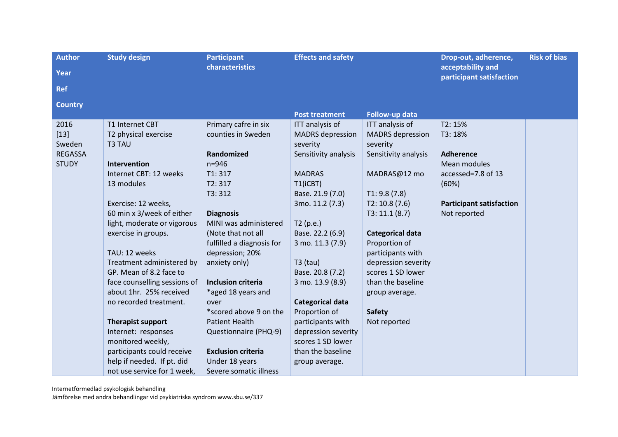| <b>Author</b>  | <b>Study design</b>          | <b>Participant</b>        | <b>Effects and safety</b> |                         | Drop-out, adherence,                          | <b>Risk of bias</b> |
|----------------|------------------------------|---------------------------|---------------------------|-------------------------|-----------------------------------------------|---------------------|
| Year           |                              | characteristics           |                           |                         | acceptability and<br>participant satisfaction |                     |
| <b>Ref</b>     |                              |                           |                           |                         |                                               |                     |
| <b>Country</b> |                              |                           |                           |                         |                                               |                     |
|                |                              |                           | <b>Post treatment</b>     | Follow-up data          |                                               |                     |
| 2016           | T1 Internet CBT              | Primary cafre in six      | ITT analysis of           | ITT analysis of         | T2: 15%                                       |                     |
| $[13]$         | T2 physical exercise         | counties in Sweden        | <b>MADRS</b> depression   | <b>MADRS</b> depression | T3: 18%                                       |                     |
| Sweden         | T3 TAU                       |                           | severity                  | severity                |                                               |                     |
| <b>REGASSA</b> |                              | Randomized                | Sensitivity analysis      | Sensitivity analysis    | <b>Adherence</b>                              |                     |
| <b>STUDY</b>   | <b>Intervention</b>          | $n = 946$                 |                           |                         | Mean modules                                  |                     |
|                | Internet CBT: 12 weeks       | T1:317                    | <b>MADRAS</b>             | MADRAS@12 mo            | accessed=7.8 of 13                            |                     |
|                | 13 modules                   | T2:317                    | T1(iCBT)                  |                         | (60%)                                         |                     |
|                |                              | T3:312                    | Base. 21.9 (7.0)          | T1:9.8(7.8)             |                                               |                     |
|                | Exercise: 12 weeks,          |                           | 3mo. 11.2 (7.3)           | T2: 10.8(7.6)           | <b>Participant satisfaction</b>               |                     |
|                | 60 min x 3/week of either    | <b>Diagnosis</b>          |                           | T3: 11.1 (8.7)          | Not reported                                  |                     |
|                | light, moderate or vigorous  | MINI was administered     | T2(p.e.)                  |                         |                                               |                     |
|                | exercise in groups.          | (Note that not all        | Base. 22.2 (6.9)          | <b>Categorical data</b> |                                               |                     |
|                |                              | fulfilled a diagnosis for | 3 mo. 11.3 (7.9)          | Proportion of           |                                               |                     |
|                | TAU: 12 weeks                | depression; 20%           |                           | participants with       |                                               |                     |
|                | Treatment administered by    | anxiety only)             | $T3$ (tau)                | depression severity     |                                               |                     |
|                | GP. Mean of 8.2 face to      |                           | Base. 20.8 (7.2)          | scores 1 SD lower       |                                               |                     |
|                | face counselling sessions of | <b>Inclusion criteria</b> | 3 mo. 13.9 (8.9)          | than the baseline       |                                               |                     |
|                | about 1hr. 25% received      | *aged 18 years and        |                           | group average.          |                                               |                     |
|                | no recorded treatment.       | over                      | <b>Categorical data</b>   |                         |                                               |                     |
|                |                              | *scored above 9 on the    | Proportion of             | <b>Safety</b>           |                                               |                     |
|                | <b>Therapist support</b>     | <b>Patient Health</b>     | participants with         | Not reported            |                                               |                     |
|                | Internet: responses          | Questionnaire (PHQ-9)     | depression severity       |                         |                                               |                     |
|                | monitored weekly,            |                           | scores 1 SD lower         |                         |                                               |                     |
|                | participants could receive   | <b>Exclusion criteria</b> | than the baseline         |                         |                                               |                     |
|                | help if needed. If pt. did   | Under 18 years            | group average.            |                         |                                               |                     |
|                | not use service for 1 week,  | Severe somatic illness    |                           |                         |                                               |                     |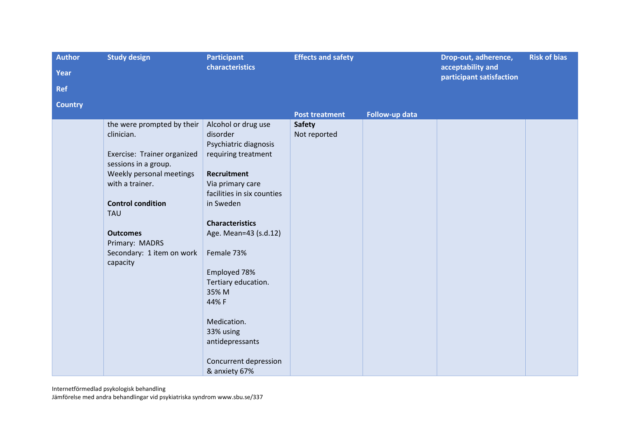| <b>Author</b>  | <b>Study design</b>                                 | <b>Participant</b>         | <b>Effects and safety</b> |                | Drop-out, adherence,                          | <b>Risk of bias</b> |
|----------------|-----------------------------------------------------|----------------------------|---------------------------|----------------|-----------------------------------------------|---------------------|
| Year           |                                                     | characteristics            |                           |                | acceptability and<br>participant satisfaction |                     |
| <b>Ref</b>     |                                                     |                            |                           |                |                                               |                     |
| <b>Country</b> |                                                     |                            |                           |                |                                               |                     |
|                |                                                     |                            | <b>Post treatment</b>     | Follow-up data |                                               |                     |
|                | the were prompted by their                          | Alcohol or drug use        | <b>Safety</b>             |                |                                               |                     |
|                | clinician.                                          | disorder                   | Not reported              |                |                                               |                     |
|                |                                                     | Psychiatric diagnosis      |                           |                |                                               |                     |
|                | Exercise: Trainer organized<br>sessions in a group. | requiring treatment        |                           |                |                                               |                     |
|                | Weekly personal meetings                            | <b>Recruitment</b>         |                           |                |                                               |                     |
|                | with a trainer.                                     | Via primary care           |                           |                |                                               |                     |
|                |                                                     | facilities in six counties |                           |                |                                               |                     |
|                | <b>Control condition</b>                            | in Sweden                  |                           |                |                                               |                     |
|                | <b>TAU</b>                                          |                            |                           |                |                                               |                     |
|                |                                                     | <b>Characteristics</b>     |                           |                |                                               |                     |
|                | <b>Outcomes</b>                                     | Age. Mean=43 (s.d.12)      |                           |                |                                               |                     |
|                | Primary: MADRS                                      |                            |                           |                |                                               |                     |
|                | Secondary: 1 item on work                           | Female 73%                 |                           |                |                                               |                     |
|                | capacity                                            | Employed 78%               |                           |                |                                               |                     |
|                |                                                     | Tertiary education.        |                           |                |                                               |                     |
|                |                                                     | 35% M                      |                           |                |                                               |                     |
|                |                                                     | 44% F                      |                           |                |                                               |                     |
|                |                                                     |                            |                           |                |                                               |                     |
|                |                                                     | Medication.                |                           |                |                                               |                     |
|                |                                                     | 33% using                  |                           |                |                                               |                     |
|                |                                                     | antidepressants            |                           |                |                                               |                     |
|                |                                                     |                            |                           |                |                                               |                     |
|                |                                                     | Concurrent depression      |                           |                |                                               |                     |
|                |                                                     | & anxiety 67%              |                           |                |                                               |                     |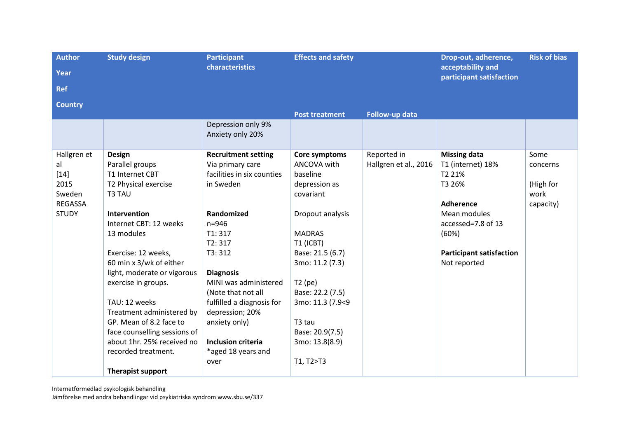| <b>Author</b>  | <b>Study design</b>                    | <b>Participant</b>                     | <b>Effects and safety</b> |                       | Drop-out, adherence,                          | <b>Risk of bias</b> |
|----------------|----------------------------------------|----------------------------------------|---------------------------|-----------------------|-----------------------------------------------|---------------------|
| Year           |                                        | characteristics                        |                           |                       | acceptability and<br>participant satisfaction |                     |
| <b>Ref</b>     |                                        |                                        |                           |                       |                                               |                     |
| <b>Country</b> |                                        |                                        |                           |                       |                                               |                     |
|                |                                        |                                        | <b>Post treatment</b>     | Follow-up data        |                                               |                     |
|                |                                        | Depression only 9%<br>Anxiety only 20% |                           |                       |                                               |                     |
| Hallgren et    | <b>Design</b>                          | <b>Recruitment setting</b>             | Core symptoms             | Reported in           | <b>Missing data</b>                           | Some                |
| al             | Parallel groups                        | Via primary care                       | ANCOVA with               | Hallgren et al., 2016 | T1 (internet) 18%                             | concerns            |
| $[14]$         | T1 Internet CBT                        | facilities in six counties             | baseline                  |                       | T2 21%                                        |                     |
| 2015           | T2 Physical exercise                   | in Sweden                              | depression as             |                       | T3 26%                                        | (High for           |
| Sweden         | T3 TAU                                 |                                        | covariant                 |                       |                                               | work                |
| <b>REGASSA</b> |                                        |                                        |                           |                       | <b>Adherence</b>                              | capacity)           |
| <b>STUDY</b>   | Intervention<br>Internet CBT: 12 weeks | Randomized<br>$n = 946$                | Dropout analysis          |                       | Mean modules<br>accessed=7.8 of 13            |                     |
|                | 13 modules                             | T1:317                                 | <b>MADRAS</b>             |                       | (60%)                                         |                     |
|                |                                        | T2:317                                 | T1 (ICBT)                 |                       |                                               |                     |
|                | Exercise: 12 weeks,                    | T3:312                                 | Base: 21.5 (6.7)          |                       | <b>Participant satisfaction</b>               |                     |
|                | 60 min x 3/wk of either                |                                        | 3mo: 11.2 (7.3)           |                       | Not reported                                  |                     |
|                | light, moderate or vigorous            | <b>Diagnosis</b>                       |                           |                       |                                               |                     |
|                | exercise in groups.                    | MINI was administered                  | $T2$ (pe)                 |                       |                                               |                     |
|                |                                        | (Note that not all                     | Base: 22.2 (7.5)          |                       |                                               |                     |
|                | TAU: 12 weeks                          | fulfilled a diagnosis for              | 3mo: 11.3 (7.9<9          |                       |                                               |                     |
|                | Treatment administered by              | depression; 20%                        |                           |                       |                                               |                     |
|                | GP. Mean of 8.2 face to                | anxiety only)                          | T3 tau                    |                       |                                               |                     |
|                | face counselling sessions of           |                                        | Base: 20.9(7.5)           |                       |                                               |                     |
|                | about 1hr. 25% received no             | <b>Inclusion criteria</b>              | 3mo: 13.8(8.9)            |                       |                                               |                     |
|                | recorded treatment.                    | *aged 18 years and                     |                           |                       |                                               |                     |
|                |                                        | over                                   | T1, T2>T3                 |                       |                                               |                     |
|                | <b>Therapist support</b>               |                                        |                           |                       |                                               |                     |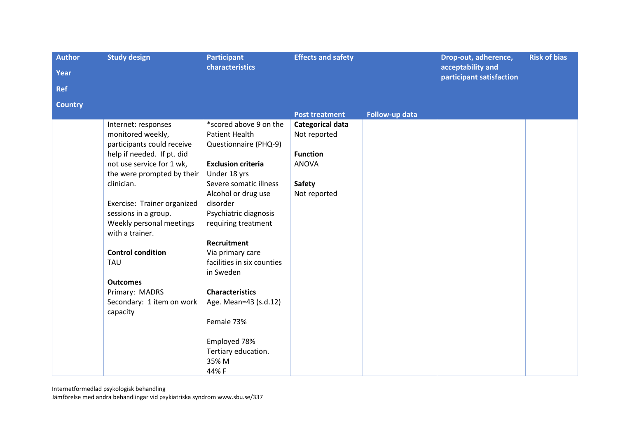| <b>Author</b>  | <b>Study design</b>                         | <b>Participant</b>         | <b>Effects and safety</b> |                | Drop-out, adherence,                          | <b>Risk of bias</b> |
|----------------|---------------------------------------------|----------------------------|---------------------------|----------------|-----------------------------------------------|---------------------|
| Year           |                                             | characteristics            |                           |                | acceptability and<br>participant satisfaction |                     |
| <b>Ref</b>     |                                             |                            |                           |                |                                               |                     |
| <b>Country</b> |                                             |                            |                           |                |                                               |                     |
|                |                                             |                            | <b>Post treatment</b>     | Follow-up data |                                               |                     |
|                | Internet: responses                         | *scored above 9 on the     | Categorical data          |                |                                               |                     |
|                | monitored weekly,                           | <b>Patient Health</b>      | Not reported              |                |                                               |                     |
|                | participants could receive                  | Questionnaire (PHQ-9)      |                           |                |                                               |                     |
|                | help if needed. If pt. did                  |                            | <b>Function</b>           |                |                                               |                     |
|                | not use service for 1 wk,                   | <b>Exclusion criteria</b>  | <b>ANOVA</b>              |                |                                               |                     |
|                | the were prompted by their                  | Under 18 yrs               |                           |                |                                               |                     |
|                | clinician.                                  | Severe somatic illness     | <b>Safety</b>             |                |                                               |                     |
|                |                                             | Alcohol or drug use        | Not reported              |                |                                               |                     |
|                | Exercise: Trainer organized                 | disorder                   |                           |                |                                               |                     |
|                | sessions in a group.                        | Psychiatric diagnosis      |                           |                |                                               |                     |
|                | Weekly personal meetings<br>with a trainer. | requiring treatment        |                           |                |                                               |                     |
|                |                                             | <b>Recruitment</b>         |                           |                |                                               |                     |
|                | <b>Control condition</b>                    | Via primary care           |                           |                |                                               |                     |
|                | <b>TAU</b>                                  | facilities in six counties |                           |                |                                               |                     |
|                |                                             | in Sweden                  |                           |                |                                               |                     |
|                | <b>Outcomes</b>                             |                            |                           |                |                                               |                     |
|                | Primary: MADRS                              | <b>Characteristics</b>     |                           |                |                                               |                     |
|                | Secondary: 1 item on work                   | Age. Mean=43 (s.d.12)      |                           |                |                                               |                     |
|                | capacity                                    |                            |                           |                |                                               |                     |
|                |                                             | Female 73%                 |                           |                |                                               |                     |
|                |                                             |                            |                           |                |                                               |                     |
|                |                                             | Employed 78%               |                           |                |                                               |                     |
|                |                                             | Tertiary education.        |                           |                |                                               |                     |
|                |                                             | 35% M                      |                           |                |                                               |                     |
|                |                                             | 44% F                      |                           |                |                                               |                     |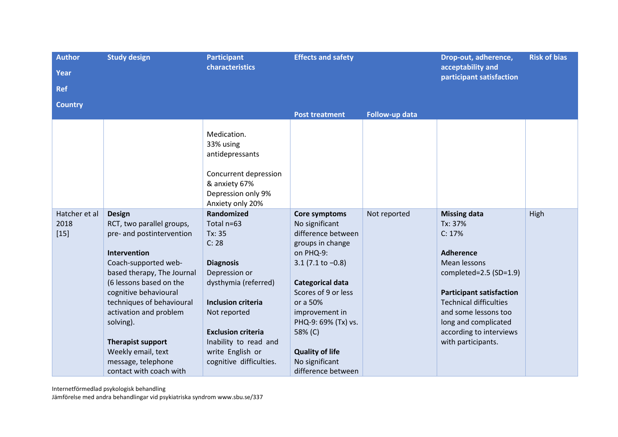| <b>Author</b>                   | <b>Study design</b>                                                                                                                                                                                                                                                                                                     | <b>Participant</b>                                                                                                                                                                                                              | <b>Effects and safety</b>                                                                                                                                                                                                                                    |                | Drop-out, adherence,                                                                                                                                                                                                                                                        | <b>Risk of bias</b> |
|---------------------------------|-------------------------------------------------------------------------------------------------------------------------------------------------------------------------------------------------------------------------------------------------------------------------------------------------------------------------|---------------------------------------------------------------------------------------------------------------------------------------------------------------------------------------------------------------------------------|--------------------------------------------------------------------------------------------------------------------------------------------------------------------------------------------------------------------------------------------------------------|----------------|-----------------------------------------------------------------------------------------------------------------------------------------------------------------------------------------------------------------------------------------------------------------------------|---------------------|
| Year                            |                                                                                                                                                                                                                                                                                                                         | characteristics                                                                                                                                                                                                                 |                                                                                                                                                                                                                                                              |                | acceptability and<br>participant satisfaction                                                                                                                                                                                                                               |                     |
| <b>Ref</b>                      |                                                                                                                                                                                                                                                                                                                         |                                                                                                                                                                                                                                 |                                                                                                                                                                                                                                                              |                |                                                                                                                                                                                                                                                                             |                     |
| <b>Country</b>                  |                                                                                                                                                                                                                                                                                                                         |                                                                                                                                                                                                                                 |                                                                                                                                                                                                                                                              |                |                                                                                                                                                                                                                                                                             |                     |
|                                 |                                                                                                                                                                                                                                                                                                                         |                                                                                                                                                                                                                                 | <b>Post treatment</b>                                                                                                                                                                                                                                        | Follow-up data |                                                                                                                                                                                                                                                                             |                     |
|                                 |                                                                                                                                                                                                                                                                                                                         | Medication.<br>33% using<br>antidepressants<br>Concurrent depression<br>& anxiety 67%<br>Depression only 9%<br>Anxiety only 20%                                                                                                 |                                                                                                                                                                                                                                                              |                |                                                                                                                                                                                                                                                                             |                     |
| Hatcher et al<br>2018<br>$[15]$ | <b>Design</b><br>RCT, two parallel groups,<br>pre- and postintervention<br>Intervention<br>Coach-supported web-<br>based therapy, The Journal<br>(6 lessons based on the<br>cognitive behavioural<br>techniques of behavioural<br>activation and problem<br>solving).<br><b>Therapist support</b><br>Weekly email, text | Randomized<br>Total n=63<br>Tx: 35<br>C: 28<br><b>Diagnosis</b><br>Depression or<br>dysthymia (referred)<br><b>Inclusion criteria</b><br>Not reported<br><b>Exclusion criteria</b><br>Inability to read and<br>write English or | Core symptoms<br>No significant<br>difference between<br>groups in change<br>on PHQ-9:<br>$3.1$ (7.1 to $-0.8$ )<br><b>Categorical data</b><br>Scores of 9 or less<br>or a 50%<br>improvement in<br>PHQ-9: 69% (Tx) vs.<br>58% (C)<br><b>Quality of life</b> | Not reported   | <b>Missing data</b><br>Tx: 37%<br>C: 17%<br><b>Adherence</b><br>Mean lessons<br>completed=2.5 (SD=1.9)<br><b>Participant satisfaction</b><br><b>Technical difficulties</b><br>and some lessons too<br>long and complicated<br>according to interviews<br>with participants. | High                |
|                                 | message, telephone<br>contact with coach with                                                                                                                                                                                                                                                                           | cognitive difficulties.                                                                                                                                                                                                         | No significant<br>difference between                                                                                                                                                                                                                         |                |                                                                                                                                                                                                                                                                             |                     |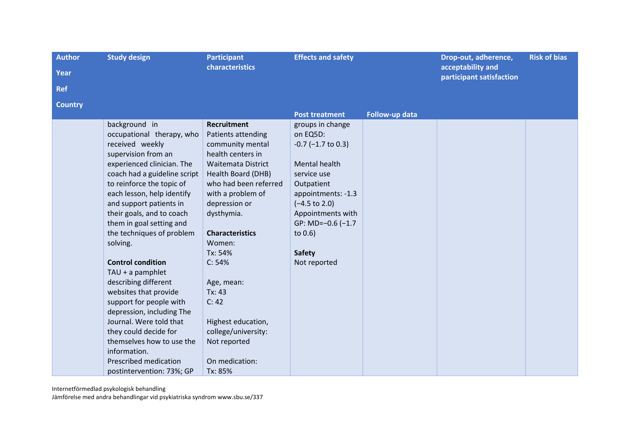| <b>Author</b><br><b>Year</b><br><b>Ref</b> | <b>Study design</b>                                                                                                                                                                                                                                                                                                                                                                                                                                                                                                                                                                                                                                        | <b>Participant</b><br>characteristics                                                                                                                                                                                                                                                                                                                                                                 | <b>Effects and safety</b>                                                                                                                                                                                                                             |                | Drop-out, adherence,<br>acceptability and<br>participant satisfaction | <b>Risk of bias</b> |
|--------------------------------------------|------------------------------------------------------------------------------------------------------------------------------------------------------------------------------------------------------------------------------------------------------------------------------------------------------------------------------------------------------------------------------------------------------------------------------------------------------------------------------------------------------------------------------------------------------------------------------------------------------------------------------------------------------------|-------------------------------------------------------------------------------------------------------------------------------------------------------------------------------------------------------------------------------------------------------------------------------------------------------------------------------------------------------------------------------------------------------|-------------------------------------------------------------------------------------------------------------------------------------------------------------------------------------------------------------------------------------------------------|----------------|-----------------------------------------------------------------------|---------------------|
| <b>Country</b>                             |                                                                                                                                                                                                                                                                                                                                                                                                                                                                                                                                                                                                                                                            |                                                                                                                                                                                                                                                                                                                                                                                                       | <b>Post treatment</b>                                                                                                                                                                                                                                 | Follow-up data |                                                                       |                     |
|                                            | background in<br>occupational therapy, who<br>received weekly<br>supervision from an<br>experienced clinician. The<br>coach had a guideline script<br>to reinforce the topic of<br>each lesson, help identify<br>and support patients in<br>their goals, and to coach<br>them in goal setting and<br>the techniques of problem<br>solving.<br><b>Control condition</b><br>TAU + a pamphlet<br>describing different<br>websites that provide<br>support for people with<br>depression, including The<br>Journal. Were told that<br>they could decide for<br>themselves how to use the<br>information.<br>Prescribed medication<br>postintervention: 73%; GP | <b>Recruitment</b><br>Patients attending<br>community mental<br>health centers in<br><b>Waitemata District</b><br>Health Board (DHB)<br>who had been referred<br>with a problem of<br>depression or<br>dysthymia.<br><b>Characteristics</b><br>Women:<br>Tx: 54%<br>C: 54%<br>Age, mean:<br>Tx: 43<br>C: 42<br>Highest education,<br>college/university:<br>Not reported<br>On medication:<br>Tx: 85% | groups in change<br>on EQ5D:<br>$-0.7$ ( $-1.7$ to 0.3)<br>Mental health<br>service use<br>Outpatient<br>appointments: -1.3<br>$(-4.5 \text{ to } 2.0)$<br>Appointments with<br>GP: MD= $-0.6$ ( $-1.7$ )<br>to 0.6)<br><b>Safety</b><br>Not reported |                |                                                                       |                     |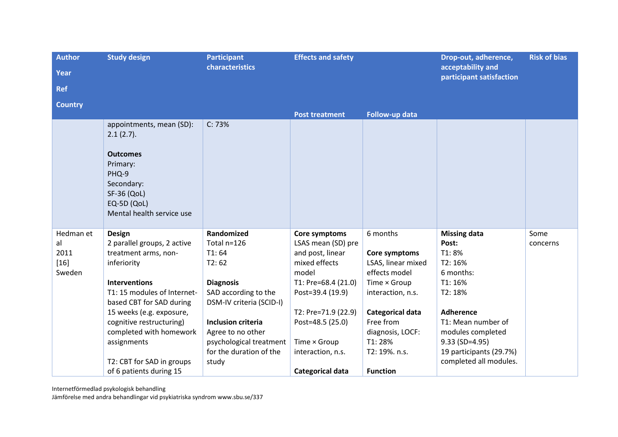| <b>Author</b>  | <b>Study design</b>                                  | <b>Participant</b>        | <b>Effects and safety</b> |                         | Drop-out, adherence,                          | <b>Risk of bias</b> |
|----------------|------------------------------------------------------|---------------------------|---------------------------|-------------------------|-----------------------------------------------|---------------------|
| <b>Year</b>    |                                                      | characteristics           |                           |                         | acceptability and<br>participant satisfaction |                     |
| <b>Ref</b>     |                                                      |                           |                           |                         |                                               |                     |
| <b>Country</b> |                                                      |                           |                           |                         |                                               |                     |
|                |                                                      |                           | <b>Post treatment</b>     | Follow-up data          |                                               |                     |
|                | appointments, mean (SD):<br>2.1(2.7).                | C: 73%                    |                           |                         |                                               |                     |
|                | <b>Outcomes</b>                                      |                           |                           |                         |                                               |                     |
|                | Primary:                                             |                           |                           |                         |                                               |                     |
|                | PHQ-9<br>Secondary:                                  |                           |                           |                         |                                               |                     |
|                | <b>SF-36 (QoL)</b>                                   |                           |                           |                         |                                               |                     |
|                | EQ-5D (QoL)                                          |                           |                           |                         |                                               |                     |
|                | Mental health service use                            |                           |                           |                         |                                               |                     |
| Hedman et      | <b>Design</b>                                        | Randomized                | Core symptoms             | 6 months                | <b>Missing data</b>                           | Some                |
| al             | 2 parallel groups, 2 active                          | Total n=126               | LSAS mean (SD) pre        |                         | Post:                                         | concerns            |
| 2011           | treatment arms, non-                                 | T1:64                     | and post, linear          | Core symptoms           | T1:8%                                         |                     |
| $[16]$         | inferiority                                          | T2:62                     | mixed effects             | LSAS, linear mixed      | T2: 16%                                       |                     |
| Sweden         |                                                      |                           | model                     | effects model           | 6 months:                                     |                     |
|                | <b>Interventions</b>                                 | <b>Diagnosis</b>          | T1: Pre=68.4 (21.0)       | Time × Group            | T1: 16%                                       |                     |
|                | T1: 15 modules of Internet-                          | SAD according to the      | Post=39.4 (19.9)          | interaction, n.s.       | T2: 18%                                       |                     |
|                | based CBT for SAD during                             | DSM-IV criteria (SCID-I)  | T2: Pre=71.9 (22.9)       | <b>Categorical data</b> | <b>Adherence</b>                              |                     |
|                | 15 weeks (e.g. exposure,<br>cognitive restructuring) | <b>Inclusion criteria</b> | Post=48.5 (25.0)          | Free from               | T1: Mean number of                            |                     |
|                | completed with homework                              | Agree to no other         |                           | diagnosis, LOCF:        | modules completed                             |                     |
|                | assignments                                          | psychological treatment   | Time × Group              | T1:28%                  | $9.33$ (SD=4.95)                              |                     |
|                |                                                      | for the duration of the   | interaction, n.s.         | T2: 19%. n.s.           | 19 participants (29.7%)                       |                     |
|                | T2: CBT for SAD in groups                            | study                     |                           |                         | completed all modules.                        |                     |
|                | of 6 patients during 15                              |                           | <b>Categorical data</b>   | <b>Function</b>         |                                               |                     |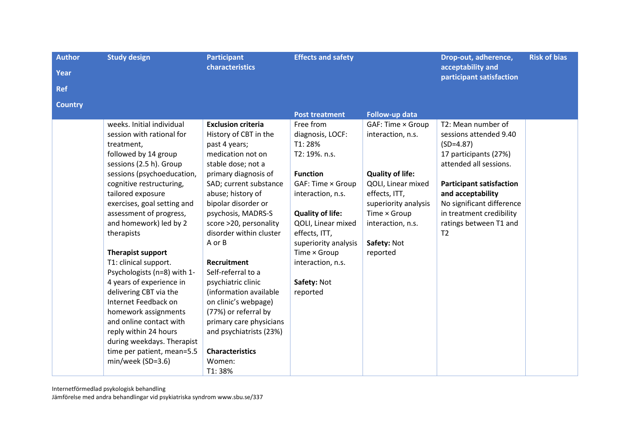| <b>Author</b><br>Year<br><b>Ref</b> | <b>Study design</b>                                                                                                                                                                                                                                                                                                                                                                                                                                                                                                                                                                                                              | <b>Participant</b><br>characteristics                                                                                                                                                                                                                                                                                                                                                                                                                                                                                                             | <b>Effects and safety</b>                                                                                                                                                                                                                                                       |                                                                                                                                                                                                  | Drop-out, adherence,<br>acceptability and<br>participant satisfaction                                                                                                                                                                                                       | <b>Risk of bias</b> |
|-------------------------------------|----------------------------------------------------------------------------------------------------------------------------------------------------------------------------------------------------------------------------------------------------------------------------------------------------------------------------------------------------------------------------------------------------------------------------------------------------------------------------------------------------------------------------------------------------------------------------------------------------------------------------------|---------------------------------------------------------------------------------------------------------------------------------------------------------------------------------------------------------------------------------------------------------------------------------------------------------------------------------------------------------------------------------------------------------------------------------------------------------------------------------------------------------------------------------------------------|---------------------------------------------------------------------------------------------------------------------------------------------------------------------------------------------------------------------------------------------------------------------------------|--------------------------------------------------------------------------------------------------------------------------------------------------------------------------------------------------|-----------------------------------------------------------------------------------------------------------------------------------------------------------------------------------------------------------------------------------------------------------------------------|---------------------|
| <b>Country</b>                      |                                                                                                                                                                                                                                                                                                                                                                                                                                                                                                                                                                                                                                  |                                                                                                                                                                                                                                                                                                                                                                                                                                                                                                                                                   | <b>Post treatment</b>                                                                                                                                                                                                                                                           | Follow-up data                                                                                                                                                                                   |                                                                                                                                                                                                                                                                             |                     |
|                                     | weeks. Initial individual<br>session with rational for<br>treatment,<br>followed by 14 group<br>sessions (2.5 h). Group<br>sessions (psychoeducation,<br>cognitive restructuring,<br>tailored exposure<br>exercises, goal setting and<br>assessment of progress,<br>and homework) led by 2<br>therapists<br>Therapist support<br>T1: clinical support.<br>Psychologists (n=8) with 1-<br>4 years of experience in<br>delivering CBT via the<br>Internet Feedback on<br>homework assignments<br>and online contact with<br>reply within 24 hours<br>during weekdays. Therapist<br>time per patient, mean=5.5<br>min/week (SD=3.6) | <b>Exclusion criteria</b><br>History of CBT in the<br>past 4 years;<br>medication not on<br>stable dose; not a<br>primary diagnosis of<br>SAD; current substance<br>abuse; history of<br>bipolar disorder or<br>psychosis, MADRS-S<br>score >20, personality<br>disorder within cluster<br>A or B<br><b>Recruitment</b><br>Self-referral to a<br>psychiatric clinic<br>(information available<br>on clinic's webpage)<br>(77%) or referral by<br>primary care physicians<br>and psychiatrists (23%)<br><b>Characteristics</b><br>Women:<br>T1:38% | Free from<br>diagnosis, LOCF:<br>T1:28%<br>T2: 19%. n.s.<br><b>Function</b><br>GAF: Time × Group<br>interaction, n.s.<br><b>Quality of life:</b><br>QOLI, Linear mixed<br>effects, ITT,<br>superiority analysis<br>Time × Group<br>interaction, n.s.<br>Safety: Not<br>reported | GAF: Time × Group<br>interaction, n.s.<br><b>Quality of life:</b><br>QOLI, Linear mixed<br>effects, ITT,<br>superiority analysis<br>Time × Group<br>interaction, n.s.<br>Safety: Not<br>reported | T2: Mean number of<br>sessions attended 9.40<br>$(SD=4.87)$<br>17 participants (27%)<br>attended all sessions.<br><b>Participant satisfaction</b><br>and acceptability<br>No significant difference<br>in treatment credibility<br>ratings between T1 and<br>T <sub>2</sub> |                     |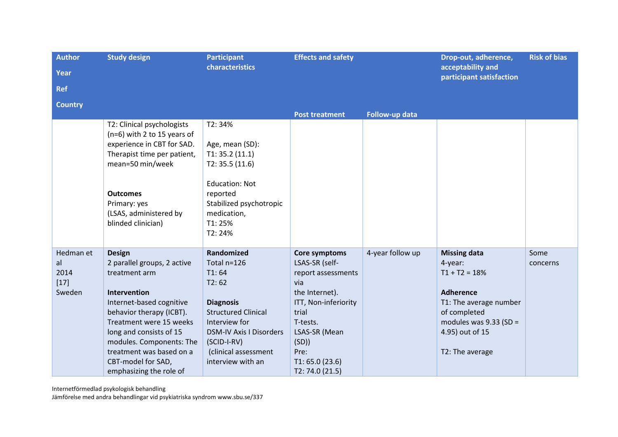| <b>Author</b>                               | <b>Study design</b>                                                                                                                                                                                                                                                                                  | <b>Participant</b><br>characteristics                                                                                                                                                                        | <b>Effects and safety</b>                                                                                                                                                                          |                  | Drop-out, adherence,<br>acceptability and                                                                                                                                         | <b>Risk of bias</b> |
|---------------------------------------------|------------------------------------------------------------------------------------------------------------------------------------------------------------------------------------------------------------------------------------------------------------------------------------------------------|--------------------------------------------------------------------------------------------------------------------------------------------------------------------------------------------------------------|----------------------------------------------------------------------------------------------------------------------------------------------------------------------------------------------------|------------------|-----------------------------------------------------------------------------------------------------------------------------------------------------------------------------------|---------------------|
| <b>Year</b>                                 |                                                                                                                                                                                                                                                                                                      |                                                                                                                                                                                                              |                                                                                                                                                                                                    |                  | participant satisfaction                                                                                                                                                          |                     |
| <b>Ref</b>                                  |                                                                                                                                                                                                                                                                                                      |                                                                                                                                                                                                              |                                                                                                                                                                                                    |                  |                                                                                                                                                                                   |                     |
| <b>Country</b>                              |                                                                                                                                                                                                                                                                                                      |                                                                                                                                                                                                              |                                                                                                                                                                                                    |                  |                                                                                                                                                                                   |                     |
|                                             |                                                                                                                                                                                                                                                                                                      |                                                                                                                                                                                                              | <b>Post treatment</b>                                                                                                                                                                              | Follow-up data   |                                                                                                                                                                                   |                     |
|                                             | T2: Clinical psychologists<br>$(n=6)$ with 2 to 15 years of<br>experience in CBT for SAD.                                                                                                                                                                                                            | T2:34%<br>Age, mean (SD):                                                                                                                                                                                    |                                                                                                                                                                                                    |                  |                                                                                                                                                                                   |                     |
|                                             | Therapist time per patient,<br>mean=50 min/week                                                                                                                                                                                                                                                      | T1: 35.2(11.1)<br>T2: 35.5(11.6)                                                                                                                                                                             |                                                                                                                                                                                                    |                  |                                                                                                                                                                                   |                     |
|                                             | <b>Outcomes</b><br>Primary: yes<br>(LSAS, administered by<br>blinded clinician)                                                                                                                                                                                                                      | <b>Education: Not</b><br>reported<br>Stabilized psychotropic<br>medication,<br>T1:25%<br>T2:24%                                                                                                              |                                                                                                                                                                                                    |                  |                                                                                                                                                                                   |                     |
| Hedman et<br>al<br>2014<br>$[17]$<br>Sweden | <b>Design</b><br>2 parallel groups, 2 active<br>treatment arm<br>Intervention<br>Internet-based cognitive<br>behavior therapy (ICBT).<br>Treatment were 15 weeks<br>long and consists of 15<br>modules. Components: The<br>treatment was based on a<br>CBT-model for SAD,<br>emphasizing the role of | Randomized<br>Total n=126<br>T1:64<br>T2:62<br><b>Diagnosis</b><br><b>Structured Clinical</b><br>Interview for<br><b>DSM-IV Axis I Disorders</b><br>(SCID-I-RV)<br>(clinical assessment<br>interview with an | Core symptoms<br>LSAS-SR (self-<br>report assessments<br>via<br>the Internet).<br>ITT, Non-inferiority<br>trial<br>T-tests.<br>LSAS-SR (Mean<br>(SD)<br>Pre:<br>T1: 65.0 (23.6)<br>T2: 74.0 (21.5) | 4-year follow up | <b>Missing data</b><br>4-year:<br>$T1 + T2 = 18%$<br><b>Adherence</b><br>T1: The average number<br>of completed<br>modules was $9.33$ (SD =<br>4.95) out of 15<br>T2: The average | Some<br>concerns    |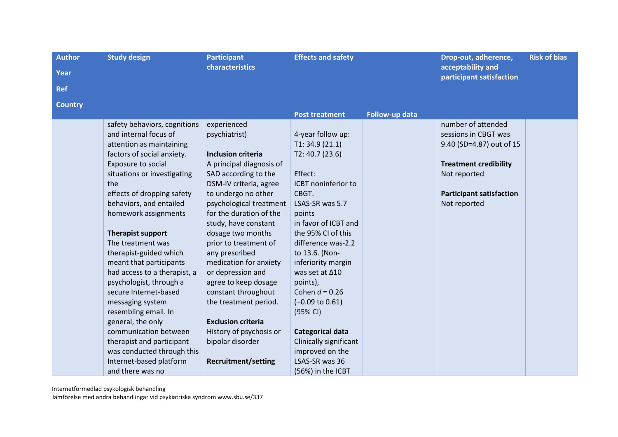| <b>Author</b><br>Year<br><b>Ref</b> | <b>Study design</b>                                                                                                                                                                                                                                                                                                                                                                                                                                                                                                                                                                                                                                        | <b>Participant</b><br>characteristics                                                                                                                                                                                                                                                                                                                                                                                                                                                                                                         | <b>Effects and safety</b>                                                                                                                                                                                                                                                                                                                                                                                                                                           |                | Drop-out, adherence,<br>acceptability and<br>participant satisfaction                                                                                                     | <b>Risk of bias</b> |
|-------------------------------------|------------------------------------------------------------------------------------------------------------------------------------------------------------------------------------------------------------------------------------------------------------------------------------------------------------------------------------------------------------------------------------------------------------------------------------------------------------------------------------------------------------------------------------------------------------------------------------------------------------------------------------------------------------|-----------------------------------------------------------------------------------------------------------------------------------------------------------------------------------------------------------------------------------------------------------------------------------------------------------------------------------------------------------------------------------------------------------------------------------------------------------------------------------------------------------------------------------------------|---------------------------------------------------------------------------------------------------------------------------------------------------------------------------------------------------------------------------------------------------------------------------------------------------------------------------------------------------------------------------------------------------------------------------------------------------------------------|----------------|---------------------------------------------------------------------------------------------------------------------------------------------------------------------------|---------------------|
| <b>Country</b>                      |                                                                                                                                                                                                                                                                                                                                                                                                                                                                                                                                                                                                                                                            |                                                                                                                                                                                                                                                                                                                                                                                                                                                                                                                                               | <b>Post treatment</b>                                                                                                                                                                                                                                                                                                                                                                                                                                               | Follow-up data |                                                                                                                                                                           |                     |
|                                     | safety behaviors, cognitions<br>and internal focus of<br>attention as maintaining<br>factors of social anxiety.<br>Exposure to social<br>situations or investigating<br>the<br>effects of dropping safety<br>behaviors, and entailed<br>homework assignments<br><b>Therapist support</b><br>The treatment was<br>therapist-guided which<br>meant that participants<br>had access to a therapist, a<br>psychologist, through a<br>secure Internet-based<br>messaging system<br>resembling email. In<br>general, the only<br>communication between<br>therapist and participant<br>was conducted through this<br>Internet-based platform<br>and there was no | experienced<br>psychiatrist)<br><b>Inclusion criteria</b><br>A principal diagnosis of<br>SAD according to the<br>DSM-IV criteria, agree<br>to undergo no other<br>psychological treatment<br>for the duration of the<br>study, have constant<br>dosage two months<br>prior to treatment of<br>any prescribed<br>medication for anxiety<br>or depression and<br>agree to keep dosage<br>constant throughout<br>the treatment period.<br><b>Exclusion criteria</b><br>History of psychosis or<br>bipolar disorder<br><b>Recruitment/setting</b> | 4-year follow up:<br>T1: 34.9(21.1)<br>T2: 40.7(23.6)<br>Effect:<br>ICBT noninferior to<br>CBGT.<br>LSAS-SR was 5.7<br>points<br>in favor of ICBT and<br>the 95% CI of this<br>difference was-2.2<br>to 13.6. (Non-<br>inferiority margin<br>was set at $\Delta$ 10<br>points),<br>Cohen $d = 0.26$<br>$(-0.09 \text{ to } 0.61)$<br>(95% CI)<br><b>Categorical data</b><br><b>Clinically significant</b><br>improved on the<br>LSAS-SR was 36<br>(56%) in the ICBT |                | number of attended<br>sessions in CBGT was<br>9.40 (SD=4.87) out of 15<br><b>Treatment credibility</b><br>Not reported<br><b>Participant satisfaction</b><br>Not reported |                     |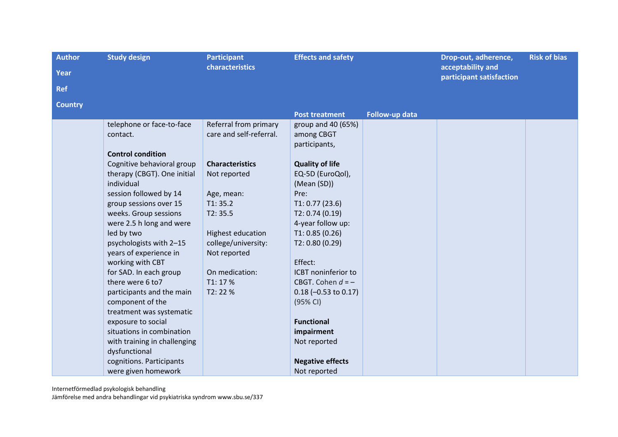| <b>Author</b><br><b>Year</b><br><b>Ref</b> | <b>Study design</b>                                                                                                                                                                                                                                                                                                                                                                                                                                                                                                                                        | <b>Participant</b><br>characteristics                                                                                                                                                                                             | <b>Effects and safety</b>                                                                                                                                                                                                                                                                                                                                                                                        |                | Drop-out, adherence,<br>acceptability and<br>participant satisfaction | <b>Risk of bias</b> |
|--------------------------------------------|------------------------------------------------------------------------------------------------------------------------------------------------------------------------------------------------------------------------------------------------------------------------------------------------------------------------------------------------------------------------------------------------------------------------------------------------------------------------------------------------------------------------------------------------------------|-----------------------------------------------------------------------------------------------------------------------------------------------------------------------------------------------------------------------------------|------------------------------------------------------------------------------------------------------------------------------------------------------------------------------------------------------------------------------------------------------------------------------------------------------------------------------------------------------------------------------------------------------------------|----------------|-----------------------------------------------------------------------|---------------------|
| <b>Country</b>                             |                                                                                                                                                                                                                                                                                                                                                                                                                                                                                                                                                            |                                                                                                                                                                                                                                   |                                                                                                                                                                                                                                                                                                                                                                                                                  |                |                                                                       |                     |
|                                            | telephone or face-to-face<br>contact.<br><b>Control condition</b><br>Cognitive behavioral group<br>therapy (CBGT). One initial<br>individual<br>session followed by 14<br>group sessions over 15<br>weeks. Group sessions<br>were 2.5 h long and were<br>led by two<br>psychologists with 2-15<br>years of experience in<br>working with CBT<br>for SAD. In each group<br>there were 6 to7<br>participants and the main<br>component of the<br>treatment was systematic<br>exposure to social<br>situations in combination<br>with training in challenging | Referral from primary<br>care and self-referral.<br><b>Characteristics</b><br>Not reported<br>Age, mean:<br>T1: 35.2<br>T2:35.5<br>Highest education<br>college/university:<br>Not reported<br>On medication:<br>T1:17%<br>T2:22% | <b>Post treatment</b><br>group and $40(65%)$<br>among CBGT<br>participants,<br><b>Quality of life</b><br>EQ-5D (EuroQol),<br>(Mean (SD))<br>Pre:<br>T1: 0.77(23.6)<br>T2: 0.74(0.19)<br>4-year follow up:<br>T1: 0.85(0.26)<br>T2: 0.80 (0.29)<br>Effect:<br><b>ICBT</b> noninferior to<br>CBGT. Cohen $d = -$<br>$0.18 (-0.53 \text{ to } 0.17)$<br>(95% CI)<br><b>Functional</b><br>impairment<br>Not reported | Follow-up data |                                                                       |                     |
|                                            | dysfunctional<br>cognitions. Participants<br>were given homework                                                                                                                                                                                                                                                                                                                                                                                                                                                                                           |                                                                                                                                                                                                                                   | <b>Negative effects</b><br>Not reported                                                                                                                                                                                                                                                                                                                                                                          |                |                                                                       |                     |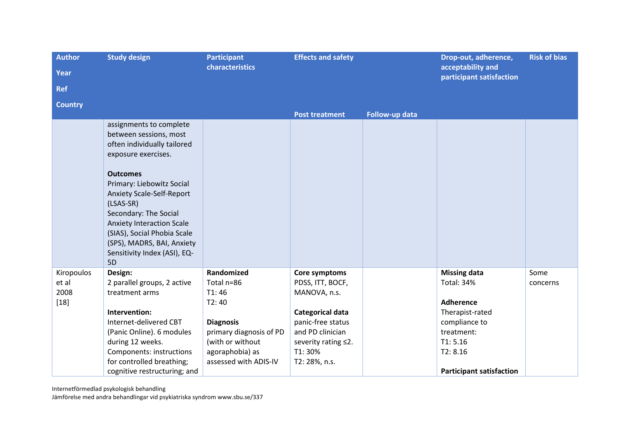| <b>Author</b>  | <b>Study design</b>              | <b>Participant</b>      | <b>Effects and safety</b> |                | Drop-out, adherence,<br>acceptability and | <b>Risk of bias</b> |
|----------------|----------------------------------|-------------------------|---------------------------|----------------|-------------------------------------------|---------------------|
| Year           |                                  | characteristics         |                           |                |                                           |                     |
| <b>Ref</b>     |                                  |                         |                           |                | participant satisfaction                  |                     |
| <b>Country</b> |                                  |                         |                           |                |                                           |                     |
|                |                                  |                         | <b>Post treatment</b>     | Follow-up data |                                           |                     |
|                | assignments to complete          |                         |                           |                |                                           |                     |
|                | between sessions, most           |                         |                           |                |                                           |                     |
|                | often individually tailored      |                         |                           |                |                                           |                     |
|                | exposure exercises.              |                         |                           |                |                                           |                     |
|                | <b>Outcomes</b>                  |                         |                           |                |                                           |                     |
|                | Primary: Liebowitz Social        |                         |                           |                |                                           |                     |
|                | Anxiety Scale-Self-Report        |                         |                           |                |                                           |                     |
|                | (LSAS-SR)                        |                         |                           |                |                                           |                     |
|                | Secondary: The Social            |                         |                           |                |                                           |                     |
|                | <b>Anxiety Interaction Scale</b> |                         |                           |                |                                           |                     |
|                | (SIAS), Social Phobia Scale      |                         |                           |                |                                           |                     |
|                | (SPS), MADRS, BAI, Anxiety       |                         |                           |                |                                           |                     |
|                | Sensitivity Index (ASI), EQ-     |                         |                           |                |                                           |                     |
|                | 5D                               |                         |                           |                |                                           |                     |
| Kiropoulos     | Design:                          | Randomized              | Core symptoms             |                | <b>Missing data</b>                       | Some                |
| et al          | 2 parallel groups, 2 active      | Total n=86              | PDSS, ITT, BOCF,          |                | <b>Total: 34%</b>                         | concerns            |
| 2008           | treatment arms                   | T1:46                   | MANOVA, n.s.              |                |                                           |                     |
| $[18]$         |                                  | T2:40                   |                           |                | <b>Adherence</b>                          |                     |
|                | Intervention:                    |                         | Categorical data          |                | Therapist-rated                           |                     |
|                | Internet-delivered CBT           | <b>Diagnosis</b>        | panic-free status         |                | compliance to                             |                     |
|                | (Panic Online). 6 modules        | primary diagnosis of PD | and PD clinician          |                | treatment:                                |                     |
|                | during 12 weeks.                 | (with or without        | severity rating ≤2.       |                | T1: 5.16                                  |                     |
|                | Components: instructions         | agoraphobia) as         | T1:30%                    |                | T2: 8.16                                  |                     |
|                | for controlled breathing;        | assessed with ADIS-IV   | T2: 28%, n.s.             |                |                                           |                     |
|                | cognitive restructuring; and     |                         |                           |                | <b>Participant satisfaction</b>           |                     |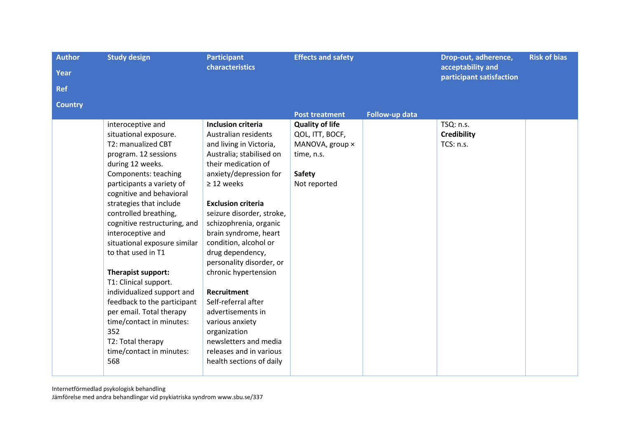| <b>Author</b>  | <b>Study design</b>          | <b>Participant</b>        | <b>Effects and safety</b> |                | Drop-out, adherence,                          | <b>Risk of bias</b> |
|----------------|------------------------------|---------------------------|---------------------------|----------------|-----------------------------------------------|---------------------|
| Year           |                              | characteristics           |                           |                | acceptability and<br>participant satisfaction |                     |
| <b>Ref</b>     |                              |                           |                           |                |                                               |                     |
| <b>Country</b> |                              |                           |                           |                |                                               |                     |
|                |                              |                           | <b>Post treatment</b>     | Follow-up data |                                               |                     |
|                | interoceptive and            | Inclusion criteria        | <b>Quality of life</b>    |                | TSQ: n.s.                                     |                     |
|                | situational exposure.        | Australian residents      | QOL, ITT, BOCF,           |                | <b>Credibility</b>                            |                     |
|                | T2: manualized CBT           | and living in Victoria,   | MANOVA, group x           |                | TCS: n.s.                                     |                     |
|                | program. 12 sessions         | Australia; stabilised on  | time, n.s.                |                |                                               |                     |
|                | during 12 weeks.             | their medication of       |                           |                |                                               |                     |
|                | Components: teaching         | anxiety/depression for    | <b>Safety</b>             |                |                                               |                     |
|                | participants a variety of    | $\geq$ 12 weeks           | Not reported              |                |                                               |                     |
|                | cognitive and behavioral     |                           |                           |                |                                               |                     |
|                | strategies that include      | <b>Exclusion criteria</b> |                           |                |                                               |                     |
|                | controlled breathing,        | seizure disorder, stroke, |                           |                |                                               |                     |
|                | cognitive restructuring, and | schizophrenia, organic    |                           |                |                                               |                     |
|                | interoceptive and            | brain syndrome, heart     |                           |                |                                               |                     |
|                | situational exposure similar | condition, alcohol or     |                           |                |                                               |                     |
|                | to that used in T1           | drug dependency,          |                           |                |                                               |                     |
|                |                              | personality disorder, or  |                           |                |                                               |                     |
|                | Therapist support:           | chronic hypertension      |                           |                |                                               |                     |
|                | T1: Clinical support.        |                           |                           |                |                                               |                     |
|                | individualized support and   | <b>Recruitment</b>        |                           |                |                                               |                     |
|                | feedback to the participant  | Self-referral after       |                           |                |                                               |                     |
|                | per email. Total therapy     | advertisements in         |                           |                |                                               |                     |
|                | time/contact in minutes:     | various anxiety           |                           |                |                                               |                     |
|                | 352                          | organization              |                           |                |                                               |                     |
|                | T2: Total therapy            | newsletters and media     |                           |                |                                               |                     |
|                | time/contact in minutes:     | releases and in various   |                           |                |                                               |                     |
|                | 568                          | health sections of daily  |                           |                |                                               |                     |
|                |                              |                           |                           |                |                                               |                     |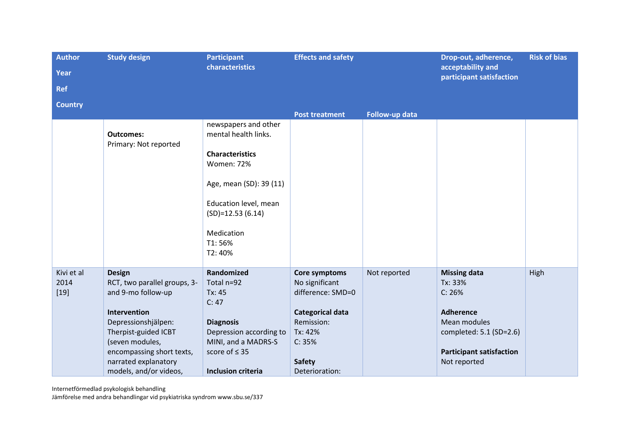| <b>Author</b>  | <b>Study design</b><br><b>Participant</b>         |                                              | <b>Effects and safety</b> |                | Drop-out, adherence,                            | <b>Risk of bias</b> |
|----------------|---------------------------------------------------|----------------------------------------------|---------------------------|----------------|-------------------------------------------------|---------------------|
| <b>Year</b>    |                                                   | characteristics                              |                           |                | acceptability and<br>participant satisfaction   |                     |
| <b>Ref</b>     |                                                   |                                              |                           |                |                                                 |                     |
| <b>Country</b> |                                                   |                                              |                           |                |                                                 |                     |
|                |                                                   |                                              | <b>Post treatment</b>     | Follow-up data |                                                 |                     |
|                | <b>Outcomes:</b>                                  | newspapers and other<br>mental health links. |                           |                |                                                 |                     |
|                | Primary: Not reported                             | <b>Characteristics</b><br><b>Women: 72%</b>  |                           |                |                                                 |                     |
|                |                                                   | Age, mean (SD): 39 (11)                      |                           |                |                                                 |                     |
|                |                                                   | Education level, mean<br>$(SD)=12.53(6.14)$  |                           |                |                                                 |                     |
|                |                                                   | Medication<br>T1:56%<br>T2:40%               |                           |                |                                                 |                     |
| Kivi et al     | <b>Design</b>                                     | Randomized                                   | Core symptoms             | Not reported   | <b>Missing data</b>                             | High                |
| 2014           | RCT, two parallel groups, 3-                      | Total n=92                                   | No significant            |                | Tx: 33%                                         |                     |
| $[19]$         | and 9-mo follow-up                                | Tx: 45                                       | difference: SMD=0         |                | C: 26%                                          |                     |
|                |                                                   | C: 47                                        |                           |                |                                                 |                     |
|                | Intervention                                      |                                              | <b>Categorical data</b>   |                | Adherence                                       |                     |
|                | Depressionshjälpen:                               | <b>Diagnosis</b>                             | Remission:                |                | Mean modules                                    |                     |
|                | Therpist-guided ICBT                              | Depression according to                      | Tx: 42%                   |                | completed: 5.1 (SD=2.6)                         |                     |
|                | (seven modules,                                   | MINI, and a MADRS-S                          | C: 35%                    |                |                                                 |                     |
|                | encompassing short texts,<br>narrated explanatory | score of $\leq$ 35                           | <b>Safety</b>             |                | <b>Participant satisfaction</b><br>Not reported |                     |
|                | models, and/or videos,                            | <b>Inclusion criteria</b>                    | Deterioration:            |                |                                                 |                     |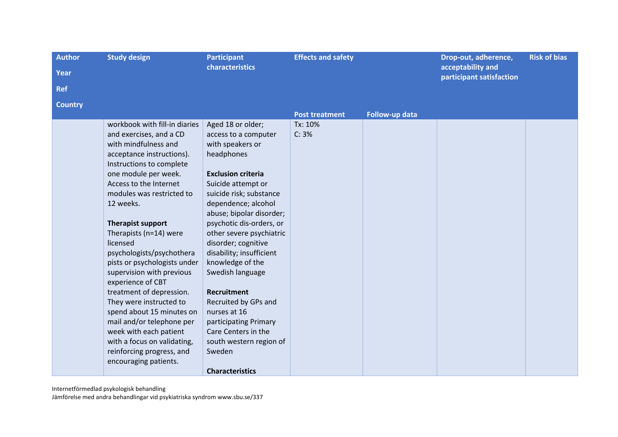| <b>Author</b>  | <b>Study design</b>           | <b>Participant</b>        | <b>Effects and safety</b> |                | Drop-out, adherence,                          | <b>Risk of bias</b> |
|----------------|-------------------------------|---------------------------|---------------------------|----------------|-----------------------------------------------|---------------------|
| Year           |                               | characteristics           |                           |                | acceptability and<br>participant satisfaction |                     |
| <b>Ref</b>     |                               |                           |                           |                |                                               |                     |
| <b>Country</b> |                               |                           |                           |                |                                               |                     |
|                |                               |                           | <b>Post treatment</b>     | Follow-up data |                                               |                     |
|                | workbook with fill-in diaries | Aged 18 or older;         | Tx: 10%                   |                |                                               |                     |
|                | and exercises, and a CD       | access to a computer      | C: 3%                     |                |                                               |                     |
|                | with mindfulness and          | with speakers or          |                           |                |                                               |                     |
|                | acceptance instructions).     | headphones                |                           |                |                                               |                     |
|                | Instructions to complete      |                           |                           |                |                                               |                     |
|                | one module per week.          | <b>Exclusion criteria</b> |                           |                |                                               |                     |
|                | Access to the Internet        | Suicide attempt or        |                           |                |                                               |                     |
|                | modules was restricted to     | suicide risk; substance   |                           |                |                                               |                     |
|                | 12 weeks.                     | dependence; alcohol       |                           |                |                                               |                     |
|                |                               | abuse; bipolar disorder;  |                           |                |                                               |                     |
|                | <b>Therapist support</b>      | psychotic dis-orders, or  |                           |                |                                               |                     |
|                | Therapists (n=14) were        | other severe psychiatric  |                           |                |                                               |                     |
|                | licensed                      | disorder; cognitive       |                           |                |                                               |                     |
|                | psychologists/psychothera     | disability; insufficient  |                           |                |                                               |                     |
|                | pists or psychologists under  | knowledge of the          |                           |                |                                               |                     |
|                | supervision with previous     | Swedish language          |                           |                |                                               |                     |
|                | experience of CBT             |                           |                           |                |                                               |                     |
|                | treatment of depression.      | <b>Recruitment</b>        |                           |                |                                               |                     |
|                | They were instructed to       | Recruited by GPs and      |                           |                |                                               |                     |
|                | spend about 15 minutes on     | nurses at 16              |                           |                |                                               |                     |
|                | mail and/or telephone per     | participating Primary     |                           |                |                                               |                     |
|                | week with each patient        | Care Centers in the       |                           |                |                                               |                     |
|                | with a focus on validating,   | south western region of   |                           |                |                                               |                     |
|                | reinforcing progress, and     | Sweden                    |                           |                |                                               |                     |
|                | encouraging patients.         |                           |                           |                |                                               |                     |
|                |                               | <b>Characteristics</b>    |                           |                |                                               |                     |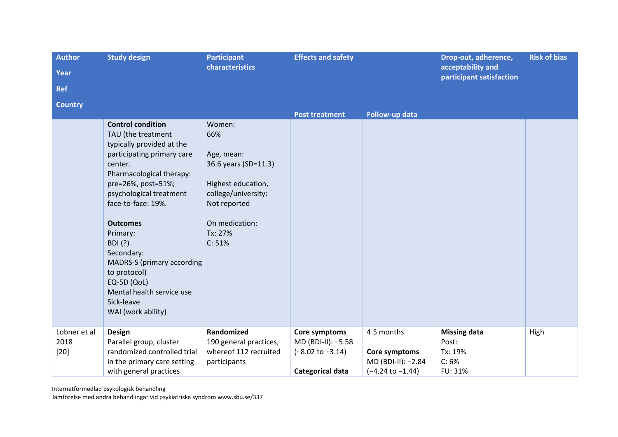| <b>Author</b><br>Year<br><b>Ref</b> | <b>Study design</b>                                                                                                                                                                                                                                                                                                                                                                                                  | <b>Participant</b><br>characteristics                                                                                                                   | <b>Effects and safety</b>                                                              |                                                                                  | Drop-out, adherence,<br>acceptability and<br>participant satisfaction | <b>Risk of bias</b> |
|-------------------------------------|----------------------------------------------------------------------------------------------------------------------------------------------------------------------------------------------------------------------------------------------------------------------------------------------------------------------------------------------------------------------------------------------------------------------|---------------------------------------------------------------------------------------------------------------------------------------------------------|----------------------------------------------------------------------------------------|----------------------------------------------------------------------------------|-----------------------------------------------------------------------|---------------------|
| <b>Country</b>                      |                                                                                                                                                                                                                                                                                                                                                                                                                      |                                                                                                                                                         | <b>Post treatment</b>                                                                  | Follow-up data                                                                   |                                                                       |                     |
|                                     | <b>Control condition</b><br>TAU (the treatment<br>typically provided at the<br>participating primary care<br>center.<br>Pharmacological therapy:<br>pre=26%, post=51%;<br>psychological treatment<br>face-to-face: 19%.<br><b>Outcomes</b><br>Primary:<br><b>BDI</b> (?)<br>Secondary:<br>MADRS-S (primary according<br>to protocol)<br>EQ-5D (QoL)<br>Mental health service use<br>Sick-leave<br>WAI (work ability) | Women:<br>66%<br>Age, mean:<br>36.6 years (SD=11.3)<br>Highest education,<br>college/university:<br>Not reported<br>On medication:<br>Tx: 27%<br>C: 51% |                                                                                        |                                                                                  |                                                                       |                     |
| Lobner et al<br>2018<br>$[20]$      | Design<br>Parallel group, cluster<br>randomized controlled trial<br>in the primary care setting<br>with general practices                                                                                                                                                                                                                                                                                            | Randomized<br>190 general practices,<br>whereof 112 recruited<br>participants                                                                           | Core symptoms<br>MD (BDI-II): -5.58<br>$(-8.02 \text{ to } -3.14)$<br>Categorical data | 4.5 months<br>Core symptoms<br>MD (BDI-II): -2.84<br>$(-4.24 \text{ to } -1.44)$ | <b>Missing data</b><br>Post:<br>Tx: 19%<br>C: 6%<br>FU: 31%           | High                |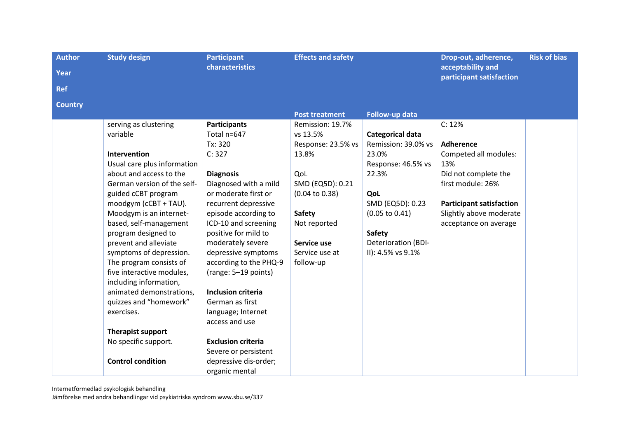| <b>Author</b><br>Year | <b>Study design</b>                               | <b>Participant</b><br>characteristics        | <b>Effects and safety</b>                 |                            | Drop-out, adherence,<br>acceptability and<br>participant satisfaction | <b>Risk of bias</b> |
|-----------------------|---------------------------------------------------|----------------------------------------------|-------------------------------------------|----------------------------|-----------------------------------------------------------------------|---------------------|
| <b>Ref</b>            |                                                   |                                              |                                           |                            |                                                                       |                     |
| <b>Country</b>        |                                                   |                                              |                                           |                            |                                                                       |                     |
|                       | serving as clustering                             | <b>Participants</b>                          | <b>Post treatment</b><br>Remission: 19.7% | Follow-up data             | C: 12%                                                                |                     |
|                       | variable                                          | Total n=647                                  | vs 13.5%                                  | Categorical data           |                                                                       |                     |
|                       |                                                   | Tx: 320                                      | Response: 23.5% vs                        | Remission: 39.0% vs        | <b>Adherence</b>                                                      |                     |
|                       | <b>Intervention</b>                               | C: 327                                       | 13.8%                                     | 23.0%                      | Competed all modules:                                                 |                     |
|                       | Usual care plus information                       |                                              |                                           | Response: 46.5% vs         | 13%                                                                   |                     |
|                       | about and access to the                           | <b>Diagnosis</b>                             | QoL                                       | 22.3%                      | Did not complete the                                                  |                     |
|                       | German version of the self-                       | Diagnosed with a mild                        | SMD (EQ5D): 0.21                          |                            | first module: 26%                                                     |                     |
|                       | guided cCBT program                               | or moderate first or                         | $(0.04 \text{ to } 0.38)$                 | QoL                        |                                                                       |                     |
|                       | moodgym (cCBT + TAU).                             | recurrent depressive                         |                                           | SMD (EQ5D): 0.23           | <b>Participant satisfaction</b>                                       |                     |
|                       | Moodgym is an internet-<br>based, self-management | episode according to<br>ICD-10 and screening | <b>Safety</b><br>Not reported             | $(0.05 \text{ to } 0.41)$  | Slightly above moderate<br>acceptance on average                      |                     |
|                       | program designed to                               | positive for mild to                         |                                           | <b>Safety</b>              |                                                                       |                     |
|                       | prevent and alleviate                             | moderately severe                            | Service use                               | <b>Deterioration (BDI-</b> |                                                                       |                     |
|                       | symptoms of depression.                           | depressive symptoms                          | Service use at                            | II): 4.5% vs 9.1%          |                                                                       |                     |
|                       | The program consists of                           | according to the PHQ-9                       | follow-up                                 |                            |                                                                       |                     |
|                       | five interactive modules,                         | (range: 5-19 points)                         |                                           |                            |                                                                       |                     |
|                       | including information,                            |                                              |                                           |                            |                                                                       |                     |
|                       | animated demonstrations,                          | <b>Inclusion criteria</b>                    |                                           |                            |                                                                       |                     |
|                       | quizzes and "homework"                            | German as first                              |                                           |                            |                                                                       |                     |
|                       | exercises.                                        | language; Internet                           |                                           |                            |                                                                       |                     |
|                       |                                                   | access and use                               |                                           |                            |                                                                       |                     |
|                       | Therapist support                                 |                                              |                                           |                            |                                                                       |                     |
|                       | No specific support.                              | <b>Exclusion criteria</b>                    |                                           |                            |                                                                       |                     |
|                       |                                                   | Severe or persistent                         |                                           |                            |                                                                       |                     |
|                       | <b>Control condition</b>                          | depressive dis-order;                        |                                           |                            |                                                                       |                     |
|                       |                                                   | organic mental                               |                                           |                            |                                                                       |                     |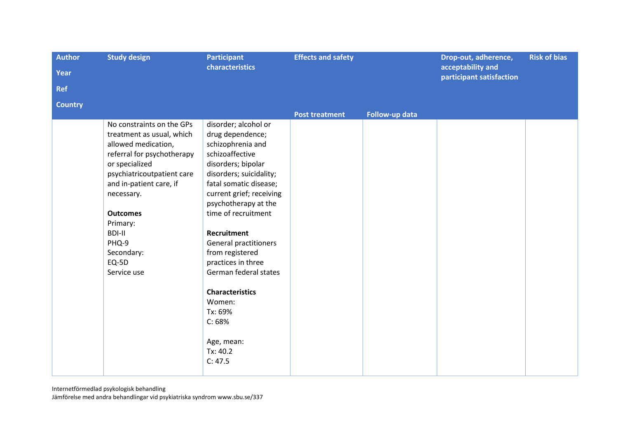| <b>Author</b>  | <b>Study design</b>        | <b>Participant</b>           |                       | <b>Effects and safety</b> |                                               | <b>Risk of bias</b> |
|----------------|----------------------------|------------------------------|-----------------------|---------------------------|-----------------------------------------------|---------------------|
| Year           |                            | characteristics              |                       |                           | acceptability and<br>participant satisfaction |                     |
| <b>Ref</b>     |                            |                              |                       |                           |                                               |                     |
| <b>Country</b> |                            |                              |                       |                           |                                               |                     |
|                |                            |                              | <b>Post treatment</b> | Follow-up data            |                                               |                     |
|                | No constraints on the GPs  | disorder; alcohol or         |                       |                           |                                               |                     |
|                | treatment as usual, which  | drug dependence;             |                       |                           |                                               |                     |
|                | allowed medication,        | schizophrenia and            |                       |                           |                                               |                     |
|                | referral for psychotherapy | schizoaffective              |                       |                           |                                               |                     |
|                | or specialized             | disorders; bipolar           |                       |                           |                                               |                     |
|                | psychiatricoutpatient care | disorders; suicidality;      |                       |                           |                                               |                     |
|                | and in-patient care, if    | fatal somatic disease;       |                       |                           |                                               |                     |
|                | necessary.                 | current grief; receiving     |                       |                           |                                               |                     |
|                |                            | psychotherapy at the         |                       |                           |                                               |                     |
|                | <b>Outcomes</b>            | time of recruitment          |                       |                           |                                               |                     |
|                | Primary:                   |                              |                       |                           |                                               |                     |
|                | <b>BDI-II</b>              | <b>Recruitment</b>           |                       |                           |                                               |                     |
|                | PHQ-9                      | <b>General practitioners</b> |                       |                           |                                               |                     |
|                | Secondary:                 | from registered              |                       |                           |                                               |                     |
|                | EQ-5D                      | practices in three           |                       |                           |                                               |                     |
|                | Service use                | German federal states        |                       |                           |                                               |                     |
|                |                            | <b>Characteristics</b>       |                       |                           |                                               |                     |
|                |                            | Women:                       |                       |                           |                                               |                     |
|                |                            | Tx: 69%                      |                       |                           |                                               |                     |
|                |                            | C: 68%                       |                       |                           |                                               |                     |
|                |                            |                              |                       |                           |                                               |                     |
|                |                            | Age, mean:                   |                       |                           |                                               |                     |
|                |                            | Tx: 40.2                     |                       |                           |                                               |                     |
|                |                            | C: 47.5                      |                       |                           |                                               |                     |
|                |                            |                              |                       |                           |                                               |                     |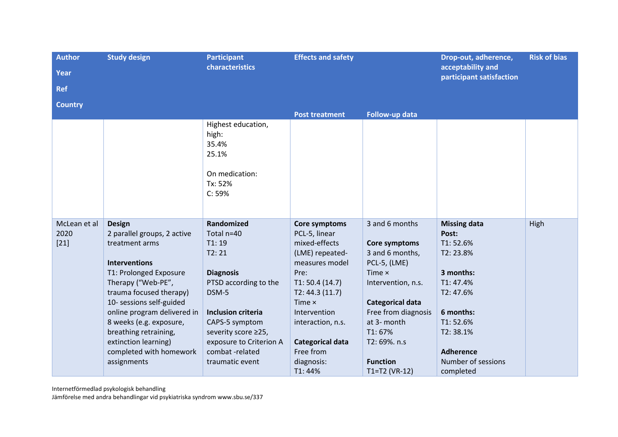| <b>Author</b>  | <b>Study design</b>                            | <b>Participant</b>                                              | <b>Effects and safety</b> |                         | Drop-out, adherence,                          | <b>Risk of bias</b> |
|----------------|------------------------------------------------|-----------------------------------------------------------------|---------------------------|-------------------------|-----------------------------------------------|---------------------|
| Year           |                                                | characteristics                                                 |                           |                         | acceptability and<br>participant satisfaction |                     |
| <b>Ref</b>     |                                                |                                                                 |                           |                         |                                               |                     |
| <b>Country</b> |                                                |                                                                 |                           |                         |                                               |                     |
|                |                                                |                                                                 | <b>Post treatment</b>     | Follow-up data          |                                               |                     |
|                |                                                | Highest education,<br>high:<br>35.4%<br>25.1%<br>On medication: |                           |                         |                                               |                     |
|                |                                                | Tx: 52%<br>C: 59%                                               |                           |                         |                                               |                     |
| McLean et al   | <b>Design</b>                                  | Randomized                                                      | Core symptoms             | 3 and 6 months          | <b>Missing data</b>                           | High                |
| 2020           | 2 parallel groups, 2 active                    | Total n=40                                                      | PCL-5, linear             |                         | Post:                                         |                     |
| $[21]$         | treatment arms                                 | T1:19                                                           | mixed-effects             | Core symptoms           | T1:52.6%                                      |                     |
|                |                                                | T2:21                                                           | (LME) repeated-           | 3 and 6 months,         | T2: 23.8%                                     |                     |
|                | <b>Interventions</b><br>T1: Prolonged Exposure | <b>Diagnosis</b>                                                | measures model<br>Pre:    | PCL-5, (LME)<br>Time ×  | 3 months:                                     |                     |
|                | Therapy ("Web-PE",                             | PTSD according to the                                           | T1: 50.4(14.7)            | Intervention, n.s.      | T1: 47.4%                                     |                     |
|                | trauma focused therapy)                        | DSM-5                                                           | T2: 44.3(11.7)            |                         | T2: 47.6%                                     |                     |
|                | 10- sessions self-guided                       |                                                                 | Time $\times$             | <b>Categorical data</b> |                                               |                     |
|                | online program delivered in                    | <b>Inclusion criteria</b>                                       | Intervention              | Free from diagnosis     | 6 months:                                     |                     |
|                | 8 weeks (e.g. exposure,                        | CAPS-5 symptom                                                  | interaction, n.s.         | at 3- month             | T1:52.6%                                      |                     |
|                | breathing retraining,                          | severity score ≥25,                                             |                           | T1:67%                  | T2:38.1%                                      |                     |
|                | extinction learning)                           | exposure to Criterion A                                         | <b>Categorical data</b>   | T2:69%. n.s             |                                               |                     |
|                | completed with homework                        | combat-related                                                  | Free from                 |                         | <b>Adherence</b>                              |                     |
|                | assignments                                    | traumatic event                                                 | diagnosis:                | <b>Function</b>         | Number of sessions                            |                     |
|                |                                                |                                                                 | T1:44%                    | $T1 = T2 (VR-12)$       | completed                                     |                     |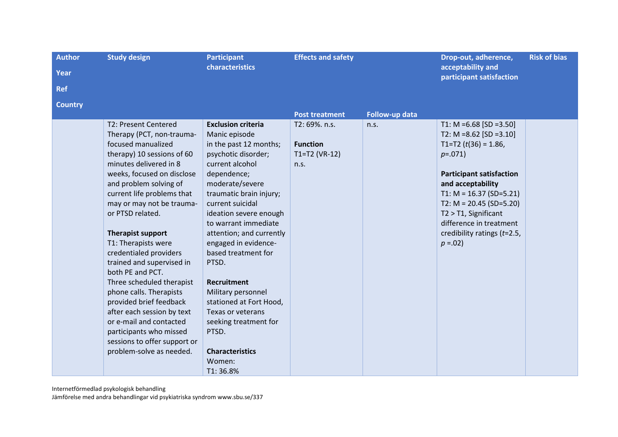| <b>Author</b><br>Year | <b>Study design</b>                                                                                                                                                                                                                                                                                                                                                                                                                                                                                                                                                                                                                     | <b>Participant</b><br><b>characteristics</b>                                                                                                                                                                                                                                                                                                                                                                                                                                                                        | <b>Effects and safety</b>                                    |                | Drop-out, adherence,<br>acceptability and<br>participant satisfaction                                                                                                                                                                                                                                              | <b>Risk of bias</b> |
|-----------------------|-----------------------------------------------------------------------------------------------------------------------------------------------------------------------------------------------------------------------------------------------------------------------------------------------------------------------------------------------------------------------------------------------------------------------------------------------------------------------------------------------------------------------------------------------------------------------------------------------------------------------------------------|---------------------------------------------------------------------------------------------------------------------------------------------------------------------------------------------------------------------------------------------------------------------------------------------------------------------------------------------------------------------------------------------------------------------------------------------------------------------------------------------------------------------|--------------------------------------------------------------|----------------|--------------------------------------------------------------------------------------------------------------------------------------------------------------------------------------------------------------------------------------------------------------------------------------------------------------------|---------------------|
| <b>Ref</b>            |                                                                                                                                                                                                                                                                                                                                                                                                                                                                                                                                                                                                                                         |                                                                                                                                                                                                                                                                                                                                                                                                                                                                                                                     |                                                              |                |                                                                                                                                                                                                                                                                                                                    |                     |
| <b>Country</b>        |                                                                                                                                                                                                                                                                                                                                                                                                                                                                                                                                                                                                                                         |                                                                                                                                                                                                                                                                                                                                                                                                                                                                                                                     | <b>Post treatment</b>                                        | Follow-up data |                                                                                                                                                                                                                                                                                                                    |                     |
|                       | T2: Present Centered<br>Therapy (PCT, non-trauma-<br>focused manualized<br>therapy) 10 sessions of 60<br>minutes delivered in 8<br>weeks, focused on disclose<br>and problem solving of<br>current life problems that<br>may or may not be trauma-<br>or PTSD related.<br><b>Therapist support</b><br>T1: Therapists were<br>credentialed providers<br>trained and supervised in<br>both PE and PCT.<br>Three scheduled therapist<br>phone calls. Therapists<br>provided brief feedback<br>after each session by text<br>or e-mail and contacted<br>participants who missed<br>sessions to offer support or<br>problem-solve as needed. | <b>Exclusion criteria</b><br>Manic episode<br>in the past 12 months;<br>psychotic disorder;<br>current alcohol<br>dependence;<br>moderate/severe<br>traumatic brain injury;<br>current suicidal<br>ideation severe enough<br>to warrant immediate<br>attention; and currently<br>engaged in evidence-<br>based treatment for<br>PTSD.<br><b>Recruitment</b><br>Military personnel<br>stationed at Fort Hood,<br>Texas or veterans<br>seeking treatment for<br>PTSD.<br><b>Characteristics</b><br>Women:<br>T1:36.8% | T2:69%. n.s.<br><b>Function</b><br>$T1 = T2$ (VR-12)<br>n.s. | n.s.           | T1: M = $6.68$ [SD = $3.50$ ]<br>T2: M = 8.62 [SD = 3.10]<br>T1=T2 $(t(36) = 1.86)$<br>$p=.071)$<br><b>Participant satisfaction</b><br>and acceptability<br>T1: $M = 16.37$ (SD=5.21)<br>T2: $M = 20.45$ (SD=5.20)<br>T2 > T1, Significant<br>difference in treatment<br>credibility ratings (t=2.5,<br>$p = 0.02$ |                     |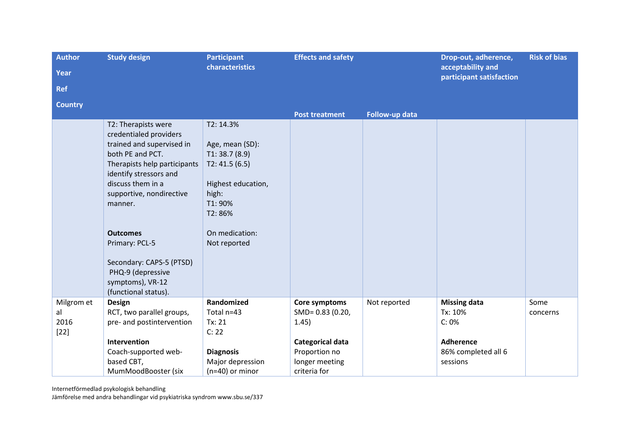| <b>Author</b>  | <b>Study design</b>          | <b>Participant</b> | <b>Effects and safety</b> |                | Drop-out, adherence,                          | <b>Risk of bias</b> |
|----------------|------------------------------|--------------------|---------------------------|----------------|-----------------------------------------------|---------------------|
| <b>Year</b>    |                              | characteristics    |                           |                | acceptability and<br>participant satisfaction |                     |
| <b>Ref</b>     |                              |                    |                           |                |                                               |                     |
| <b>Country</b> |                              |                    |                           |                |                                               |                     |
|                |                              |                    | <b>Post treatment</b>     | Follow-up data |                                               |                     |
|                | T2: Therapists were          | T2: 14.3%          |                           |                |                                               |                     |
|                | credentialed providers       |                    |                           |                |                                               |                     |
|                | trained and supervised in    | Age, mean (SD):    |                           |                |                                               |                     |
|                | both PE and PCT.             | T1: 38.7(8.9)      |                           |                |                                               |                     |
|                | Therapists help participants | T2: 41.5(6.5)      |                           |                |                                               |                     |
|                | identify stressors and       |                    |                           |                |                                               |                     |
|                | discuss them in a            | Highest education, |                           |                |                                               |                     |
|                | supportive, nondirective     | high:              |                           |                |                                               |                     |
|                | manner.                      | T1: 90%            |                           |                |                                               |                     |
|                |                              | T2:86%             |                           |                |                                               |                     |
|                | <b>Outcomes</b>              | On medication:     |                           |                |                                               |                     |
|                | Primary: PCL-5               | Not reported       |                           |                |                                               |                     |
|                |                              |                    |                           |                |                                               |                     |
|                | Secondary: CAPS-5 (PTSD)     |                    |                           |                |                                               |                     |
|                | PHQ-9 (depressive            |                    |                           |                |                                               |                     |
|                | symptoms), VR-12             |                    |                           |                |                                               |                     |
|                | (functional status).         |                    |                           |                |                                               |                     |
| Milgrom et     | Design                       | Randomized         | Core symptoms             | Not reported   | <b>Missing data</b>                           | Some                |
| al             | RCT, two parallel groups,    | Total n=43         | SMD= 0.83 (0.20,          |                | Tx: 10%                                       | concerns            |
| 2016           | pre- and postintervention    | Tx: 21             | 1.45)                     |                | C: 0%                                         |                     |
| $[22]$         |                              | C: 22              |                           |                |                                               |                     |
|                | Intervention                 |                    | Categorical data          |                | <b>Adherence</b>                              |                     |
|                | Coach-supported web-         | <b>Diagnosis</b>   | Proportion no             |                | 86% completed all 6                           |                     |
|                | based CBT,                   | Major depression   | longer meeting            |                | sessions                                      |                     |
|                | MumMoodBooster (six          | $(n=40)$ or minor  | criteria for              |                |                                               |                     |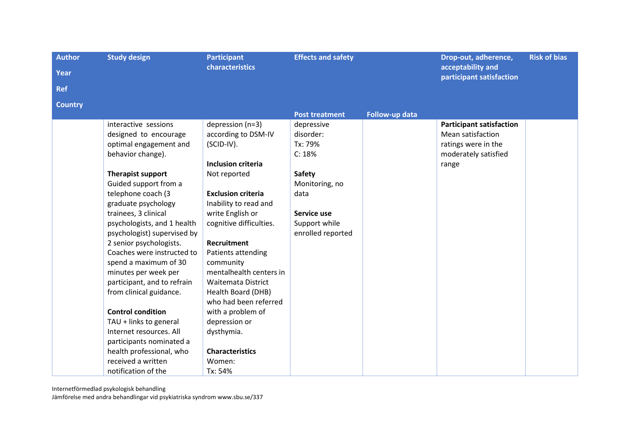| <b>Author</b>  | <b>Study design</b>         | <b>Participant</b>        | <b>Effects and safety</b> |                | Drop-out, adherence,                          | <b>Risk of bias</b> |
|----------------|-----------------------------|---------------------------|---------------------------|----------------|-----------------------------------------------|---------------------|
| Year           |                             | <b>characteristics</b>    |                           |                | acceptability and<br>participant satisfaction |                     |
| <b>Ref</b>     |                             |                           |                           |                |                                               |                     |
| <b>Country</b> |                             |                           |                           |                |                                               |                     |
|                |                             |                           | <b>Post treatment</b>     | Follow-up data |                                               |                     |
|                | interactive sessions        | depression (n=3)          | depressive                |                | <b>Participant satisfaction</b>               |                     |
|                | designed to encourage       | according to DSM-IV       | disorder:                 |                | Mean satisfaction                             |                     |
|                | optimal engagement and      | (SCID-IV).                | Tx: 79%                   |                | ratings were in the                           |                     |
|                | behavior change).           |                           | C: 18%                    |                | moderately satisfied                          |                     |
|                |                             | <b>Inclusion criteria</b> |                           |                | range                                         |                     |
|                | Therapist support           | Not reported              | <b>Safety</b>             |                |                                               |                     |
|                | Guided support from a       |                           | Monitoring, no            |                |                                               |                     |
|                | telephone coach (3          | <b>Exclusion criteria</b> | data                      |                |                                               |                     |
|                | graduate psychology         | Inability to read and     |                           |                |                                               |                     |
|                | trainees, 3 clinical        | write English or          | Service use               |                |                                               |                     |
|                | psychologists, and 1 health | cognitive difficulties.   | Support while             |                |                                               |                     |
|                | psychologist) supervised by |                           | enrolled reported         |                |                                               |                     |
|                | 2 senior psychologists.     | <b>Recruitment</b>        |                           |                |                                               |                     |
|                | Coaches were instructed to  | Patients attending        |                           |                |                                               |                     |
|                | spend a maximum of 30       | community                 |                           |                |                                               |                     |
|                | minutes per week per        | mentalhealth centers in   |                           |                |                                               |                     |
|                | participant, and to refrain | <b>Waitemata District</b> |                           |                |                                               |                     |
|                | from clinical guidance.     | Health Board (DHB)        |                           |                |                                               |                     |
|                |                             | who had been referred     |                           |                |                                               |                     |
|                | <b>Control condition</b>    | with a problem of         |                           |                |                                               |                     |
|                | TAU + links to general      | depression or             |                           |                |                                               |                     |
|                | Internet resources. All     | dysthymia.                |                           |                |                                               |                     |
|                | participants nominated a    |                           |                           |                |                                               |                     |
|                | health professional, who    | <b>Characteristics</b>    |                           |                |                                               |                     |
|                | received a written          | Women:                    |                           |                |                                               |                     |
|                | notification of the         | Tx: 54%                   |                           |                |                                               |                     |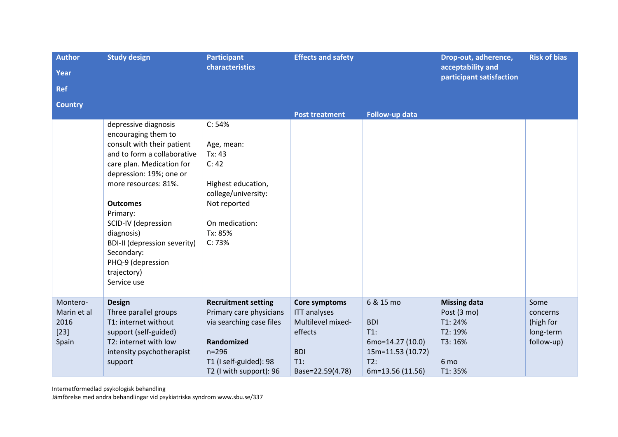| <b>Author</b><br>Year<br><b>Ref</b>                | <b>Study design</b>                                                                                                                                                                                                                                                                                                                                                  | <b>Participant</b><br>characteristics                                                                                                                             | <b>Effects and safety</b>                                                                                        |                                                                                                       | Drop-out, adherence,<br>acceptability and<br>participant satisfaction                 | <b>Risk of bias</b>                                      |
|----------------------------------------------------|----------------------------------------------------------------------------------------------------------------------------------------------------------------------------------------------------------------------------------------------------------------------------------------------------------------------------------------------------------------------|-------------------------------------------------------------------------------------------------------------------------------------------------------------------|------------------------------------------------------------------------------------------------------------------|-------------------------------------------------------------------------------------------------------|---------------------------------------------------------------------------------------|----------------------------------------------------------|
| <b>Country</b>                                     |                                                                                                                                                                                                                                                                                                                                                                      |                                                                                                                                                                   | <b>Post treatment</b>                                                                                            | Follow-up data                                                                                        |                                                                                       |                                                          |
|                                                    | depressive diagnosis<br>encouraging them to<br>consult with their patient<br>and to form a collaborative<br>care plan. Medication for<br>depression: 19%; one or<br>more resources: 81%.<br><b>Outcomes</b><br>Primary:<br>SCID-IV (depression<br>diagnosis)<br><b>BDI-II (depression severity)</b><br>Secondary:<br>PHQ-9 (depression<br>trajectory)<br>Service use | C: 54%<br>Age, mean:<br>Tx: 43<br>C: 42<br>Highest education,<br>college/university:<br>Not reported<br>On medication:<br>Tx: 85%<br>C: 73%                       |                                                                                                                  |                                                                                                       |                                                                                       |                                                          |
| Montero-<br>Marin et al<br>2016<br>$[23]$<br>Spain | <b>Design</b><br>Three parallel groups<br>T1: internet without<br>support (self-guided)<br>T2: internet with low<br>intensity psychotherapist<br>support                                                                                                                                                                                                             | <b>Recruitment setting</b><br>Primary care physicians<br>via searching case files<br>Randomized<br>$n = 296$<br>T1 (I self-guided): 98<br>T2 (I with support): 96 | Core symptoms<br><b>ITT</b> analyses<br>Multilevel mixed-<br>effects<br><b>BDI</b><br>$T1$ :<br>Base=22.59(4.78) | 6 & 15 mo<br><b>BDI</b><br>$T1$ :<br>6mo=14.27 (10.0)<br>15m=11.53 (10.72)<br>T2:<br>6m=13.56 (11.56) | <b>Missing data</b><br>Post (3 mo)<br>T1: 24%<br>T2: 19%<br>T3: 16%<br>6 mo<br>T1:35% | Some<br>concerns<br>(high for<br>long-term<br>follow-up) |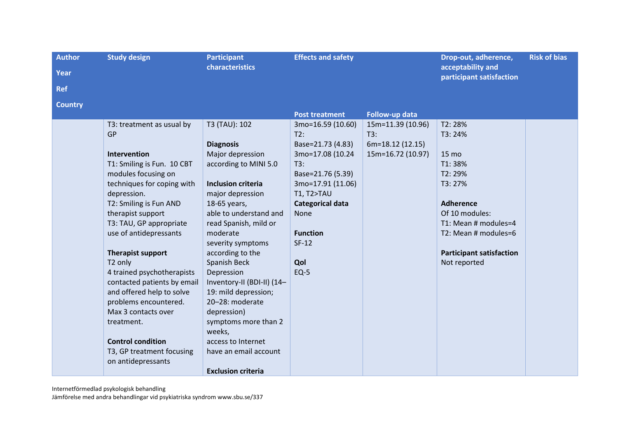| <b>Author</b>  | <b>Study design</b>         | <b>Participant</b>         | <b>Effects and safety</b> |                   | Drop-out, adherence,                          | <b>Risk of bias</b> |
|----------------|-----------------------------|----------------------------|---------------------------|-------------------|-----------------------------------------------|---------------------|
| Year           |                             | characteristics            |                           |                   | acceptability and<br>participant satisfaction |                     |
| <b>Ref</b>     |                             |                            |                           |                   |                                               |                     |
| <b>Country</b> |                             |                            |                           |                   |                                               |                     |
|                |                             |                            | <b>Post treatment</b>     | Follow-up data    |                                               |                     |
|                | T3: treatment as usual by   | T3 (TAU): 102              | 3mo=16.59 (10.60)         | 15m=11.39 (10.96) | T2:28%                                        |                     |
|                | <b>GP</b>                   |                            | T2:                       | T3:               | T3: 24%                                       |                     |
|                |                             | <b>Diagnosis</b>           | Base=21.73 (4.83)         | 6m=18.12 (12.15)  |                                               |                     |
|                | Intervention                | Major depression           | 3mo=17.08 (10.24          | 15m=16.72 (10.97) | 15 mo                                         |                     |
|                | T1: Smiling is Fun. 10 CBT  | according to MINI 5.0      | T3:                       |                   | T1:38%                                        |                     |
|                | modules focusing on         |                            | Base=21.76 (5.39)         |                   | T2:29%                                        |                     |
|                | techniques for coping with  | <b>Inclusion criteria</b>  | 3mo=17.91 (11.06)         |                   | T3: 27%                                       |                     |
|                | depression.                 | major depression           | <b>T1, T2&gt;TAU</b>      |                   |                                               |                     |
|                | T2: Smiling is Fun AND      | 18-65 years,               | <b>Categorical data</b>   |                   | <b>Adherence</b>                              |                     |
|                | therapist support           | able to understand and     | None                      |                   | Of 10 modules:                                |                     |
|                | T3: TAU, GP appropriate     | read Spanish, mild or      |                           |                   | T1: Mean # modules=4                          |                     |
|                | use of antidepressants      | moderate                   | <b>Function</b>           |                   | T2: Mean # modules=6                          |                     |
|                |                             | severity symptoms          | $SF-12$                   |                   |                                               |                     |
|                | Therapist support           | according to the           |                           |                   | <b>Participant satisfaction</b>               |                     |
|                | T2 only                     | Spanish Beck               | Qol                       |                   | Not reported                                  |                     |
|                | 4 trained psychotherapists  | Depression                 | $EQ-5$                    |                   |                                               |                     |
|                | contacted patients by email | Inventory-II (BDI-II) (14- |                           |                   |                                               |                     |
|                | and offered help to solve   | 19: mild depression;       |                           |                   |                                               |                     |
|                | problems encountered.       | 20-28: moderate            |                           |                   |                                               |                     |
|                | Max 3 contacts over         | depression)                |                           |                   |                                               |                     |
|                | treatment.                  | symptoms more than 2       |                           |                   |                                               |                     |
|                |                             | weeks,                     |                           |                   |                                               |                     |
|                | <b>Control condition</b>    | access to Internet         |                           |                   |                                               |                     |
|                | T3, GP treatment focusing   | have an email account      |                           |                   |                                               |                     |
|                | on antidepressants          |                            |                           |                   |                                               |                     |
|                |                             | <b>Exclusion criteria</b>  |                           |                   |                                               |                     |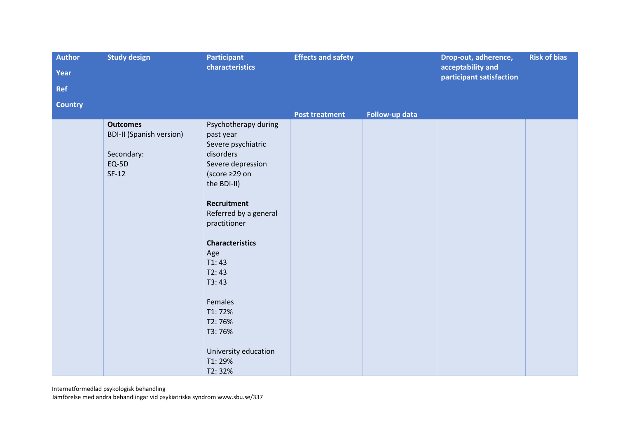| <b>Author</b>  | <b>Study design</b><br><b>Participant</b>                                              |                                                                                                                                                                                                                                                                                                                          | <b>Effects and safety</b> |                | Drop-out, adherence,<br>acceptability and | <b>Risk of bias</b> |
|----------------|----------------------------------------------------------------------------------------|--------------------------------------------------------------------------------------------------------------------------------------------------------------------------------------------------------------------------------------------------------------------------------------------------------------------------|---------------------------|----------------|-------------------------------------------|---------------------|
| Year           |                                                                                        | characteristics                                                                                                                                                                                                                                                                                                          |                           |                |                                           |                     |
| <b>Ref</b>     |                                                                                        |                                                                                                                                                                                                                                                                                                                          |                           |                | participant satisfaction                  |                     |
| <b>Country</b> |                                                                                        |                                                                                                                                                                                                                                                                                                                          |                           |                |                                           |                     |
|                |                                                                                        |                                                                                                                                                                                                                                                                                                                          | <b>Post treatment</b>     | Follow-up data |                                           |                     |
|                | <b>Outcomes</b><br><b>BDI-II (Spanish version)</b><br>Secondary:<br>$EQ-5D$<br>$SF-12$ | Psychotherapy during<br>past year<br>Severe psychiatric<br>disorders<br>Severe depression<br>(score ≥29 on<br>the BDI-II)<br>Recruitment<br>Referred by a general<br>practitioner<br><b>Characteristics</b><br>Age<br>T1:43<br>T2:43<br>T3:43<br>Females<br>T1:72%<br>T2:76%<br>T3:76%<br>University education<br>T1:29% |                           |                |                                           |                     |
|                |                                                                                        | T2:32%                                                                                                                                                                                                                                                                                                                   |                           |                |                                           |                     |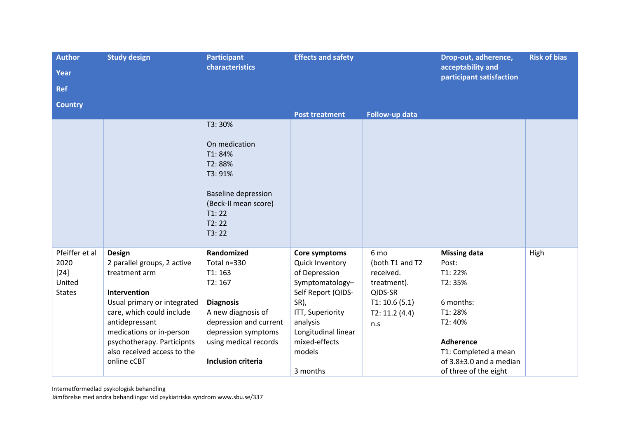| <b>Author</b><br>Year<br><b>Ref</b>                         | <b>Study design</b>                                                                                                                                                                                                                                                 | <b>Participant</b><br>characteristics                                                                                                                                                          | <b>Effects and safety</b>                                                                                                                                                                        |                                                                                                         | Drop-out, adherence,<br>acceptability and<br>participant satisfaction                                                                                                              | <b>Risk of bias</b> |
|-------------------------------------------------------------|---------------------------------------------------------------------------------------------------------------------------------------------------------------------------------------------------------------------------------------------------------------------|------------------------------------------------------------------------------------------------------------------------------------------------------------------------------------------------|--------------------------------------------------------------------------------------------------------------------------------------------------------------------------------------------------|---------------------------------------------------------------------------------------------------------|------------------------------------------------------------------------------------------------------------------------------------------------------------------------------------|---------------------|
| <b>Country</b>                                              |                                                                                                                                                                                                                                                                     |                                                                                                                                                                                                | <b>Post treatment</b>                                                                                                                                                                            | Follow-up data                                                                                          |                                                                                                                                                                                    |                     |
|                                                             |                                                                                                                                                                                                                                                                     | T3:30%<br>On medication<br>T1:84%<br>T2:88%<br>T3: 91%<br><b>Baseline depression</b><br>(Beck-II mean score)<br>T1:22<br>T2:22<br>T3:22                                                        |                                                                                                                                                                                                  |                                                                                                         |                                                                                                                                                                                    |                     |
| Pfeiffer et al<br>2020<br>$[24]$<br>United<br><b>States</b> | <b>Design</b><br>2 parallel groups, 2 active<br>treatment arm<br>Intervention<br>Usual primary or integrated<br>care, which could include<br>antidepressant<br>medications or in-person<br>psychotherapy. Participnts<br>also received access to the<br>online cCBT | Randomized<br>Total n=330<br>T1:163<br>T2:167<br><b>Diagnosis</b><br>A new diagnosis of<br>depression and current<br>depression symptoms<br>using medical records<br><b>Inclusion criteria</b> | Core symptoms<br>Quick Inventory<br>of Depression<br>Symptomatology-<br>Self Report (QIDS-<br>SR),<br>ITT, Superiority<br>analysis<br>Longitudinal linear<br>mixed-effects<br>models<br>3 months | 6 mo<br>(both T1 and T2<br>received.<br>treatment).<br>QIDS-SR<br>T1: 10.6(5.1)<br>T2: 11.2(4.4)<br>n.s | <b>Missing data</b><br>Post:<br>T1:22%<br>T2:35%<br>6 months:<br>T1:28%<br>T2: 40%<br><b>Adherence</b><br>T1: Completed a mean<br>of 3.8±3.0 and a median<br>of three of the eight | High                |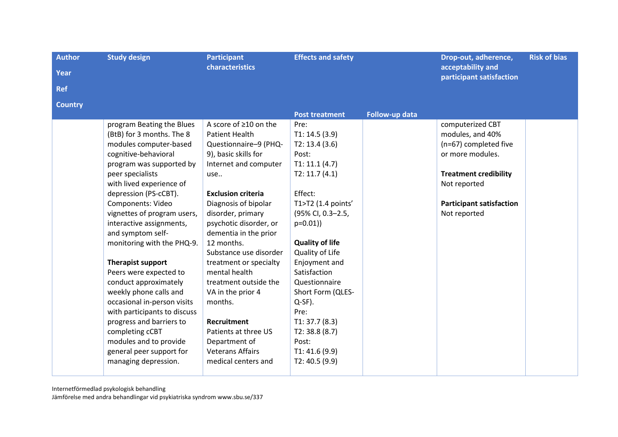| <b>Author</b><br>Year | <b>Study design</b>                                                                                                                                                                                                                                                                                                                                                                                                                                                                                                                                                                                                                                   | <b>Participant</b><br>characteristics                                                                                                                                                                                                                                                                                                                                                                                                                                                                              | <b>Effects and safety</b>                                                                                                                                                                                                                                                                                                                                                    |                | Drop-out, adherence,<br>acceptability and                                                                                                                                            | <b>Risk of bias</b> |
|-----------------------|-------------------------------------------------------------------------------------------------------------------------------------------------------------------------------------------------------------------------------------------------------------------------------------------------------------------------------------------------------------------------------------------------------------------------------------------------------------------------------------------------------------------------------------------------------------------------------------------------------------------------------------------------------|--------------------------------------------------------------------------------------------------------------------------------------------------------------------------------------------------------------------------------------------------------------------------------------------------------------------------------------------------------------------------------------------------------------------------------------------------------------------------------------------------------------------|------------------------------------------------------------------------------------------------------------------------------------------------------------------------------------------------------------------------------------------------------------------------------------------------------------------------------------------------------------------------------|----------------|--------------------------------------------------------------------------------------------------------------------------------------------------------------------------------------|---------------------|
| <b>Ref</b>            |                                                                                                                                                                                                                                                                                                                                                                                                                                                                                                                                                                                                                                                       |                                                                                                                                                                                                                                                                                                                                                                                                                                                                                                                    |                                                                                                                                                                                                                                                                                                                                                                              |                | participant satisfaction                                                                                                                                                             |                     |
| <b>Country</b>        |                                                                                                                                                                                                                                                                                                                                                                                                                                                                                                                                                                                                                                                       |                                                                                                                                                                                                                                                                                                                                                                                                                                                                                                                    |                                                                                                                                                                                                                                                                                                                                                                              |                |                                                                                                                                                                                      |                     |
|                       |                                                                                                                                                                                                                                                                                                                                                                                                                                                                                                                                                                                                                                                       |                                                                                                                                                                                                                                                                                                                                                                                                                                                                                                                    | <b>Post treatment</b>                                                                                                                                                                                                                                                                                                                                                        | Follow-up data |                                                                                                                                                                                      |                     |
|                       | program Beating the Blues<br>(BtB) for 3 months. The 8<br>modules computer-based<br>cognitive-behavioral<br>program was supported by<br>peer specialists<br>with lived experience of<br>depression (PS-cCBT).<br>Components: Video<br>vignettes of program users,<br>interactive assignments,<br>and symptom self-<br>monitoring with the PHQ-9.<br><b>Therapist support</b><br>Peers were expected to<br>conduct approximately<br>weekly phone calls and<br>occasional in-person visits<br>with participants to discuss<br>progress and barriers to<br>completing cCBT<br>modules and to provide<br>general peer support for<br>managing depression. | A score of ≥10 on the<br>Patient Health<br>Questionnaire-9 (PHQ-<br>9), basic skills for<br>Internet and computer<br>use<br><b>Exclusion criteria</b><br>Diagnosis of bipolar<br>disorder, primary<br>psychotic disorder, or<br>dementia in the prior<br>12 months.<br>Substance use disorder<br>treatment or specialty<br>mental health<br>treatment outside the<br>VA in the prior 4<br>months.<br><b>Recruitment</b><br>Patients at three US<br>Department of<br><b>Veterans Affairs</b><br>medical centers and | Pre:<br>T1: 14.5(3.9)<br>T2: 13.4(3.6)<br>Post:<br>T1: 11.1 (4.7)<br>T2: 11.7(4.1)<br>Effect:<br>T1>T2 (1.4 points'<br>(95% CI, 0.3-2.5,<br>$p=0.01)$<br><b>Quality of life</b><br>Quality of Life<br>Enjoyment and<br>Satisfaction<br>Questionnaire<br>Short Form (QLES-<br>$Q-SF$ ).<br>Pre:<br>T1: 37.7(8.3)<br>T2: 38.8(8.7)<br>Post:<br>T1: 41.6(9.9)<br>T2: 40.5 (9.9) |                | computerized CBT<br>modules, and 40%<br>(n=67) completed five<br>or more modules.<br><b>Treatment credibility</b><br>Not reported<br><b>Participant satisfaction</b><br>Not reported |                     |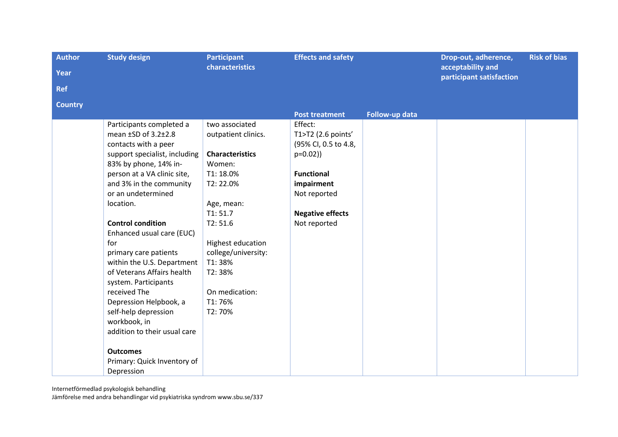| <b>Author</b>  | <b>Study design</b>                                      | <b>Participant</b>            | <b>Effects and safety</b> |                | Drop-out, adherence,                          | <b>Risk of bias</b> |
|----------------|----------------------------------------------------------|-------------------------------|---------------------------|----------------|-----------------------------------------------|---------------------|
| <b>Year</b>    |                                                          | characteristics               |                           |                | acceptability and<br>participant satisfaction |                     |
| <b>Ref</b>     |                                                          |                               |                           |                |                                               |                     |
| <b>Country</b> |                                                          |                               |                           |                |                                               |                     |
|                |                                                          |                               | <b>Post treatment</b>     | Follow-up data |                                               |                     |
|                | Participants completed a                                 | two associated                | Effect:                   |                |                                               |                     |
|                | mean ±SD of 3.2±2.8                                      | outpatient clinics.           | T1>T2 (2.6 points'        |                |                                               |                     |
|                | contacts with a peer                                     |                               | (95% CI, 0.5 to 4.8,      |                |                                               |                     |
|                | support specialist, including                            | <b>Characteristics</b>        | $p=0.02)$                 |                |                                               |                     |
|                | 83% by phone, 14% in-                                    | Women:                        |                           |                |                                               |                     |
|                | person at a VA clinic site,                              | T1:18.0%                      | <b>Functional</b>         |                |                                               |                     |
|                | and 3% in the community                                  | T2:22.0%                      | impairment                |                |                                               |                     |
|                | or an undetermined                                       |                               | Not reported              |                |                                               |                     |
|                | location.                                                | Age, mean:                    |                           |                |                                               |                     |
|                |                                                          | T1:51.7                       | <b>Negative effects</b>   |                |                                               |                     |
|                | <b>Control condition</b>                                 | T2:51.6                       | Not reported              |                |                                               |                     |
|                | Enhanced usual care (EUC)                                |                               |                           |                |                                               |                     |
|                | for                                                      | Highest education             |                           |                |                                               |                     |
|                | primary care patients                                    | college/university:<br>T1:38% |                           |                |                                               |                     |
|                | within the U.S. Department<br>of Veterans Affairs health | T2:38%                        |                           |                |                                               |                     |
|                | system. Participants                                     |                               |                           |                |                                               |                     |
|                | received The                                             | On medication:                |                           |                |                                               |                     |
|                | Depression Helpbook, a                                   | T1:76%                        |                           |                |                                               |                     |
|                | self-help depression                                     | T2:70%                        |                           |                |                                               |                     |
|                | workbook, in                                             |                               |                           |                |                                               |                     |
|                | addition to their usual care                             |                               |                           |                |                                               |                     |
|                |                                                          |                               |                           |                |                                               |                     |
|                | <b>Outcomes</b>                                          |                               |                           |                |                                               |                     |
|                | Primary: Quick Inventory of                              |                               |                           |                |                                               |                     |
|                | Depression                                               |                               |                           |                |                                               |                     |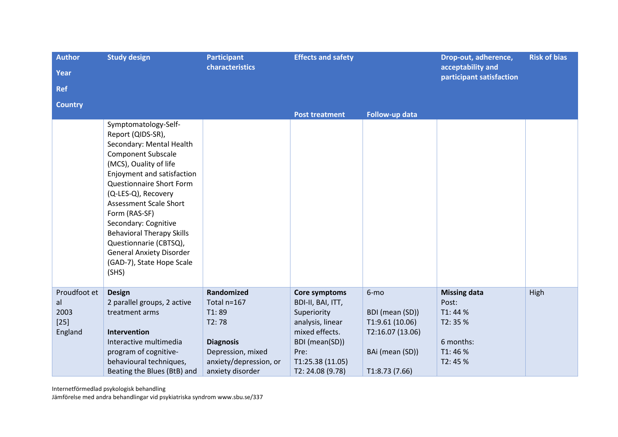| <b>Author</b>                                   | <b>Study design</b>                                                                                                                                                                                                                                                                                                                                                                                                            | <b>Participant</b>                                                                                                                 | <b>Effects and safety</b>                                                                                                                                |                                                                                                     | Drop-out, adherence,                                                                 | <b>Risk of bias</b> |
|-------------------------------------------------|--------------------------------------------------------------------------------------------------------------------------------------------------------------------------------------------------------------------------------------------------------------------------------------------------------------------------------------------------------------------------------------------------------------------------------|------------------------------------------------------------------------------------------------------------------------------------|----------------------------------------------------------------------------------------------------------------------------------------------------------|-----------------------------------------------------------------------------------------------------|--------------------------------------------------------------------------------------|---------------------|
| Year                                            |                                                                                                                                                                                                                                                                                                                                                                                                                                | characteristics                                                                                                                    |                                                                                                                                                          |                                                                                                     | acceptability and<br>participant satisfaction                                        |                     |
| <b>Ref</b>                                      |                                                                                                                                                                                                                                                                                                                                                                                                                                |                                                                                                                                    |                                                                                                                                                          |                                                                                                     |                                                                                      |                     |
| <b>Country</b>                                  |                                                                                                                                                                                                                                                                                                                                                                                                                                |                                                                                                                                    |                                                                                                                                                          |                                                                                                     |                                                                                      |                     |
|                                                 | Symptomatology-Self-<br>Report (QIDS-SR),<br>Secondary: Mental Health<br><b>Component Subscale</b><br>(MCS), Ouality of life<br>Enjoyment and satisfaction<br>Questionnaire Short Form<br>(Q-LES-Q), Recovery<br><b>Assessment Scale Short</b><br>Form (RAS-SF)<br>Secondary: Cognitive<br><b>Behavioral Therapy Skills</b><br>Questionnarie (CBTSQ),<br><b>General Anxiety Disorder</b><br>(GAD-7), State Hope Scale<br>(SHS) |                                                                                                                                    | <b>Post treatment</b>                                                                                                                                    | Follow-up data                                                                                      |                                                                                      |                     |
| Proudfoot et<br>al<br>2003<br>$[25]$<br>England | <b>Design</b><br>2 parallel groups, 2 active<br>treatment arms<br>Intervention<br>Interactive multimedia<br>program of cognitive-<br>behavioural techniques,<br>Beating the Blues (BtB) and                                                                                                                                                                                                                                    | Randomized<br>Total n=167<br>T1:89<br>T2:78<br><b>Diagnosis</b><br>Depression, mixed<br>anxiety/depression, or<br>anxiety disorder | Core symptoms<br>BDI-II, BAI, ITT,<br>Superiority<br>analysis, linear<br>mixed effects.<br>BDI (mean(SD))<br>Pre:<br>T1:25.38(11.05)<br>T2: 24.08 (9.78) | 6-mo<br>BDI (mean (SD))<br>T1:9.61 (10.06)<br>T2:16.07 (13.06)<br>BAi (mean (SD))<br>T1:8.73 (7.66) | <b>Missing data</b><br>Post:<br>T1: 44 %<br>T2:35 %<br>6 months:<br>T1:46%<br>T2:45% | High                |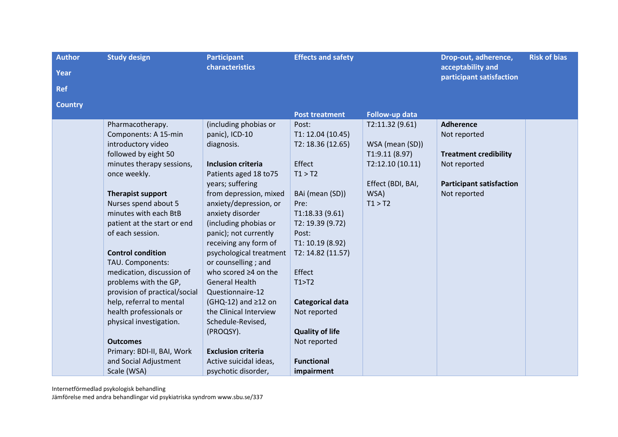| <b>Author</b><br><b>Year</b> | <b>Study design</b>                                                                                                                                                                                                                                                                             | <b>Participant</b><br>characteristics                                                                                                                                                                                                                                                                          | <b>Effects and safety</b>                                                                                                                                                                                        |                                                                                                                                   | Drop-out, adherence,<br>acceptability and                                                                                           | <b>Risk of bias</b> |
|------------------------------|-------------------------------------------------------------------------------------------------------------------------------------------------------------------------------------------------------------------------------------------------------------------------------------------------|----------------------------------------------------------------------------------------------------------------------------------------------------------------------------------------------------------------------------------------------------------------------------------------------------------------|------------------------------------------------------------------------------------------------------------------------------------------------------------------------------------------------------------------|-----------------------------------------------------------------------------------------------------------------------------------|-------------------------------------------------------------------------------------------------------------------------------------|---------------------|
|                              |                                                                                                                                                                                                                                                                                                 |                                                                                                                                                                                                                                                                                                                |                                                                                                                                                                                                                  |                                                                                                                                   | participant satisfaction                                                                                                            |                     |
| <b>Ref</b>                   |                                                                                                                                                                                                                                                                                                 |                                                                                                                                                                                                                                                                                                                |                                                                                                                                                                                                                  |                                                                                                                                   |                                                                                                                                     |                     |
| <b>Country</b>               |                                                                                                                                                                                                                                                                                                 |                                                                                                                                                                                                                                                                                                                |                                                                                                                                                                                                                  |                                                                                                                                   |                                                                                                                                     |                     |
|                              | Pharmacotherapy.<br>Components: A 15-min<br>introductory video<br>followed by eight 50<br>minutes therapy sessions,<br>once weekly.<br><b>Therapist support</b><br>Nurses spend about 5<br>minutes with each BtB<br>patient at the start or end<br>of each session.<br><b>Control condition</b> | (including phobias or<br>panic), ICD-10<br>diagnosis.<br><b>Inclusion criteria</b><br>Patients aged 18 to 75<br>years; suffering<br>from depression, mixed<br>anxiety/depression, or<br>anxiety disorder<br>(including phobias or<br>panic); not currently<br>receiving any form of<br>psychological treatment | <b>Post treatment</b><br>Post:<br>T1: 12.04 (10.45)<br>T2: 18.36 (12.65)<br>Effect<br>T1 > T2<br>BAi (mean (SD))<br>Pre:<br>T1:18.33(9.61)<br>T2: 19.39 (9.72)<br>Post:<br>T1: 10.19 (8.92)<br>T2: 14.82 (11.57) | Follow-up data<br>T2:11.32 (9.61)<br>WSA (mean (SD))<br>T1:9.11 (8.97)<br>T2:12.10(10.11)<br>Effect (BDI, BAI,<br>WSA)<br>T1 > T2 | <b>Adherence</b><br>Not reported<br><b>Treatment credibility</b><br>Not reported<br><b>Participant satisfaction</b><br>Not reported |                     |
|                              | TAU. Components:<br>medication, discussion of<br>problems with the GP,<br>provision of practical/social<br>help, referral to mental<br>health professionals or<br>physical investigation.<br><b>Outcomes</b><br>Primary: BDI-II, BAI, Work<br>and Social Adjustment<br>Scale (WSA)              | or counselling; and<br>who scored ≥4 on the<br><b>General Health</b><br>Questionnaire-12<br>$(GHQ-12)$ and $\geq$ 12 on<br>the Clinical Interview<br>Schedule-Revised,<br>(PROQSY).<br><b>Exclusion criteria</b><br>Active suicidal ideas,<br>psychotic disorder,                                              | Effect<br>T1 > T2<br><b>Categorical data</b><br>Not reported<br><b>Quality of life</b><br>Not reported<br><b>Functional</b><br>impairment                                                                        |                                                                                                                                   |                                                                                                                                     |                     |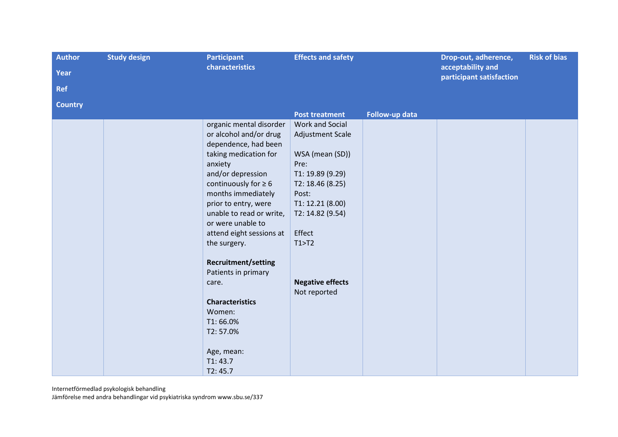| <b>Author</b>  | <b>Study design</b> | <b>Participant</b>         | <b>Effects and safety</b> |                | Drop-out, adherence,                          | <b>Risk of bias</b> |
|----------------|---------------------|----------------------------|---------------------------|----------------|-----------------------------------------------|---------------------|
| <b>Year</b>    |                     | characteristics            |                           |                | acceptability and<br>participant satisfaction |                     |
| <b>Ref</b>     |                     |                            |                           |                |                                               |                     |
| <b>Country</b> |                     |                            |                           |                |                                               |                     |
|                |                     |                            | <b>Post treatment</b>     | Follow-up data |                                               |                     |
|                |                     | organic mental disorder    | Work and Social           |                |                                               |                     |
|                |                     | or alcohol and/or drug     | Adjustment Scale          |                |                                               |                     |
|                |                     | dependence, had been       |                           |                |                                               |                     |
|                |                     | taking medication for      | WSA (mean (SD))           |                |                                               |                     |
|                |                     | anxiety                    | Pre:                      |                |                                               |                     |
|                |                     | and/or depression          | T1: 19.89 (9.29)          |                |                                               |                     |
|                |                     | continuously for $\geq 6$  | T2: 18.46 (8.25)          |                |                                               |                     |
|                |                     | months immediately         | Post:                     |                |                                               |                     |
|                |                     | prior to entry, were       | T1: 12.21 (8.00)          |                |                                               |                     |
|                |                     | unable to read or write,   | T2: 14.82 (9.54)          |                |                                               |                     |
|                |                     | or were unable to          |                           |                |                                               |                     |
|                |                     | attend eight sessions at   | Effect                    |                |                                               |                     |
|                |                     | the surgery.               | T1 > T2                   |                |                                               |                     |
|                |                     | <b>Recruitment/setting</b> |                           |                |                                               |                     |
|                |                     | Patients in primary        |                           |                |                                               |                     |
|                |                     | care.                      | <b>Negative effects</b>   |                |                                               |                     |
|                |                     |                            | Not reported              |                |                                               |                     |
|                |                     | <b>Characteristics</b>     |                           |                |                                               |                     |
|                |                     | Women:                     |                           |                |                                               |                     |
|                |                     | T1:66.0%                   |                           |                |                                               |                     |
|                |                     | T2:57.0%                   |                           |                |                                               |                     |
|                |                     |                            |                           |                |                                               |                     |
|                |                     | Age, mean:                 |                           |                |                                               |                     |
|                |                     | T1:43.7                    |                           |                |                                               |                     |
|                |                     | T2:45.7                    |                           |                |                                               |                     |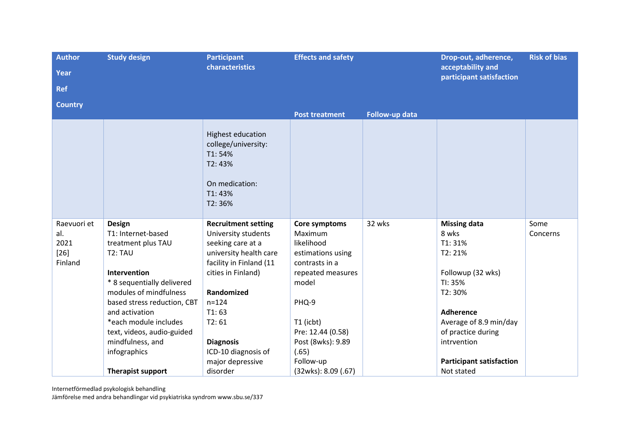| <b>Author</b><br>Year<br><b>Ref</b>             | <b>Study design</b>                                                                                                                                                                                                                                                                                                        | <b>Participant</b><br>characteristics                                                                                                                                                                                                                                     | <b>Effects and safety</b>                                                                                                                                                                                                |                | Drop-out, adherence,<br>acceptability and<br>participant satisfaction                                                                                                                                                          | <b>Risk of bias</b> |
|-------------------------------------------------|----------------------------------------------------------------------------------------------------------------------------------------------------------------------------------------------------------------------------------------------------------------------------------------------------------------------------|---------------------------------------------------------------------------------------------------------------------------------------------------------------------------------------------------------------------------------------------------------------------------|--------------------------------------------------------------------------------------------------------------------------------------------------------------------------------------------------------------------------|----------------|--------------------------------------------------------------------------------------------------------------------------------------------------------------------------------------------------------------------------------|---------------------|
| <b>Country</b>                                  |                                                                                                                                                                                                                                                                                                                            |                                                                                                                                                                                                                                                                           | <b>Post treatment</b>                                                                                                                                                                                                    | Follow-up data |                                                                                                                                                                                                                                |                     |
|                                                 |                                                                                                                                                                                                                                                                                                                            | <b>Highest education</b><br>college/university:<br>T1:54%<br>T2:43%<br>On medication:<br>T1:43%<br>T2:36%                                                                                                                                                                 |                                                                                                                                                                                                                          |                |                                                                                                                                                                                                                                |                     |
| Raevuori et<br>al.<br>2021<br>$[26]$<br>Finland | <b>Design</b><br>T1: Internet-based<br>treatment plus TAU<br>T <sub>2</sub> : TAU<br>Intervention<br>* 8 sequentially delivered<br>modules of mindfulness<br>based stress reduction, CBT<br>and activation<br>*each module includes<br>text, videos, audio-guided<br>mindfulness, and<br>infographics<br>Therapist support | <b>Recruitment setting</b><br>University students<br>seeking care at a<br>university health care<br>facility in Finland (11<br>cities in Finland)<br>Randomized<br>$n = 124$<br>T1:63<br>T2:61<br><b>Diagnosis</b><br>ICD-10 diagnosis of<br>major depressive<br>disorder | Core symptoms<br>Maximum<br>likelihood<br>estimations using<br>contrasts in a<br>repeated measures<br>model<br>PHQ-9<br>T1 (icbt)<br>Pre: 12.44 (0.58)<br>Post (8wks): 9.89<br>(.65)<br>Follow-up<br>(32wks): 8.09 (.67) | 32 wks         | <b>Missing data</b><br>8 wks<br>T1:31%<br>T2:21%<br>Followup (32 wks)<br>TI: 35%<br>T2:30%<br><b>Adherence</b><br>Average of 8.9 min/day<br>of practice during<br>intrvention<br><b>Participant satisfaction</b><br>Not stated | Some<br>Concerns    |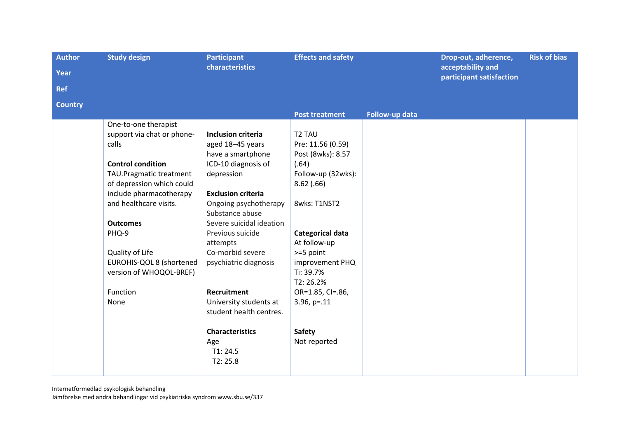| <b>Author</b>  | <b>Study design</b><br><b>Participant</b> |                           | <b>Effects and safety</b> |                | Drop-out, adherence,                          | <b>Risk of bias</b> |
|----------------|-------------------------------------------|---------------------------|---------------------------|----------------|-----------------------------------------------|---------------------|
| Year           |                                           | characteristics           |                           |                | acceptability and<br>participant satisfaction |                     |
| <b>Ref</b>     |                                           |                           |                           |                |                                               |                     |
| <b>Country</b> |                                           |                           |                           |                |                                               |                     |
|                |                                           |                           | <b>Post treatment</b>     | Follow-up data |                                               |                     |
|                | One-to-one therapist                      |                           |                           |                |                                               |                     |
|                | support via chat or phone-                | <b>Inclusion criteria</b> | T <sub>2</sub> TAU        |                |                                               |                     |
|                | calls                                     | aged 18-45 years          | Pre: 11.56 (0.59)         |                |                                               |                     |
|                |                                           | have a smartphone         | Post (8wks): 8.57         |                |                                               |                     |
|                | <b>Control condition</b>                  | ICD-10 diagnosis of       | (.64)                     |                |                                               |                     |
|                | TAU.Pragmatic treatment                   | depression                | Follow-up (32wks):        |                |                                               |                     |
|                | of depression which could                 |                           | 8.62(.66)                 |                |                                               |                     |
|                | include pharmacotherapy                   | <b>Exclusion criteria</b> |                           |                |                                               |                     |
|                | and healthcare visits.                    | Ongoing psychotherapy     | 8wks: T1NST2              |                |                                               |                     |
|                |                                           | Substance abuse           |                           |                |                                               |                     |
|                | <b>Outcomes</b>                           | Severe suicidal ideation  |                           |                |                                               |                     |
|                | PHQ-9                                     | Previous suicide          | Categorical data          |                |                                               |                     |
|                |                                           | attempts                  | At follow-up              |                |                                               |                     |
|                | Quality of Life                           | Co-morbid severe          | >=5 point                 |                |                                               |                     |
|                | EUROHIS-QOL 8 (shortened                  | psychiatric diagnosis     | improvement PHQ           |                |                                               |                     |
|                | version of WHOQOL-BREF)                   |                           | Ti: 39.7%                 |                |                                               |                     |
|                |                                           |                           | T2:26.2%                  |                |                                               |                     |
|                | Function                                  | Recruitment               | OR=1.85, CI=.86,          |                |                                               |                     |
|                | None                                      | University students at    | $3.96, p=.11$             |                |                                               |                     |
|                |                                           | student health centres.   |                           |                |                                               |                     |
|                |                                           | <b>Characteristics</b>    | <b>Safety</b>             |                |                                               |                     |
|                |                                           | Age                       | Not reported              |                |                                               |                     |
|                |                                           | T1: 24.5                  |                           |                |                                               |                     |
|                |                                           | T2: 25.8                  |                           |                |                                               |                     |
|                |                                           |                           |                           |                |                                               |                     |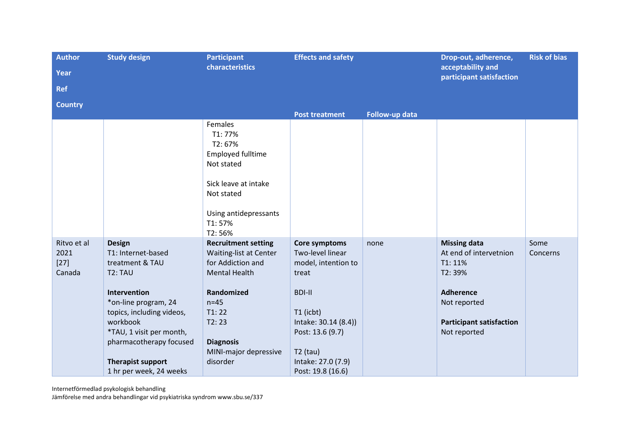| <b>Author</b><br>Year<br><b>Ref</b>     | <b>Study design</b>                                                                                                                                                                                                                                              | <b>Participant</b><br>characteristics                                                                                                                                                                | <b>Effects and safety</b>                                                                                                                                                                            |                | Drop-out, adherence,<br>acceptability and<br>participant satisfaction                                                                                     | <b>Risk of bias</b> |
|-----------------------------------------|------------------------------------------------------------------------------------------------------------------------------------------------------------------------------------------------------------------------------------------------------------------|------------------------------------------------------------------------------------------------------------------------------------------------------------------------------------------------------|------------------------------------------------------------------------------------------------------------------------------------------------------------------------------------------------------|----------------|-----------------------------------------------------------------------------------------------------------------------------------------------------------|---------------------|
| <b>Country</b>                          |                                                                                                                                                                                                                                                                  |                                                                                                                                                                                                      | <b>Post treatment</b>                                                                                                                                                                                | Follow-up data |                                                                                                                                                           |                     |
|                                         |                                                                                                                                                                                                                                                                  | Females<br>T1: 77%<br>T2:67%<br><b>Employed fulltime</b><br>Not stated<br>Sick leave at intake<br>Not stated<br>Using antidepressants<br>T1:57%<br>T2:56%                                            |                                                                                                                                                                                                      |                |                                                                                                                                                           |                     |
| Ritvo et al<br>2021<br>$[27]$<br>Canada | <b>Design</b><br>T1: Internet-based<br>treatment & TAU<br>T2: TAU<br>Intervention<br>*on-line program, 24<br>topics, including videos,<br>workbook<br>*TAU, 1 visit per month,<br>pharmacotherapy focused<br><b>Therapist support</b><br>1 hr per week, 24 weeks | <b>Recruitment setting</b><br>Waiting-list at Center<br>for Addiction and<br><b>Mental Health</b><br>Randomized<br>$n=45$<br>T1:22<br>T2:23<br><b>Diagnosis</b><br>MINI-major depressive<br>disorder | Core symptoms<br>Two-level linear<br>model, intention to<br>treat<br><b>BDI-II</b><br>T1 (icbt)<br>Intake: 30.14 (8.4))<br>Post: 13.6 (9.7)<br>$T2$ (tau)<br>Intake: 27.0 (7.9)<br>Post: 19.8 (16.6) | none           | <b>Missing data</b><br>At end of intervetnion<br>T1: 11%<br>T2:39%<br><b>Adherence</b><br>Not reported<br><b>Participant satisfaction</b><br>Not reported | Some<br>Concerns    |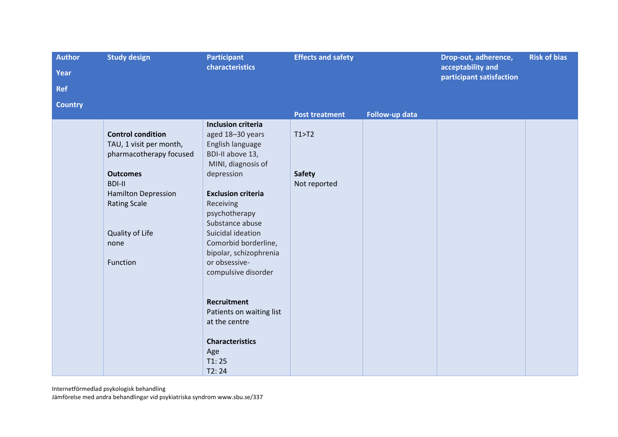| <b>Author</b>  | <b>Study design</b><br><b>Participant</b> |                           | <b>Effects and safety</b> |                | Drop-out, adherence,                          | <b>Risk of bias</b> |
|----------------|-------------------------------------------|---------------------------|---------------------------|----------------|-----------------------------------------------|---------------------|
| Year           |                                           | characteristics           |                           |                | acceptability and<br>participant satisfaction |                     |
| Ref            |                                           |                           |                           |                |                                               |                     |
| <b>Country</b> |                                           |                           |                           |                |                                               |                     |
|                |                                           |                           | <b>Post treatment</b>     | Follow-up data |                                               |                     |
|                |                                           | <b>Inclusion criteria</b> |                           |                |                                               |                     |
|                | <b>Control condition</b>                  | aged 18-30 years          | T1 > T2                   |                |                                               |                     |
|                | TAU, 1 visit per month,                   | English language          |                           |                |                                               |                     |
|                | pharmacotherapy focused                   | BDI-II above 13,          |                           |                |                                               |                     |
|                |                                           | MINI, diagnosis of        |                           |                |                                               |                     |
|                | <b>Outcomes</b><br><b>BDI-II</b>          | depression                | <b>Safety</b>             |                |                                               |                     |
|                | <b>Hamilton Depression</b>                | <b>Exclusion criteria</b> | Not reported              |                |                                               |                     |
|                | <b>Rating Scale</b>                       | Receiving                 |                           |                |                                               |                     |
|                |                                           | psychotherapy             |                           |                |                                               |                     |
|                |                                           | Substance abuse           |                           |                |                                               |                     |
|                | Quality of Life                           | Suicidal ideation         |                           |                |                                               |                     |
|                | none                                      | Comorbid borderline,      |                           |                |                                               |                     |
|                |                                           | bipolar, schizophrenia    |                           |                |                                               |                     |
|                | Function                                  | or obsessive-             |                           |                |                                               |                     |
|                |                                           | compulsive disorder       |                           |                |                                               |                     |
|                |                                           |                           |                           |                |                                               |                     |
|                |                                           |                           |                           |                |                                               |                     |
|                |                                           | <b>Recruitment</b>        |                           |                |                                               |                     |
|                |                                           | Patients on waiting list  |                           |                |                                               |                     |
|                |                                           | at the centre             |                           |                |                                               |                     |
|                |                                           | <b>Characteristics</b>    |                           |                |                                               |                     |
|                |                                           | Age                       |                           |                |                                               |                     |
|                |                                           | T1:25                     |                           |                |                                               |                     |
|                |                                           | T2:24                     |                           |                |                                               |                     |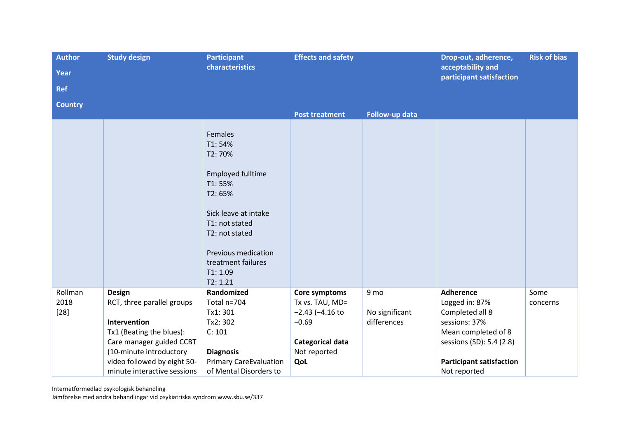| <b>Author</b>  | <b>Study design</b>         | <b>Participant</b>                                                                                                                                                                                          | <b>Effects and safety</b>       |                               |                                               | <b>Risk of bias</b> |
|----------------|-----------------------------|-------------------------------------------------------------------------------------------------------------------------------------------------------------------------------------------------------------|---------------------------------|-------------------------------|-----------------------------------------------|---------------------|
| <b>Year</b>    | characteristics             |                                                                                                                                                                                                             |                                 |                               | acceptability and<br>participant satisfaction |                     |
| <b>Ref</b>     |                             |                                                                                                                                                                                                             |                                 |                               |                                               |                     |
| <b>Country</b> |                             |                                                                                                                                                                                                             |                                 |                               |                                               |                     |
|                |                             |                                                                                                                                                                                                             | <b>Post treatment</b>           | Follow-up data                |                                               |                     |
|                |                             | Females<br>T1:54%<br>T2:70%<br><b>Employed fulltime</b><br>T1:55%<br>T2:65%<br>Sick leave at intake<br>T1: not stated<br>T2: not stated<br>Previous medication<br>treatment failures<br>T1:1.09<br>T2: 1.21 |                                 |                               |                                               |                     |
| Rollman        | <b>Design</b>               | Randomized                                                                                                                                                                                                  | Core symptoms                   | 9 mo                          | <b>Adherence</b>                              | Some                |
| 2018           | RCT, three parallel groups  | Total n=704                                                                                                                                                                                                 | Tx vs. TAU, MD=                 |                               | Logged in: 87%                                | concerns            |
| $[28]$         | Intervention                | Tx1: 301<br>Tx2: 302                                                                                                                                                                                        | $-2.43$ ( $-4.16$ to<br>$-0.69$ | No significant<br>differences | Completed all 8<br>sessions: 37%              |                     |
|                | Tx1 (Beating the blues):    | C: 101                                                                                                                                                                                                      |                                 |                               | Mean completed of 8                           |                     |
|                | Care manager guided CCBT    |                                                                                                                                                                                                             | Categorical data                |                               | sessions (SD): 5.4 (2.8)                      |                     |
|                | (10-minute introductory     | <b>Diagnosis</b>                                                                                                                                                                                            | Not reported                    |                               |                                               |                     |
|                | video followed by eight 50- | <b>Primary CareEvaluation</b>                                                                                                                                                                               | QoL                             |                               | <b>Participant satisfaction</b>               |                     |
|                | minute interactive sessions | of Mental Disorders to                                                                                                                                                                                      |                                 |                               | Not reported                                  |                     |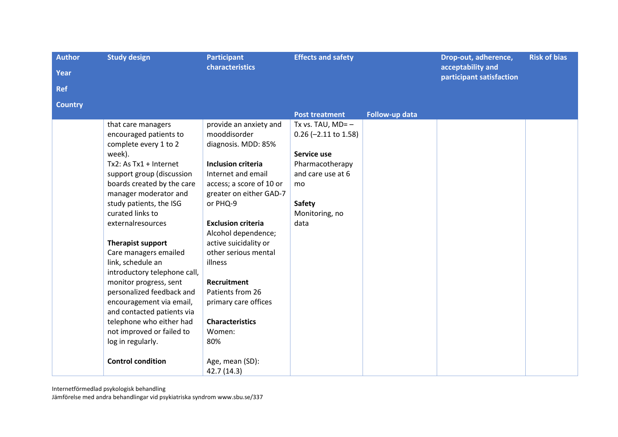| <b>Author</b>  | <b>Study design</b>                        | <b>Participant</b><br>characteristics         | <b>Effects and safety</b> |                | Drop-out, adherence,<br>acceptability and | <b>Risk of bias</b> |
|----------------|--------------------------------------------|-----------------------------------------------|---------------------------|----------------|-------------------------------------------|---------------------|
| Year           |                                            |                                               |                           |                | participant satisfaction                  |                     |
| <b>Ref</b>     |                                            |                                               |                           |                |                                           |                     |
| <b>Country</b> |                                            |                                               |                           |                |                                           |                     |
|                |                                            |                                               | <b>Post treatment</b>     | Follow-up data |                                           |                     |
|                | that care managers                         | provide an anxiety and                        | Tx vs. TAU, $MD = -$      |                |                                           |                     |
|                | encouraged patients to                     | mooddisorder                                  | $0.26$ (-2.11 to 1.58)    |                |                                           |                     |
|                | complete every 1 to 2                      | diagnosis. MDD: 85%                           |                           |                |                                           |                     |
|                | week).                                     |                                               | Service use               |                |                                           |                     |
|                | Tx2: As Tx1 + Internet                     | <b>Inclusion criteria</b>                     | Pharmacotherapy           |                |                                           |                     |
|                | support group (discussion                  | Internet and email                            | and care use at 6         |                |                                           |                     |
|                | boards created by the care                 | access; a score of 10 or                      | mo                        |                |                                           |                     |
|                | manager moderator and                      | greater on either GAD-7                       |                           |                |                                           |                     |
|                | study patients, the ISG                    | or PHQ-9                                      | <b>Safety</b>             |                |                                           |                     |
|                | curated links to                           |                                               | Monitoring, no            |                |                                           |                     |
|                | externalresources                          | <b>Exclusion criteria</b>                     | data                      |                |                                           |                     |
|                |                                            | Alcohol dependence;                           |                           |                |                                           |                     |
|                | <b>Therapist support</b>                   | active suicidality or<br>other serious mental |                           |                |                                           |                     |
|                | Care managers emailed<br>link, schedule an | illness                                       |                           |                |                                           |                     |
|                | introductory telephone call,               |                                               |                           |                |                                           |                     |
|                | monitor progress, sent                     | <b>Recruitment</b>                            |                           |                |                                           |                     |
|                | personalized feedback and                  | Patients from 26                              |                           |                |                                           |                     |
|                | encouragement via email,                   | primary care offices                          |                           |                |                                           |                     |
|                | and contacted patients via                 |                                               |                           |                |                                           |                     |
|                | telephone who either had                   | <b>Characteristics</b>                        |                           |                |                                           |                     |
|                | not improved or failed to                  | Women:                                        |                           |                |                                           |                     |
|                | log in regularly.                          | 80%                                           |                           |                |                                           |                     |
|                |                                            |                                               |                           |                |                                           |                     |
|                | <b>Control condition</b>                   | Age, mean (SD):                               |                           |                |                                           |                     |
|                |                                            | 42.7 (14.3)                                   |                           |                |                                           |                     |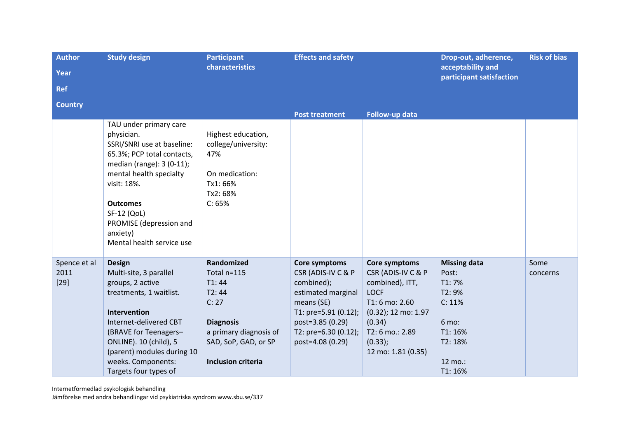| <b>Author</b>                  | <b>Study design</b>                                                                                                                                                                                                                                                           | <b>Participant</b>                                                                                                                                      | <b>Effects and safety</b>                                                                                                                                                     |                                                                                                                                                                             | Drop-out, adherence,                                                                                           | <b>Risk of bias</b> |
|--------------------------------|-------------------------------------------------------------------------------------------------------------------------------------------------------------------------------------------------------------------------------------------------------------------------------|---------------------------------------------------------------------------------------------------------------------------------------------------------|-------------------------------------------------------------------------------------------------------------------------------------------------------------------------------|-----------------------------------------------------------------------------------------------------------------------------------------------------------------------------|----------------------------------------------------------------------------------------------------------------|---------------------|
| Year                           | characteristics                                                                                                                                                                                                                                                               |                                                                                                                                                         |                                                                                                                                                                               |                                                                                                                                                                             | acceptability and<br>participant satisfaction                                                                  |                     |
| <b>Ref</b>                     |                                                                                                                                                                                                                                                                               |                                                                                                                                                         |                                                                                                                                                                               |                                                                                                                                                                             |                                                                                                                |                     |
| <b>Country</b>                 |                                                                                                                                                                                                                                                                               |                                                                                                                                                         |                                                                                                                                                                               |                                                                                                                                                                             |                                                                                                                |                     |
|                                |                                                                                                                                                                                                                                                                               |                                                                                                                                                         | <b>Post treatment</b>                                                                                                                                                         | Follow-up data                                                                                                                                                              |                                                                                                                |                     |
|                                | TAU under primary care<br>physician.<br>SSRI/SNRI use at baseline:<br>65.3%; PCP total contacts,<br>median (range): 3 (0-11);<br>mental health specialty<br>visit: 18%.<br><b>Outcomes</b><br>SF-12 (QoL)<br>PROMISE (depression and<br>anxiety)<br>Mental health service use | Highest education,<br>college/university:<br>47%<br>On medication:<br>Tx1: 66%<br>Tx2: 68%<br>C: 65%                                                    |                                                                                                                                                                               |                                                                                                                                                                             |                                                                                                                |                     |
| Spence et al<br>2011<br>$[29]$ | Design<br>Multi-site, 3 parallel<br>groups, 2 active<br>treatments, 1 waitlist.<br>Intervention<br>Internet-delivered CBT<br>(BRAVE for Teenagers-<br>ONLINE). 10 (child), 5<br>(parent) modules during 10<br>weeks. Components:<br>Targets four types of                     | Randomized<br>Total n=115<br>T1:44<br>T2:44<br>C: 27<br><b>Diagnosis</b><br>a primary diagnosis of<br>SAD, SoP, GAD, or SP<br><b>Inclusion criteria</b> | Core symptoms<br>CSR (ADIS-IV C & P<br>combined);<br>estimated marginal<br>means (SE)<br>T1: pre=5.91 (0.12);<br>post=3.85 (0.29)<br>T2: pre=6.30 (0.12);<br>post=4.08 (0.29) | Core symptoms<br>CSR (ADIS-IV C & P<br>combined), ITT,<br><b>LOCF</b><br>T1:6 mo: 2.60<br>(0.32); 12 mo: 1.97<br>(0.34)<br>T2: 6 mo.: 2.89<br>(0.33);<br>12 mo: 1.81 (0.35) | <b>Missing data</b><br>Post:<br>T1:7%<br>T2: 9%<br>C: 11%<br>6 mo:<br>T1: 16%<br>T2: 18%<br>12 mo.:<br>T1: 16% | Some<br>concerns    |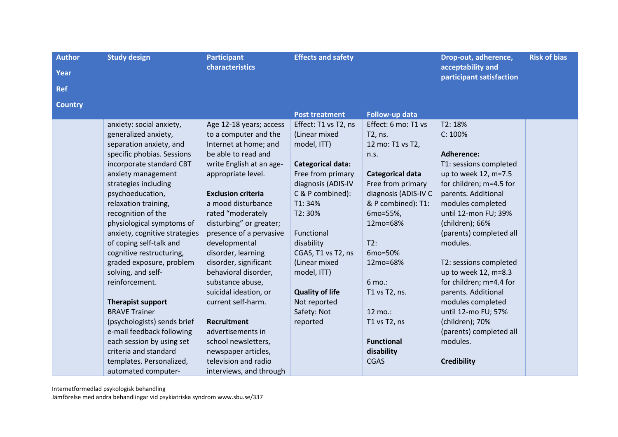| <b>Author</b>  | <b>Study design</b>           | <b>Participant</b>        | <b>Effects and safety</b> |                         | Drop-out, adherence,                          | <b>Risk of bias</b> |
|----------------|-------------------------------|---------------------------|---------------------------|-------------------------|-----------------------------------------------|---------------------|
| Year           |                               | characteristics           |                           |                         | acceptability and<br>participant satisfaction |                     |
| <b>Ref</b>     |                               |                           |                           |                         |                                               |                     |
| <b>Country</b> |                               |                           |                           |                         |                                               |                     |
|                |                               |                           | <b>Post treatment</b>     | Follow-up data          |                                               |                     |
|                | anxiety: social anxiety,      | Age 12-18 years; access   | Effect: T1 vs T2, ns      | Effect: 6 mo: T1 vs     | T2: 18%                                       |                     |
|                | generalized anxiety,          | to a computer and the     | (Linear mixed             | T2, ns.                 | C: 100%                                       |                     |
|                | separation anxiety, and       | Internet at home; and     | model, ITT)               | 12 mo: T1 vs T2,        |                                               |                     |
|                | specific phobias. Sessions    | be able to read and       |                           | n.s.                    | <b>Adherence:</b>                             |                     |
|                | incorporate standard CBT      | write English at an age-  | <b>Categorical data:</b>  |                         | T1: sessions completed                        |                     |
|                | anxiety management            | appropriate level.        | Free from primary         | <b>Categorical data</b> | up to week 12, m=7.5                          |                     |
|                | strategies including          |                           | diagnosis (ADIS-IV        | Free from primary       | for children; m=4.5 for                       |                     |
|                | psychoeducation,              | <b>Exclusion criteria</b> | C & P combined):          | diagnosis (ADIS-IV C    | parents. Additional                           |                     |
|                | relaxation training,          | a mood disturbance        | T1:34%                    | & P combined): T1:      | modules completed                             |                     |
|                | recognition of the            | rated "moderately         | T2:30%                    | 6mo=55%,                | until 12-mon FU; 39%                          |                     |
|                | physiological symptoms of     | disturbing" or greater;   |                           | 12mo=68%                | (children); 66%                               |                     |
|                | anxiety, cognitive strategies | presence of a pervasive   | Functional                |                         | (parents) completed all                       |                     |
|                | of coping self-talk and       | developmental             | disability                | T2:                     | modules.                                      |                     |
|                | cognitive restructuring,      | disorder, learning        | CGAS, T1 vs T2, ns        | 6mo=50%                 |                                               |                     |
|                | graded exposure, problem      | disorder, significant     | (Linear mixed             | 12mo=68%                | T2: sessions completed                        |                     |
|                | solving, and self-            | behavioral disorder,      | model, ITT)               |                         | up to week 12, m=8.3                          |                     |
|                | reinforcement.                | substance abuse,          |                           | 6 mo.:                  | for children; m=4.4 for                       |                     |
|                |                               | suicidal ideation, or     | <b>Quality of life</b>    | T1 vs T2, ns.           | parents. Additional                           |                     |
|                | <b>Therapist support</b>      | current self-harm.        | Not reported              |                         | modules completed                             |                     |
|                | <b>BRAVE Trainer</b>          |                           | Safety: Not               | 12 mo.:                 | until 12-mo FU; 57%                           |                     |
|                | (psychologists) sends brief   | Recruitment               | reported                  | T1 vs T2, ns            | (children); 70%                               |                     |
|                | e-mail feedback following     | advertisements in         |                           |                         | (parents) completed all                       |                     |
|                | each session by using set     | school newsletters,       |                           | <b>Functional</b>       | modules.                                      |                     |
|                | criteria and standard         | newspaper articles,       |                           | disability              |                                               |                     |
|                | templates. Personalized,      | television and radio      |                           | <b>CGAS</b>             | <b>Credibility</b>                            |                     |
|                | automated computer-           | interviews, and through   |                           |                         |                                               |                     |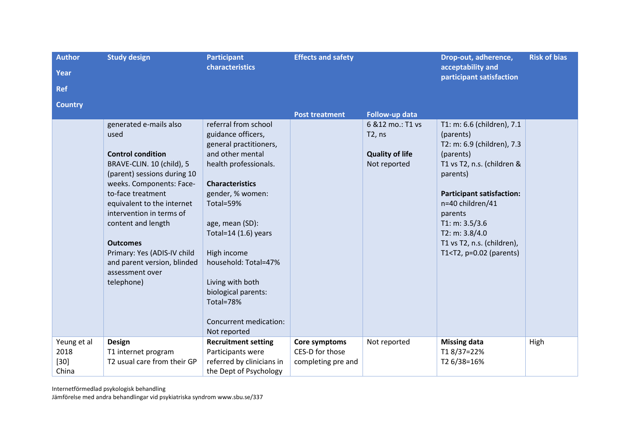| <b>Author</b><br>Year<br><b>Ref</b>    | <b>Study design</b>                                                                                                                                                                                                                                                                                                                                                       | <b>Participant</b><br>characteristics                                                                                                                                                                                                                                                                                                                              | <b>Effects and safety</b>                              |                                                                       | Drop-out, adherence,<br>acceptability and<br>participant satisfaction                                                                                                                                                                                                                                        | <b>Risk of bias</b> |
|----------------------------------------|---------------------------------------------------------------------------------------------------------------------------------------------------------------------------------------------------------------------------------------------------------------------------------------------------------------------------------------------------------------------------|--------------------------------------------------------------------------------------------------------------------------------------------------------------------------------------------------------------------------------------------------------------------------------------------------------------------------------------------------------------------|--------------------------------------------------------|-----------------------------------------------------------------------|--------------------------------------------------------------------------------------------------------------------------------------------------------------------------------------------------------------------------------------------------------------------------------------------------------------|---------------------|
| <b>Country</b>                         |                                                                                                                                                                                                                                                                                                                                                                           |                                                                                                                                                                                                                                                                                                                                                                    | <b>Post treatment</b>                                  | Follow-up data                                                        |                                                                                                                                                                                                                                                                                                              |                     |
|                                        | generated e-mails also<br>used<br><b>Control condition</b><br>BRAVE-CLIN. 10 (child), 5<br>(parent) sessions during 10<br>weeks. Components: Face-<br>to-face treatment<br>equivalent to the internet<br>intervention in terms of<br>content and length<br><b>Outcomes</b><br>Primary: Yes (ADIS-IV child<br>and parent version, blinded<br>assessment over<br>telephone) | referral from school<br>guidance officers,<br>general practitioners,<br>and other mental<br>health professionals.<br><b>Characteristics</b><br>gender, % women:<br>Total=59%<br>age, mean (SD):<br>Total=14 $(1.6)$ years<br>High income<br>household: Total=47%<br>Living with both<br>biological parents:<br>Total=78%<br>Concurrent medication:<br>Not reported |                                                        | 6 & 12 mo.: T1 vs<br>T2, ns<br><b>Quality of life</b><br>Not reported | T1: m: 6.6 (children), 7.1<br>(parents)<br>T2: m: 6.9 (children), 7.3<br>(parents)<br>T1 vs T2, n.s. (children &<br>parents)<br><b>Participant satisfaction:</b><br>n=40 children/41<br>parents<br>T1: m: 3.5/3.6<br>T2: m: 3.8/4.0<br>T1 vs T2, n.s. (children),<br>T1 <t2, <math="">p=0.02 (parents)</t2,> |                     |
| Yeung et al<br>2018<br>$[30]$<br>China | <b>Design</b><br>T1 internet program<br>T2 usual care from their GP                                                                                                                                                                                                                                                                                                       | <b>Recruitment setting</b><br>Participants were<br>referred by clinicians in<br>the Dept of Psychology                                                                                                                                                                                                                                                             | Core symptoms<br>CES-D for those<br>completing pre and | Not reported                                                          | <b>Missing data</b><br>T18/37=22%<br>T2 6/38=16%                                                                                                                                                                                                                                                             | High                |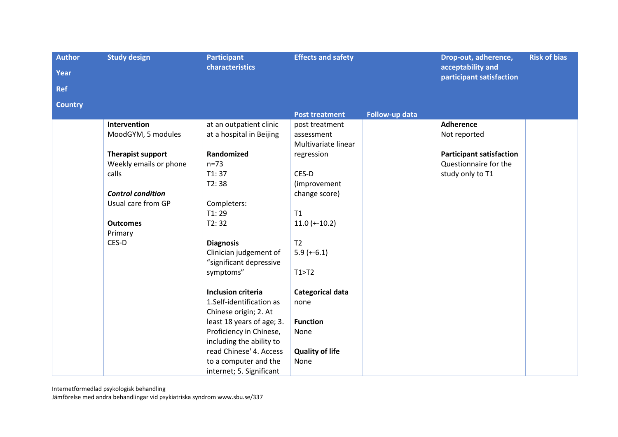| <b>Author</b><br>Year<br><b>Ref</b> | <b>Study design</b>                            | <b>Participant</b><br>characteristics                                            | <b>Effects and safety</b>      |                | Drop-out, adherence,<br>acceptability and<br>participant satisfaction | <b>Risk of bias</b> |
|-------------------------------------|------------------------------------------------|----------------------------------------------------------------------------------|--------------------------------|----------------|-----------------------------------------------------------------------|---------------------|
| <b>Country</b>                      |                                                |                                                                                  | <b>Post treatment</b>          | Follow-up data |                                                                       |                     |
|                                     | <b>Intervention</b><br>MoodGYM, 5 modules      | at an outpatient clinic<br>at a hospital in Beijing                              | post treatment<br>assessment   |                | <b>Adherence</b><br>Not reported                                      |                     |
|                                     |                                                |                                                                                  | Multivariate linear            |                |                                                                       |                     |
|                                     | Therapist support<br>Weekly emails or phone    | Randomized<br>$n=73$                                                             | regression                     |                | <b>Participant satisfaction</b><br>Questionnaire for the              |                     |
|                                     | calls                                          | T1:37<br>T2:38                                                                   | CES-D<br>(improvement          |                | study only to T1                                                      |                     |
|                                     | <b>Control condition</b><br>Usual care from GP | Completers:                                                                      | change score)                  |                |                                                                       |                     |
|                                     | <b>Outcomes</b>                                | T1:29<br>T2:32                                                                   | T1<br>$11.0 (+-10.2)$          |                |                                                                       |                     |
|                                     | Primary<br>CES-D                               | <b>Diagnosis</b>                                                                 | T <sub>2</sub>                 |                |                                                                       |                     |
|                                     |                                                | Clinician judgement of<br>"significant depressive                                | $5.9 (+-6.1)$                  |                |                                                                       |                     |
|                                     |                                                | symptoms"                                                                        | T1 > T2                        |                |                                                                       |                     |
|                                     |                                                | <b>Inclusion criteria</b><br>1.Self-identification as<br>Chinese origin; 2. At   | Categorical data<br>none       |                |                                                                       |                     |
|                                     |                                                | least 18 years of age; 3.<br>Proficiency in Chinese,<br>including the ability to | <b>Function</b><br>None        |                |                                                                       |                     |
|                                     |                                                | read Chinese' 4. Access<br>to a computer and the<br>internet; 5. Significant     | <b>Quality of life</b><br>None |                |                                                                       |                     |

Internetförmedlad psykologisk behandling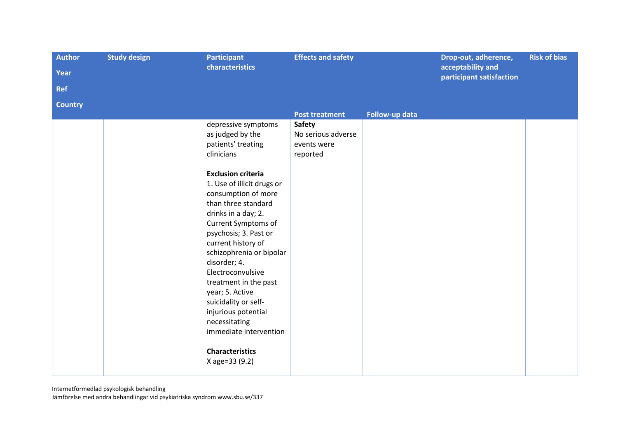| <b>Author</b>  | <b>Study design</b> | <b>Participant</b>                                                                                                                                                                                                                                                                                                                                                                                                                                                                                                                   | <b>Effects and safety</b>                                      |                | Drop-out, adherence,<br>acceptability and | <b>Risk of bias</b> |
|----------------|---------------------|--------------------------------------------------------------------------------------------------------------------------------------------------------------------------------------------------------------------------------------------------------------------------------------------------------------------------------------------------------------------------------------------------------------------------------------------------------------------------------------------------------------------------------------|----------------------------------------------------------------|----------------|-------------------------------------------|---------------------|
| Year           |                     | characteristics                                                                                                                                                                                                                                                                                                                                                                                                                                                                                                                      |                                                                |                |                                           |                     |
| <b>Ref</b>     |                     |                                                                                                                                                                                                                                                                                                                                                                                                                                                                                                                                      |                                                                |                | participant satisfaction                  |                     |
| <b>Country</b> |                     |                                                                                                                                                                                                                                                                                                                                                                                                                                                                                                                                      |                                                                |                |                                           |                     |
|                |                     |                                                                                                                                                                                                                                                                                                                                                                                                                                                                                                                                      | <b>Post treatment</b>                                          | Follow-up data |                                           |                     |
|                |                     | depressive symptoms<br>as judged by the<br>patients' treating<br>clinicians<br><b>Exclusion criteria</b><br>1. Use of illicit drugs or<br>consumption of more<br>than three standard<br>drinks in a day; 2.<br>Current Symptoms of<br>psychosis; 3. Past or<br>current history of<br>schizophrenia or bipolar<br>disorder; 4.<br>Electroconvulsive<br>treatment in the past<br>year; 5. Active<br>suicidality or self-<br>injurious potential<br>necessitating<br>immediate intervention<br><b>Characteristics</b><br>X age=33 (9.2) | <b>Safety</b><br>No serious adverse<br>events were<br>reported |                |                                           |                     |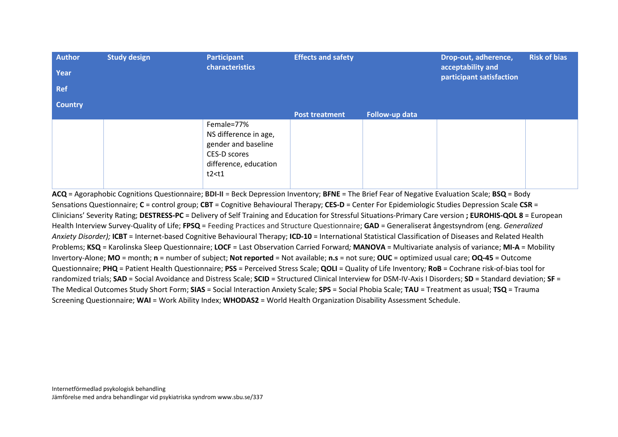| Author<br>Year<br>Ref | <b>Study design</b> | <b>Participant</b><br>characteristics                                                                          | <b>Effects and safety</b> |                | Drop-out, adherence,<br>acceptability and<br>participant satisfaction | <b>Risk of bias</b> |
|-----------------------|---------------------|----------------------------------------------------------------------------------------------------------------|---------------------------|----------------|-----------------------------------------------------------------------|---------------------|
| <b>Country</b>        |                     |                                                                                                                |                           |                |                                                                       |                     |
|                       |                     |                                                                                                                | <b>Post treatment</b>     | Follow-up data |                                                                       |                     |
|                       |                     | Female=77%<br>NS difference in age,<br>gender and baseline<br>CES-D scores<br>difference, education<br>t2 < t1 |                           |                |                                                                       |                     |

**ACQ** = Agoraphobic Cognitions Questionnaire; **BDI-II** = Beck Depression Inventory; **BFNE** = The Brief Fear of Negative Evaluation Scale; **BSQ** = Body Sensations Questionnaire; **C** = control group; **CBT** = Cognitive Behavioural Therapy; **CES-D** = Center For Epidemiologic Studies Depression Scale **CSR** = Clinicians' Severity Rating; **DESTRESS-PC** = Delivery of Self Training and Education for Stressful Situations-Primary Care version **; EUROHIS-QOL 8** = European Health Interview Survey-Quality of Life; **FPSQ** = Feeding Practices and Structure Questionnaire; **GAD** = Generaliserat ångestsyndrom (eng. *Generalized Anxiety Disorder);* **ICBT** = Internet-based Cognitive Behavioural Therapy; **ICD-10** = International Statistical Classification of Diseases and Related Health Problems; **KSQ** = Karolinska Sleep Questionnaire; **LOCF** = Last Observation Carried Forward*;* **MANOVA** = Multivariate analysis of variance; **MI-A** = Mobility Invertory-Alone; **MO** = month; **n** = number of subject; **Not reported** = Not available; **n.s** = not sure; **OUC** = optimized usual care; **OQ-45** = Outcome Questionnaire; **PHQ** = Patient Health Questionnaire; **PSS** = Perceived Stress Scale; **QOLI** = Quality of Life Inventory*;* **RoB** = Cochrane risk-of-bias tool for randomized trials; **SAD** = Social Avoidance and Distress Scale; **SCID** = Structured Clinical Interview for DSM-IV-Axis I Disorders; **SD** = Standard deviation; **SF** = The Medical Outcomes Study Short Form; **SIAS** = Social Interaction Anxiety Scale; **SPS** = Social Phobia Scale; **TAU** = Treatment as usual; **TSQ** = Trauma Screening Questionnaire; **WAI** = Work Ability Index; **WHODAS2** = World Health Organization Disability Assessment Schedule.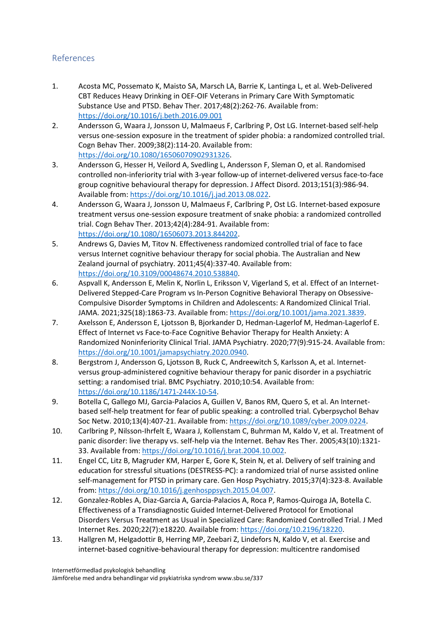## References

- 1. Acosta MC, Possemato K, Maisto SA, Marsch LA, Barrie K, Lantinga L, et al. Web-Delivered CBT Reduces Heavy Drinking in OEF-OIF Veterans in Primary Care With Symptomatic Substance Use and PTSD. Behav Ther. 2017;48(2):262-76. Available from: <https://doi.org/10.1016/j.beth.2016.09.001>
- 2. Andersson G, Waara J, Jonsson U, Malmaeus F, Carlbring P, Ost LG. Internet-based self-help versus one-session exposure in the treatment of spider phobia: a randomized controlled trial. Cogn Behav Ther. 2009;38(2):114-20. Available from: [https://doi.org/10.1080/16506070902931326.](https://doi.org/10.1080/16506070902931326)
- 3. Andersson G, Hesser H, Veilord A, Svedling L, Andersson F, Sleman O, et al. Randomised controlled non-inferiority trial with 3-year follow-up of internet-delivered versus face-to-face group cognitive behavioural therapy for depression. J Affect Disord. 2013;151(3):986-94. Available from: [https://doi.org/10.1016/j.jad.2013.08.022.](https://doi.org/10.1016/j.jad.2013.08.022)
- 4. Andersson G, Waara J, Jonsson U, Malmaeus F, Carlbring P, Ost LG. Internet-based exposure treatment versus one-session exposure treatment of snake phobia: a randomized controlled trial. Cogn Behav Ther. 2013;42(4):284-91. Available from: [https://doi.org/10.1080/16506073.2013.844202.](https://doi.org/10.1080/16506073.2013.844202)
- 5. Andrews G, Davies M, Titov N. Effectiveness randomized controlled trial of face to face versus Internet cognitive behaviour therapy for social phobia. The Australian and New Zealand journal of psychiatry. 2011;45(4):337-40. Available from: [https://doi.org/10.3109/00048674.2010.538840.](https://doi.org/10.3109/00048674.2010.538840)
- 6. Aspvall K, Andersson E, Melin K, Norlin L, Eriksson V, Vigerland S, et al. Effect of an Internet-Delivered Stepped-Care Program vs In-Person Cognitive Behavioral Therapy on Obsessive-Compulsive Disorder Symptoms in Children and Adolescents: A Randomized Clinical Trial. JAMA. 2021;325(18):1863-73. Available from: [https://doi.org/10.1001/jama.2021.3839.](https://doi.org/10.1001/jama.2021.3839)
- 7. Axelsson E, Andersson E, Ljotsson B, Bjorkander D, Hedman-Lagerlof M, Hedman-Lagerlof E. Effect of Internet vs Face-to-Face Cognitive Behavior Therapy for Health Anxiety: A Randomized Noninferiority Clinical Trial. JAMA Psychiatry. 2020;77(9):915-24. Available from: [https://doi.org/10.1001/jamapsychiatry.2020.0940.](https://doi.org/10.1001/jamapsychiatry.2020.0940)
- 8. Bergstrom J, Andersson G, Ljotsson B, Ruck C, Andreewitch S, Karlsson A, et al. Internetversus group-administered cognitive behaviour therapy for panic disorder in a psychiatric setting: a randomised trial. BMC Psychiatry. 2010;10:54. Available from: [https://doi.org/10.1186/1471-244X-10-54.](https://doi.org/10.1186/1471-244X-10-54)
- 9. Botella C, Gallego MJ, Garcia-Palacios A, Guillen V, Banos RM, Quero S, et al. An Internetbased self-help treatment for fear of public speaking: a controlled trial. Cyberpsychol Behav Soc Netw. 2010;13(4):407-21. Available from: [https://doi.org/10.1089/cyber.2009.0224.](https://doi.org/10.1089/cyber.2009.0224)
- 10. Carlbring P, Nilsson-Ihrfelt E, Waara J, Kollenstam C, Buhrman M, Kaldo V, et al. Treatment of panic disorder: live therapy vs. self-help via the Internet. Behav Res Ther. 2005;43(10):1321- 33. Available from[: https://doi.org/10.1016/j.brat.2004.10.002.](https://doi.org/10.1016/j.brat.2004.10.002)
- 11. Engel CC, Litz B, Magruder KM, Harper E, Gore K, Stein N, et al. Delivery of self training and education for stressful situations (DESTRESS-PC): a randomized trial of nurse assisted online self-management for PTSD in primary care. Gen Hosp Psychiatry. 2015;37(4):323-8. Available from: [https://doi.org/10.1016/j.genhosppsych.2015.04.007.](https://doi.org/10.1016/j.genhosppsych.2015.04.007)
- 12. Gonzalez-Robles A, Diaz-Garcia A, Garcia-Palacios A, Roca P, Ramos-Quiroga JA, Botella C. Effectiveness of a Transdiagnostic Guided Internet-Delivered Protocol for Emotional Disorders Versus Treatment as Usual in Specialized Care: Randomized Controlled Trial. J Med Internet Res. 2020;22(7):e18220. Available from[: https://doi.org/10.2196/18220.](https://doi.org/10.2196/18220)
- 13. Hallgren M, Helgadottir B, Herring MP, Zeebari Z, Lindefors N, Kaldo V, et al. Exercise and internet-based cognitive-behavioural therapy for depression: multicentre randomised

Internetförmedlad psykologisk behandling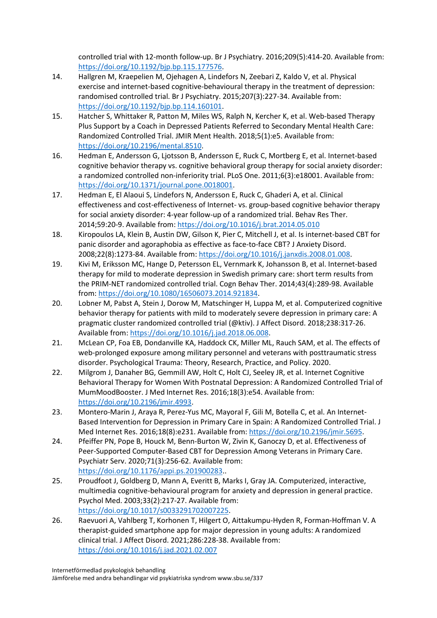controlled trial with 12-month follow-up. Br J Psychiatry. 2016;209(5):414-20. Available from: [https://doi.org/10.1192/bjp.bp.115.177576.](https://doi.org/10.1192/bjp.bp.115.177576)

- 14. Hallgren M, Kraepelien M, Ojehagen A, Lindefors N, Zeebari Z, Kaldo V, et al. Physical exercise and internet-based cognitive-behavioural therapy in the treatment of depression: randomised controlled trial. Br J Psychiatry. 2015;207(3):227-34. Available from: [https://doi.org/10.1192/bjp.bp.114.160101.](https://doi.org/10.1192/bjp.bp.114.160101)
- 15. Hatcher S, Whittaker R, Patton M, Miles WS, Ralph N, Kercher K, et al. Web-based Therapy Plus Support by a Coach in Depressed Patients Referred to Secondary Mental Health Care: Randomized Controlled Trial. JMIR Ment Health. 2018;5(1):e5. Available from: [https://doi.org/10.2196/mental.8510.](https://doi.org/10.2196/mental.8510)
- 16. Hedman E, Andersson G, Ljotsson B, Andersson E, Ruck C, Mortberg E, et al. Internet-based cognitive behavior therapy vs. cognitive behavioral group therapy for social anxiety disorder: a randomized controlled non-inferiority trial. PLoS One. 2011;6(3):e18001. Available from: [https://doi.org/10.1371/journal.pone.0018001.](https://doi.org/10.1371/journal.pone.0018001)
- 17. Hedman E, El Alaoui S, Lindefors N, Andersson E, Ruck C, Ghaderi A, et al. Clinical effectiveness and cost-effectiveness of Internet- vs. group-based cognitive behavior therapy for social anxiety disorder: 4-year follow-up of a randomized trial. Behav Res Ther. 2014;59:20-9. Available from:<https://doi.org/10.1016/j.brat.2014.05.010>
- 18. Kiropoulos LA, Klein B, Austin DW, Gilson K, Pier C, Mitchell J, et al. Is internet-based CBT for panic disorder and agoraphobia as effective as face-to-face CBT? J Anxiety Disord. 2008;22(8):1273-84. Available from: [https://doi.org/10.1016/j.janxdis.2008.01.008.](https://doi.org/10.1016/j.janxdis.2008.01.008)
- 19. Kivi M, Eriksson MC, Hange D, Petersson EL, Vernmark K, Johansson B, et al. Internet-based therapy for mild to moderate depression in Swedish primary care: short term results from the PRIM-NET randomized controlled trial. Cogn Behav Ther. 2014;43(4):289-98. Available from: [https://doi.org/10.1080/16506073.2014.921834.](https://doi.org/10.1080/16506073.2014.921834)
- 20. Lobner M, Pabst A, Stein J, Dorow M, Matschinger H, Luppa M, et al. Computerized cognitive behavior therapy for patients with mild to moderately severe depression in primary care: A pragmatic cluster randomized controlled trial (@ktiv). J Affect Disord. 2018;238:317-26. Available from: [https://doi.org/10.1016/j.jad.2018.06.008.](https://doi.org/10.1016/j.jad.2018.06.008)
- 21. McLean CP, Foa EB, Dondanville KA, Haddock CK, Miller ML, Rauch SAM, et al. The effects of web-prolonged exposure among military personnel and veterans with posttraumatic stress disorder. Psychological Trauma: Theory, Research, Practice, and Policy. 2020.
- 22. Milgrom J, Danaher BG, Gemmill AW, Holt C, Holt CJ, Seeley JR, et al. Internet Cognitive Behavioral Therapy for Women With Postnatal Depression: A Randomized Controlled Trial of MumMoodBooster. J Med Internet Res. 2016;18(3):e54. Available from: [https://doi.org/10.2196/jmir.4993.](https://doi.org/10.2196/jmir.4993)
- 23. Montero-Marin J, Araya R, Perez-Yus MC, Mayoral F, Gili M, Botella C, et al. An Internet-Based Intervention for Depression in Primary Care in Spain: A Randomized Controlled Trial. J Med Internet Res. 2016;18(8):e231. Available from[: https://doi.org/10.2196/jmir.5695.](https://doi.org/10.2196/jmir.5695)
- 24. Pfeiffer PN, Pope B, Houck M, Benn-Burton W, Zivin K, Ganoczy D, et al. Effectiveness of Peer-Supported Computer-Based CBT for Depression Among Veterans in Primary Care. Psychiatr Serv. 2020;71(3):256-62. Available from: [https://doi.org/10.1176/appi.ps.201900283.](https://doi.org/10.1176/appi.ps.201900283).
- 25. Proudfoot J, Goldberg D, Mann A, Everitt B, Marks I, Gray JA. Computerized, interactive, multimedia cognitive-behavioural program for anxiety and depression in general practice. Psychol Med. 2003;33(2):217-27. Available from: [https://doi.org/10.1017/s0033291702007225.](https://doi.org/10.1017/s0033291702007225)
- 26. Raevuori A, Vahlberg T, Korhonen T, Hilgert O, Aittakumpu-Hyden R, Forman-Hoffman V. A therapist-guided smartphone app for major depression in young adults: A randomized clinical trial. J Affect Disord. 2021;286:228-38. Available from: <https://doi.org/10.1016/j.jad.2021.02.007>

Internetförmedlad psykologisk behandling Jämförelse med andra behandlingar vid psykiatriska syndrom www.sbu.se/337